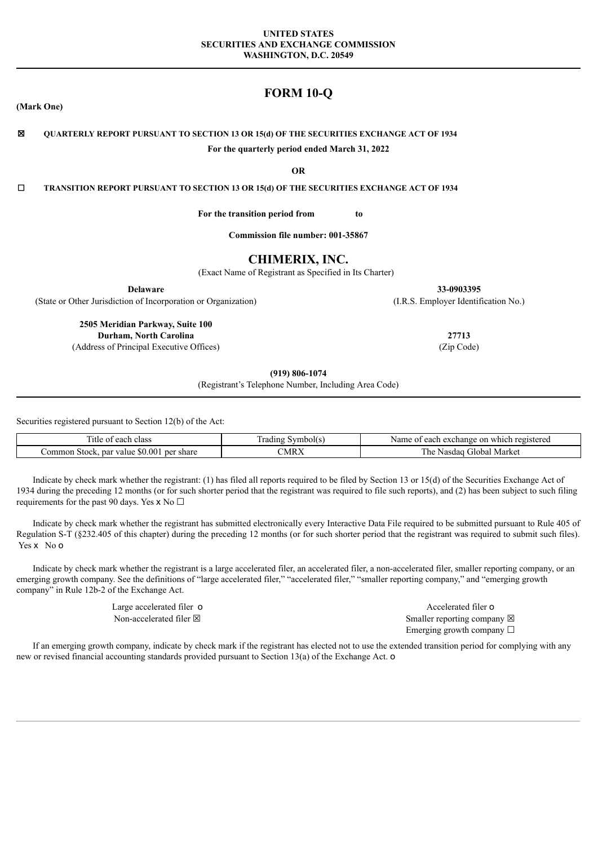# **FORM 10-Q**

**(Mark One)**

## ☒ **QUARTERLY REPORT PURSUANT TO SECTION 13 OR 15(d) OF THE SECURITIES EXCHANGE ACT OF 1934**

**For the quarterly period ended March 31, 2022**

**OR**

☐ **TRANSITION REPORT PURSUANT TO SECTION 13 OR 15(d) OF THE SECURITIES EXCHANGE ACT OF 1934**

**For the transition period from to**

**Commission file number: 001-35867**

# **CHIMERIX, INC.**

(Exact Name of Registrant as Specified in Its Charter)

(State or Other Jurisdiction of Incorporation or Organization) (I.R.S. Employer Identification No.)

**2505 Meridian Parkway, Suite 100**

**Durham, North Carolina 27713**

(Address of Principal Executive Offices) (Zip Code)

**Delaware 33-0903395**

**(919) 806-1074**

(Registrant's Telephone Number, Including Area Code)

Securities registered pursuant to Section 12(b) of the Act:

| <sub>1</sub> tle<br>class<br>each<br>-01                                   | \vmbol()<br>. radıng | Name<br>registered<br>on<br>exchange<br>each<br>wnich<br>OТ |
|----------------------------------------------------------------------------|----------------------|-------------------------------------------------------------|
| $\Omega$<br>ሐ љ<br>par value<br>per share<br>.ommon<br>Stock.<br>.UU<br>ъU | CMRX                 | 1 he<br>Market<br>Global<br>-Nasdac                         |

Indicate by check mark whether the registrant: (1) has filed all reports required to be filed by Section 13 or 15(d) of the Securities Exchange Act of 1934 during the preceding 12 months (or for such shorter period that the registrant was required to file such reports), and (2) has been subject to such filing requirements for the past 90 days. Yes  $x \to 0$ 

Indicate by check mark whether the registrant has submitted electronically every Interactive Data File required to be submitted pursuant to Rule 405 of Regulation S-T (§232.405 of this chapter) during the preceding 12 months (or for such shorter period that the registrant was required to submit such files). Yes x No o

Indicate by check mark whether the registrant is a large accelerated filer, an accelerated filer, a non-accelerated filer, smaller reporting company, or an emerging growth company. See the definitions of "large accelerated filer," "accelerated filer," "smaller reporting company," and "emerging growth company" in Rule 12b-2 of the Exchange Act.

Large accelerated filer o Accelerated filer o Accelerated filer o Non-accelerated filer  $\boxtimes$  Smaller reporting company  $\boxtimes$ Emerging growth company  $\Box$ 

If an emerging growth company, indicate by check mark if the registrant has elected not to use the extended transition period for complying with any new or revised financial accounting standards provided pursuant to Section 13(a) of the Exchange Act. o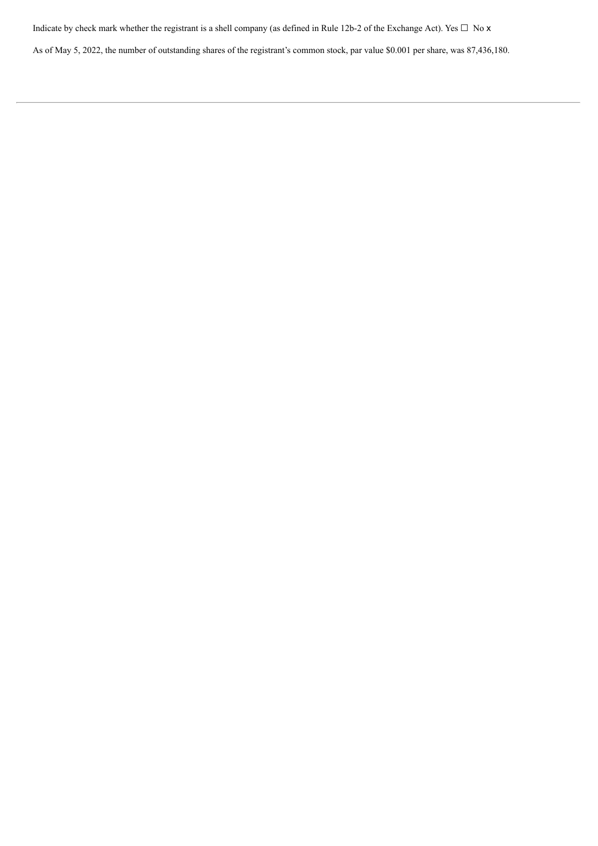Indicate by check mark whether the registrant is a shell company (as defined in Rule 12b-2 of the Exchange Act). Yes  $\Box$  No x As of May 5, 2022, the number of outstanding shares of the registrant's common stock, par value \$0.001 per share, was 87,436,180.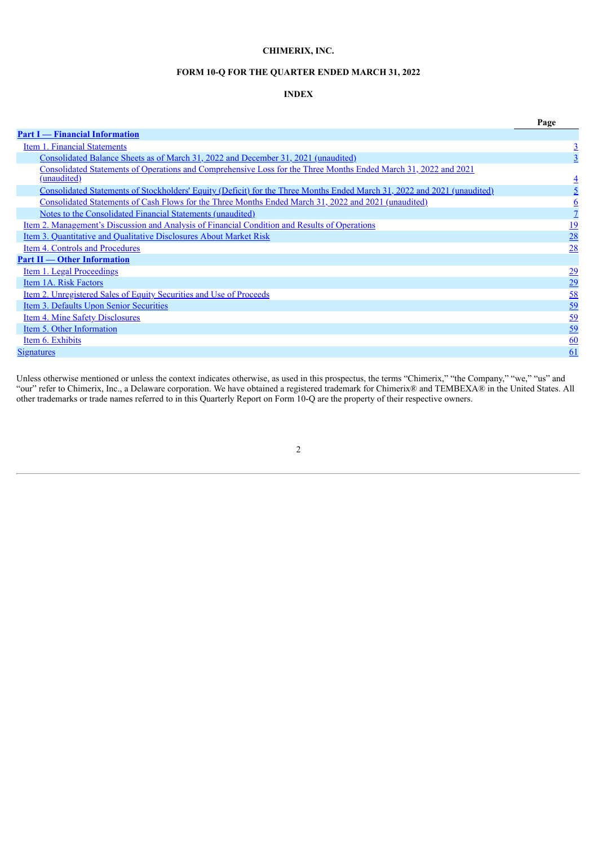## **CHIMERIX, INC.**

# **FORM 10-Q FOR THE QUARTER ENDED MARCH 31, 2022**

# **INDEX**

|                                                                                                                          | Page            |
|--------------------------------------------------------------------------------------------------------------------------|-----------------|
| <b>Part I</b> — Financial Information                                                                                    |                 |
| Item 1. Financial Statements                                                                                             |                 |
| Consolidated Balance Sheets as of March 31, 2022 and December 31, 2021 (unaudited)                                       |                 |
| Consolidated Statements of Operations and Comprehensive Loss for the Three Months Ended March 31, 2022 and 2021          |                 |
| (unaudited)                                                                                                              | $\overline{4}$  |
| Consolidated Statements of Stockholders' Equity (Deficit) for the Three Months Ended March 31, 2022 and 2021 (unaudited) |                 |
| Consolidated Statements of Cash Flows for the Three Months Ended March 31, 2022 and 2021 (unaudited)                     | <u>6</u>        |
| Notes to the Consolidated Financial Statements (unaudited)                                                               |                 |
| <u>Item 2. Management's Discussion and Analysis of Financial Condition and Results of Operations</u>                     | <u> 19</u>      |
| Item 3. Quantitative and Qualitative Disclosures About Market Risk                                                       | 28              |
| Item 4. Controls and Procedures                                                                                          | 28              |
| <b>Part II</b> — Other Information                                                                                       |                 |
| <u>Item 1. Legal Proceedings</u>                                                                                         | $\overline{29}$ |
| Item 1A. Risk Factors                                                                                                    | 29              |
| <u>Item 2. Unregistered Sales of Equity Securities and Use of Proceeds</u>                                               | 58              |
| Item 3. Defaults Upon Senior Securities                                                                                  | 59              |
| <b>Item 4. Mine Safety Disclosures</b>                                                                                   | 59              |
| Item 5. Other Information                                                                                                | 59              |
| Item 6. Exhibits                                                                                                         | 60              |
| <b>Signatures</b>                                                                                                        | 61              |
|                                                                                                                          |                 |

<span id="page-2-0"></span>Unless otherwise mentioned or unless the context indicates otherwise, as used in this prospectus, the terms "Chimerix," "the Company," "we," "us" and "our" refer to Chimerix, Inc., a Delaware corporation. We have obtained a registered trademark for Chimerix® and TEMBEXA® in the United States. All other trademarks or trade names referred to in this Quarterly Report on Form 10-Q are the property of their respective owners.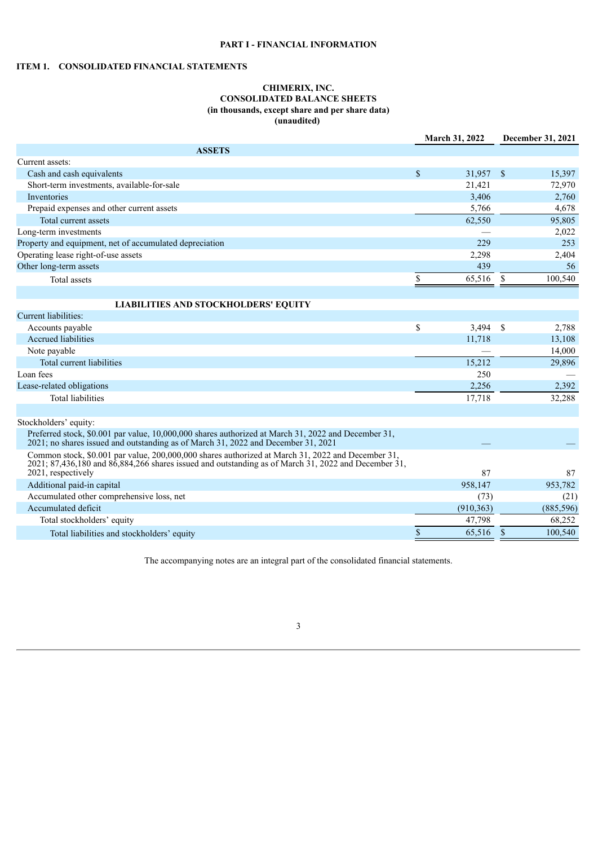# <span id="page-3-0"></span>**ITEM 1. CONSOLIDATED FINANCIAL STATEMENTS**

## **CHIMERIX, INC. CONSOLIDATED BALANCE SHEETS (in thousands, except share and per share data) (unaudited)**

|                                                                                                                                                                                                                 | March 31, 2022 |               | December 31, 2021 |
|-----------------------------------------------------------------------------------------------------------------------------------------------------------------------------------------------------------------|----------------|---------------|-------------------|
| <b>ASSETS</b>                                                                                                                                                                                                   |                |               |                   |
| Current assets:                                                                                                                                                                                                 |                |               |                   |
| Cash and cash equivalents                                                                                                                                                                                       | \$<br>31,957   | $\mathbf{s}$  | 15,397            |
| Short-term investments, available-for-sale                                                                                                                                                                      | 21,421         |               | 72,970            |
| <b>Inventories</b>                                                                                                                                                                                              | 3,406          |               | 2,760             |
| Prepaid expenses and other current assets                                                                                                                                                                       | 5,766          |               | 4,678             |
| Total current assets                                                                                                                                                                                            | 62,550         |               | 95,805            |
| Long-term investments                                                                                                                                                                                           |                |               | 2,022             |
| Property and equipment, net of accumulated depreciation                                                                                                                                                         | 229            |               | 253               |
| Operating lease right-of-use assets                                                                                                                                                                             | 2,298          |               | 2,404             |
| Other long-term assets                                                                                                                                                                                          | 439            |               | 56                |
| <b>Total assets</b>                                                                                                                                                                                             | \$<br>65,516   | <sup>\$</sup> | 100,540           |
|                                                                                                                                                                                                                 |                |               |                   |
| <b>LIABILITIES AND STOCKHOLDERS' EQUITY</b>                                                                                                                                                                     |                |               |                   |
| Current liabilities:                                                                                                                                                                                            |                |               |                   |
| Accounts payable                                                                                                                                                                                                | \$<br>3,494    | -\$           | 2,788             |
| Accrued liabilities                                                                                                                                                                                             | 11,718         |               | 13,108            |
| Note payable                                                                                                                                                                                                    |                |               | 14,000            |
| Total current liabilities                                                                                                                                                                                       | 15,212         |               | 29,896            |
| Loan fees                                                                                                                                                                                                       | 250            |               |                   |
| Lease-related obligations                                                                                                                                                                                       | 2,256          |               | 2,392             |
| <b>Total liabilities</b>                                                                                                                                                                                        | 17,718         |               | 32,288            |
| Stockholders' equity:                                                                                                                                                                                           |                |               |                   |
| Preferred stock, \$0.001 par value, 10,000,000 shares authorized at March 31, 2022 and December 31,                                                                                                             |                |               |                   |
| 2021; no shares issued and outstanding as of March 31, 2022 and December 31, 2021                                                                                                                               |                |               |                   |
| Common stock, \$0.001 par value, 200,000,000 shares authorized at March 31, 2022 and December 31,<br>$2021$ ; $87,436,180$ and $86,884,266$ shares issued and outstanding as of March 31, 2022 and December 31, |                |               |                   |
| 2021, respectively                                                                                                                                                                                              | 87             |               | 87                |
| Additional paid-in capital                                                                                                                                                                                      | 958,147        |               | 953,782           |
| Accumulated other comprehensive loss, net                                                                                                                                                                       | (73)           |               | (21)              |
| Accumulated deficit                                                                                                                                                                                             | (910, 363)     |               | (885, 596)        |
| Total stockholders' equity                                                                                                                                                                                      | 47,798         |               | 68,252            |
| Total liabilities and stockholders' equity                                                                                                                                                                      | \$<br>65,516   | $\mathcal{S}$ | 100,540           |

<span id="page-3-1"></span>The accompanying notes are an integral part of the consolidated financial statements.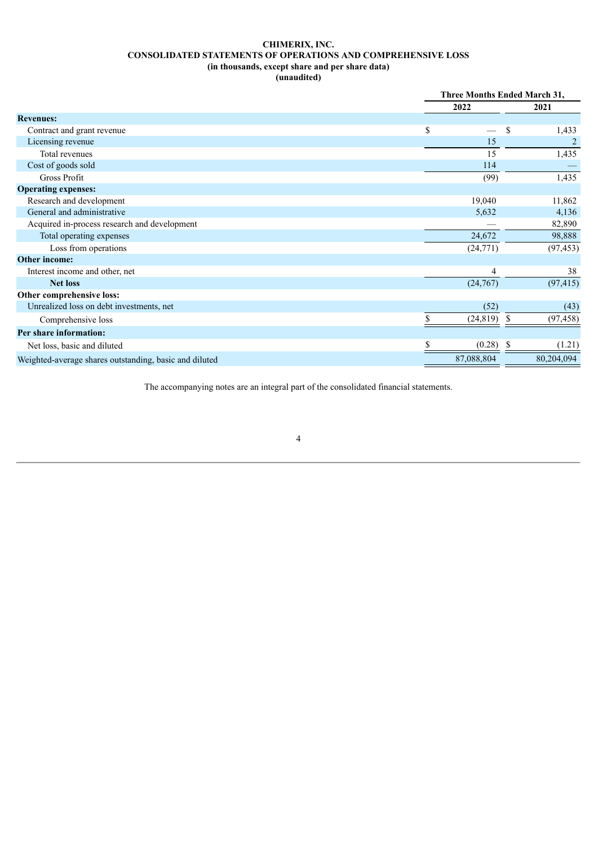# **CHIMERIX, INC. CONSOLIDATED STATEMENTS OF OPERATIONS AND COMPREHENSIVE LOSS (in thousands, except share and per share data)**

**(unaudited)**

|                                                        | <b>Three Months Ended March 31,</b> |               |            |
|--------------------------------------------------------|-------------------------------------|---------------|------------|
|                                                        | 2022                                |               | 2021       |
| <b>Revenues:</b>                                       |                                     |               |            |
| Contract and grant revenue                             | \$                                  | S             | 1,433      |
| Licensing revenue                                      | 15                                  |               | 2          |
| Total revenues                                         | 15                                  |               | 1,435      |
| Cost of goods sold                                     | 114                                 |               |            |
| Gross Profit                                           | (99)                                |               | 1,435      |
| <b>Operating expenses:</b>                             |                                     |               |            |
| Research and development                               | 19,040                              |               | 11,862     |
| General and administrative                             | 5,632                               |               | 4,136      |
| Acquired in-process research and development           |                                     |               | 82,890     |
| Total operating expenses                               | 24,672                              |               | 98,888     |
| Loss from operations                                   | (24, 771)                           |               | (97, 453)  |
| Other income:                                          |                                     |               |            |
| Interest income and other, net                         | $\overline{4}$                      |               | 38         |
| <b>Net loss</b>                                        | (24,767)                            |               | (97, 415)  |
| Other comprehensive loss:                              |                                     |               |            |
| Unrealized loss on debt investments, net               | (52)                                |               | (43)       |
| Comprehensive loss                                     | (24, 819)                           | <sup>\$</sup> | (97, 458)  |
| Per share information:                                 |                                     |               |            |
| Net loss, basic and diluted                            | (0.28)                              |               | (1.21)     |
| Weighted-average shares outstanding, basic and diluted | 87,088,804                          |               | 80,204,094 |

<span id="page-4-0"></span>The accompanying notes are an integral part of the consolidated financial statements.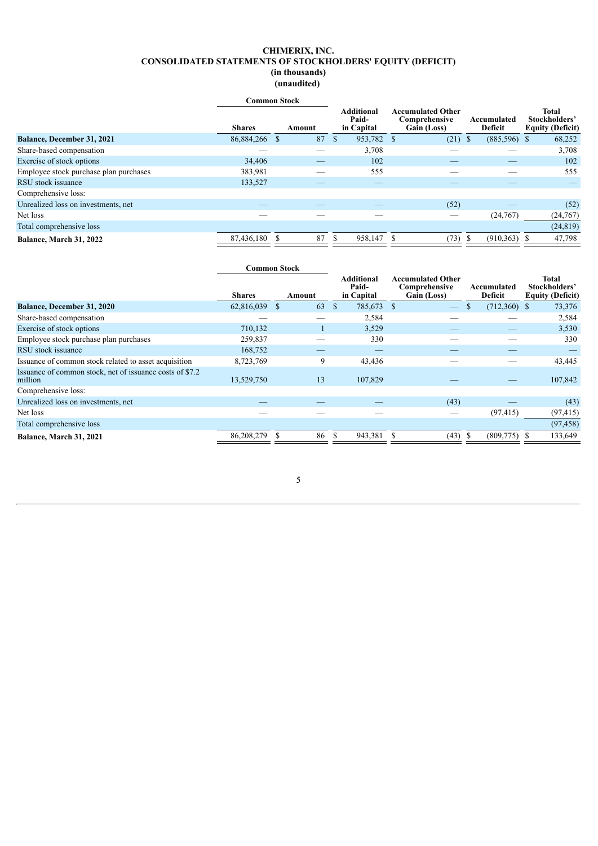# **CHIMERIX, INC. CONSOLIDATED STATEMENTS OF STOCKHOLDERS' EQUITY (DEFICIT) (in thousands)**

|                                        | <b>Common Stock</b> |  |        |               |                                          |                                                          |                        |                                                          |
|----------------------------------------|---------------------|--|--------|---------------|------------------------------------------|----------------------------------------------------------|------------------------|----------------------------------------------------------|
|                                        | <b>Shares</b>       |  | Amount |               | <b>Additional</b><br>Paid-<br>in Capital | <b>Accumulated Other</b><br>Comprehensive<br>Gain (Loss) | Accumulated<br>Deficit | <b>Total</b><br>Stockholders'<br><b>Equity (Deficit)</b> |
| Balance, December 31, 2021             | 86,884,266 \$       |  | 87     | <sup>\$</sup> | 953,782 \$                               | (21)                                                     | $(885,596)$ \$         | 68,252                                                   |
| Share-based compensation               |                     |  |        |               | 3,708                                    |                                                          |                        | 3,708                                                    |
| Exercise of stock options              | 34,406              |  |        |               | 102                                      |                                                          |                        | 102                                                      |
| Employee stock purchase plan purchases | 383,981             |  | ---    |               | 555                                      |                                                          |                        | 555                                                      |
| RSU stock issuance                     | 133,527             |  | _      |               | _                                        |                                                          |                        |                                                          |
| Comprehensive loss:                    |                     |  |        |               |                                          |                                                          |                        |                                                          |
| Unrealized loss on investments, net    |                     |  |        |               |                                          | (52)                                                     |                        | (52)                                                     |
| Net loss                               |                     |  |        |               |                                          |                                                          | (24,767)               | (24,767)                                                 |
| Total comprehensive loss               |                     |  |        |               |                                          |                                                          |                        | (24, 819)                                                |
| Balance, March 31, 2022                | 87,436,180          |  | 87     |               | 958,147                                  | (73)                                                     | $(910, 363)$ \$        | 47,798                                                   |

<span id="page-5-0"></span>

|                                                                     | <b>Common Stock</b> |        |               |                                          |                                                          |                        |                                                   |
|---------------------------------------------------------------------|---------------------|--------|---------------|------------------------------------------|----------------------------------------------------------|------------------------|---------------------------------------------------|
|                                                                     | <b>Shares</b>       | Amount |               | <b>Additional</b><br>Paid-<br>in Capital | <b>Accumulated Other</b><br>Comprehensive<br>Gain (Loss) | Accumulated<br>Deficit | Total<br>Stockholders'<br><b>Equity (Deficit)</b> |
| <b>Balance, December 31, 2020</b>                                   | 62,816,039          | 63     | $\mathbf{\$}$ | 785,673 \$                               |                                                          | $(712,360)$ \$         | 73,376                                            |
| Share-based compensation                                            |                     |        |               | 2,584                                    |                                                          |                        | 2,584                                             |
| Exercise of stock options                                           | 710,132             |        |               | 3,529                                    |                                                          |                        | 3,530                                             |
| Employee stock purchase plan purchases                              | 259,837             |        |               | 330                                      |                                                          |                        | 330                                               |
| RSU stock issuance                                                  | 168,752             |        |               |                                          |                                                          |                        |                                                   |
| Issuance of common stock related to asset acquisition               | 8,723,769           | 9      |               | 43,436                                   |                                                          |                        | 43,445                                            |
| Issuance of common stock, net of issuance costs of \$7.2<br>million | 13,529,750          | 13     |               | 107,829                                  |                                                          |                        | 107,842                                           |
| Comprehensive loss:                                                 |                     |        |               |                                          |                                                          |                        |                                                   |
| Unrealized loss on investments, net                                 |                     |        |               |                                          | (43)                                                     |                        | (43)                                              |
| Net loss                                                            |                     |        |               |                                          |                                                          | (97, 415)              | (97, 415)                                         |
| Total comprehensive loss                                            |                     |        |               |                                          |                                                          |                        | (97, 458)                                         |
| Balance, March 31, 2021                                             | 86,208,279          | 86     |               | 943,381 \$                               | (43)                                                     | $(809,775)$ \$         | 133,649                                           |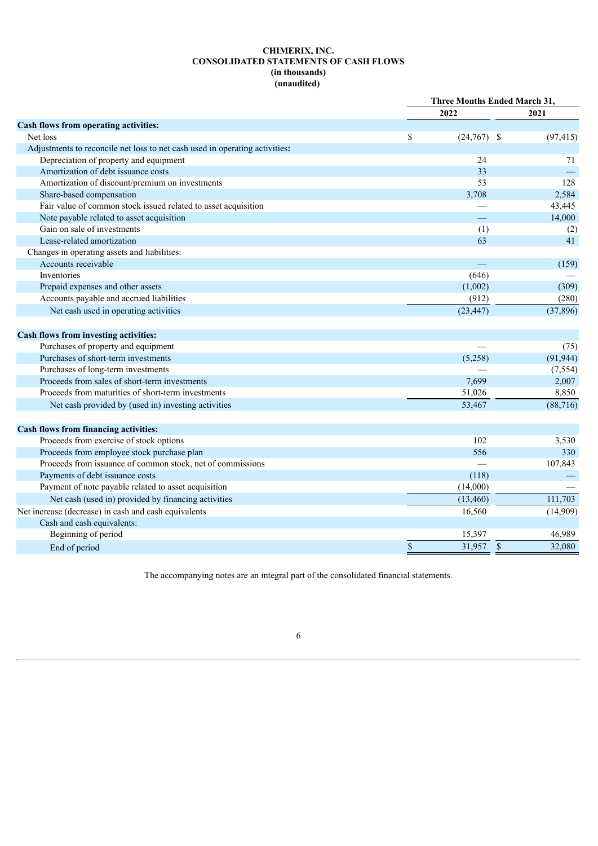## **CHIMERIX, INC. CONSOLIDATED STATEMENTS OF CASH FLOWS (in thousands) (unaudited)**

| 2022<br>2021<br>Cash flows from operating activities:<br>Net loss<br>\$<br>$(24,767)$ \$<br>(97, 415)<br>Adjustments to reconcile net loss to net cash used in operating activities:<br>Depreciation of property and equipment<br>24<br>71<br>Amortization of debt issuance costs<br>33<br>53<br>Amortization of discount/premium on investments<br>128<br>Share-based compensation<br>3,708<br>2,584<br>Fair value of common stock issued related to asset acquisition<br>43,445<br>Note payable related to asset acquisition<br>14,000<br>Gain on sale of investments<br>(1)<br>(2)<br>Lease-related amortization<br>63<br>41<br>Changes in operating assets and liabilities:<br>Accounts receivable<br>(159)<br>Inventories<br>(646)<br>Prepaid expenses and other assets<br>(1,002)<br>(309)<br>Accounts payable and accrued liabilities<br>(912)<br>(280)<br>Net cash used in operating activities<br>(23, 447)<br>(37, 896)<br>Cash flows from investing activities:<br>Purchases of property and equipment<br>(75)<br>Purchases of short-term investments<br>(91, 944)<br>(5,258)<br>Purchases of long-term investments<br>(7, 554)<br>Proceeds from sales of short-term investments<br>7,699<br>2,007<br>Proceeds from maturities of short-term investments<br>8,850<br>51,026<br>53,467<br>(88, 716)<br>Net cash provided by (used in) investing activities<br><b>Cash flows from financing activities:</b><br>Proceeds from exercise of stock options<br>102<br>3,530<br>Proceeds from employee stock purchase plan<br>556<br>330<br>Proceeds from issuance of common stock, net of commissions<br>107,843<br>Payments of debt issuance costs<br>(118)<br>Payment of note payable related to asset acquisition<br>(14,000)<br>Net cash (used in) provided by financing activities<br>111,703<br>(13,460)<br>Net increase (decrease) in cash and cash equivalents<br>16,560<br>(14,909)<br>Cash and cash equivalents:<br>Beginning of period<br>46,989<br>15,397<br>$31,957$ \$ |               | <b>Three Months Ended March 31,</b> |        |  |  |  |
|------------------------------------------------------------------------------------------------------------------------------------------------------------------------------------------------------------------------------------------------------------------------------------------------------------------------------------------------------------------------------------------------------------------------------------------------------------------------------------------------------------------------------------------------------------------------------------------------------------------------------------------------------------------------------------------------------------------------------------------------------------------------------------------------------------------------------------------------------------------------------------------------------------------------------------------------------------------------------------------------------------------------------------------------------------------------------------------------------------------------------------------------------------------------------------------------------------------------------------------------------------------------------------------------------------------------------------------------------------------------------------------------------------------------------------------------------------------------------------------------------------------------------------------------------------------------------------------------------------------------------------------------------------------------------------------------------------------------------------------------------------------------------------------------------------------------------------------------------------------------------------------------------------------------------------------------------------------------------------------|---------------|-------------------------------------|--------|--|--|--|
|                                                                                                                                                                                                                                                                                                                                                                                                                                                                                                                                                                                                                                                                                                                                                                                                                                                                                                                                                                                                                                                                                                                                                                                                                                                                                                                                                                                                                                                                                                                                                                                                                                                                                                                                                                                                                                                                                                                                                                                          |               |                                     |        |  |  |  |
|                                                                                                                                                                                                                                                                                                                                                                                                                                                                                                                                                                                                                                                                                                                                                                                                                                                                                                                                                                                                                                                                                                                                                                                                                                                                                                                                                                                                                                                                                                                                                                                                                                                                                                                                                                                                                                                                                                                                                                                          |               |                                     |        |  |  |  |
|                                                                                                                                                                                                                                                                                                                                                                                                                                                                                                                                                                                                                                                                                                                                                                                                                                                                                                                                                                                                                                                                                                                                                                                                                                                                                                                                                                                                                                                                                                                                                                                                                                                                                                                                                                                                                                                                                                                                                                                          |               |                                     |        |  |  |  |
|                                                                                                                                                                                                                                                                                                                                                                                                                                                                                                                                                                                                                                                                                                                                                                                                                                                                                                                                                                                                                                                                                                                                                                                                                                                                                                                                                                                                                                                                                                                                                                                                                                                                                                                                                                                                                                                                                                                                                                                          |               |                                     |        |  |  |  |
|                                                                                                                                                                                                                                                                                                                                                                                                                                                                                                                                                                                                                                                                                                                                                                                                                                                                                                                                                                                                                                                                                                                                                                                                                                                                                                                                                                                                                                                                                                                                                                                                                                                                                                                                                                                                                                                                                                                                                                                          |               |                                     |        |  |  |  |
|                                                                                                                                                                                                                                                                                                                                                                                                                                                                                                                                                                                                                                                                                                                                                                                                                                                                                                                                                                                                                                                                                                                                                                                                                                                                                                                                                                                                                                                                                                                                                                                                                                                                                                                                                                                                                                                                                                                                                                                          |               |                                     |        |  |  |  |
|                                                                                                                                                                                                                                                                                                                                                                                                                                                                                                                                                                                                                                                                                                                                                                                                                                                                                                                                                                                                                                                                                                                                                                                                                                                                                                                                                                                                                                                                                                                                                                                                                                                                                                                                                                                                                                                                                                                                                                                          |               |                                     |        |  |  |  |
|                                                                                                                                                                                                                                                                                                                                                                                                                                                                                                                                                                                                                                                                                                                                                                                                                                                                                                                                                                                                                                                                                                                                                                                                                                                                                                                                                                                                                                                                                                                                                                                                                                                                                                                                                                                                                                                                                                                                                                                          |               |                                     |        |  |  |  |
|                                                                                                                                                                                                                                                                                                                                                                                                                                                                                                                                                                                                                                                                                                                                                                                                                                                                                                                                                                                                                                                                                                                                                                                                                                                                                                                                                                                                                                                                                                                                                                                                                                                                                                                                                                                                                                                                                                                                                                                          |               |                                     |        |  |  |  |
|                                                                                                                                                                                                                                                                                                                                                                                                                                                                                                                                                                                                                                                                                                                                                                                                                                                                                                                                                                                                                                                                                                                                                                                                                                                                                                                                                                                                                                                                                                                                                                                                                                                                                                                                                                                                                                                                                                                                                                                          |               |                                     |        |  |  |  |
|                                                                                                                                                                                                                                                                                                                                                                                                                                                                                                                                                                                                                                                                                                                                                                                                                                                                                                                                                                                                                                                                                                                                                                                                                                                                                                                                                                                                                                                                                                                                                                                                                                                                                                                                                                                                                                                                                                                                                                                          |               |                                     |        |  |  |  |
|                                                                                                                                                                                                                                                                                                                                                                                                                                                                                                                                                                                                                                                                                                                                                                                                                                                                                                                                                                                                                                                                                                                                                                                                                                                                                                                                                                                                                                                                                                                                                                                                                                                                                                                                                                                                                                                                                                                                                                                          |               |                                     |        |  |  |  |
|                                                                                                                                                                                                                                                                                                                                                                                                                                                                                                                                                                                                                                                                                                                                                                                                                                                                                                                                                                                                                                                                                                                                                                                                                                                                                                                                                                                                                                                                                                                                                                                                                                                                                                                                                                                                                                                                                                                                                                                          |               |                                     |        |  |  |  |
|                                                                                                                                                                                                                                                                                                                                                                                                                                                                                                                                                                                                                                                                                                                                                                                                                                                                                                                                                                                                                                                                                                                                                                                                                                                                                                                                                                                                                                                                                                                                                                                                                                                                                                                                                                                                                                                                                                                                                                                          |               |                                     |        |  |  |  |
|                                                                                                                                                                                                                                                                                                                                                                                                                                                                                                                                                                                                                                                                                                                                                                                                                                                                                                                                                                                                                                                                                                                                                                                                                                                                                                                                                                                                                                                                                                                                                                                                                                                                                                                                                                                                                                                                                                                                                                                          |               |                                     |        |  |  |  |
|                                                                                                                                                                                                                                                                                                                                                                                                                                                                                                                                                                                                                                                                                                                                                                                                                                                                                                                                                                                                                                                                                                                                                                                                                                                                                                                                                                                                                                                                                                                                                                                                                                                                                                                                                                                                                                                                                                                                                                                          |               |                                     |        |  |  |  |
|                                                                                                                                                                                                                                                                                                                                                                                                                                                                                                                                                                                                                                                                                                                                                                                                                                                                                                                                                                                                                                                                                                                                                                                                                                                                                                                                                                                                                                                                                                                                                                                                                                                                                                                                                                                                                                                                                                                                                                                          |               |                                     |        |  |  |  |
|                                                                                                                                                                                                                                                                                                                                                                                                                                                                                                                                                                                                                                                                                                                                                                                                                                                                                                                                                                                                                                                                                                                                                                                                                                                                                                                                                                                                                                                                                                                                                                                                                                                                                                                                                                                                                                                                                                                                                                                          |               |                                     |        |  |  |  |
|                                                                                                                                                                                                                                                                                                                                                                                                                                                                                                                                                                                                                                                                                                                                                                                                                                                                                                                                                                                                                                                                                                                                                                                                                                                                                                                                                                                                                                                                                                                                                                                                                                                                                                                                                                                                                                                                                                                                                                                          |               |                                     |        |  |  |  |
|                                                                                                                                                                                                                                                                                                                                                                                                                                                                                                                                                                                                                                                                                                                                                                                                                                                                                                                                                                                                                                                                                                                                                                                                                                                                                                                                                                                                                                                                                                                                                                                                                                                                                                                                                                                                                                                                                                                                                                                          |               |                                     |        |  |  |  |
|                                                                                                                                                                                                                                                                                                                                                                                                                                                                                                                                                                                                                                                                                                                                                                                                                                                                                                                                                                                                                                                                                                                                                                                                                                                                                                                                                                                                                                                                                                                                                                                                                                                                                                                                                                                                                                                                                                                                                                                          |               |                                     |        |  |  |  |
|                                                                                                                                                                                                                                                                                                                                                                                                                                                                                                                                                                                                                                                                                                                                                                                                                                                                                                                                                                                                                                                                                                                                                                                                                                                                                                                                                                                                                                                                                                                                                                                                                                                                                                                                                                                                                                                                                                                                                                                          |               |                                     |        |  |  |  |
|                                                                                                                                                                                                                                                                                                                                                                                                                                                                                                                                                                                                                                                                                                                                                                                                                                                                                                                                                                                                                                                                                                                                                                                                                                                                                                                                                                                                                                                                                                                                                                                                                                                                                                                                                                                                                                                                                                                                                                                          |               |                                     |        |  |  |  |
|                                                                                                                                                                                                                                                                                                                                                                                                                                                                                                                                                                                                                                                                                                                                                                                                                                                                                                                                                                                                                                                                                                                                                                                                                                                                                                                                                                                                                                                                                                                                                                                                                                                                                                                                                                                                                                                                                                                                                                                          |               |                                     |        |  |  |  |
|                                                                                                                                                                                                                                                                                                                                                                                                                                                                                                                                                                                                                                                                                                                                                                                                                                                                                                                                                                                                                                                                                                                                                                                                                                                                                                                                                                                                                                                                                                                                                                                                                                                                                                                                                                                                                                                                                                                                                                                          |               |                                     |        |  |  |  |
|                                                                                                                                                                                                                                                                                                                                                                                                                                                                                                                                                                                                                                                                                                                                                                                                                                                                                                                                                                                                                                                                                                                                                                                                                                                                                                                                                                                                                                                                                                                                                                                                                                                                                                                                                                                                                                                                                                                                                                                          |               |                                     |        |  |  |  |
|                                                                                                                                                                                                                                                                                                                                                                                                                                                                                                                                                                                                                                                                                                                                                                                                                                                                                                                                                                                                                                                                                                                                                                                                                                                                                                                                                                                                                                                                                                                                                                                                                                                                                                                                                                                                                                                                                                                                                                                          |               |                                     |        |  |  |  |
|                                                                                                                                                                                                                                                                                                                                                                                                                                                                                                                                                                                                                                                                                                                                                                                                                                                                                                                                                                                                                                                                                                                                                                                                                                                                                                                                                                                                                                                                                                                                                                                                                                                                                                                                                                                                                                                                                                                                                                                          |               |                                     |        |  |  |  |
|                                                                                                                                                                                                                                                                                                                                                                                                                                                                                                                                                                                                                                                                                                                                                                                                                                                                                                                                                                                                                                                                                                                                                                                                                                                                                                                                                                                                                                                                                                                                                                                                                                                                                                                                                                                                                                                                                                                                                                                          |               |                                     |        |  |  |  |
|                                                                                                                                                                                                                                                                                                                                                                                                                                                                                                                                                                                                                                                                                                                                                                                                                                                                                                                                                                                                                                                                                                                                                                                                                                                                                                                                                                                                                                                                                                                                                                                                                                                                                                                                                                                                                                                                                                                                                                                          |               |                                     |        |  |  |  |
|                                                                                                                                                                                                                                                                                                                                                                                                                                                                                                                                                                                                                                                                                                                                                                                                                                                                                                                                                                                                                                                                                                                                                                                                                                                                                                                                                                                                                                                                                                                                                                                                                                                                                                                                                                                                                                                                                                                                                                                          |               |                                     |        |  |  |  |
|                                                                                                                                                                                                                                                                                                                                                                                                                                                                                                                                                                                                                                                                                                                                                                                                                                                                                                                                                                                                                                                                                                                                                                                                                                                                                                                                                                                                                                                                                                                                                                                                                                                                                                                                                                                                                                                                                                                                                                                          |               |                                     |        |  |  |  |
|                                                                                                                                                                                                                                                                                                                                                                                                                                                                                                                                                                                                                                                                                                                                                                                                                                                                                                                                                                                                                                                                                                                                                                                                                                                                                                                                                                                                                                                                                                                                                                                                                                                                                                                                                                                                                                                                                                                                                                                          |               |                                     |        |  |  |  |
|                                                                                                                                                                                                                                                                                                                                                                                                                                                                                                                                                                                                                                                                                                                                                                                                                                                                                                                                                                                                                                                                                                                                                                                                                                                                                                                                                                                                                                                                                                                                                                                                                                                                                                                                                                                                                                                                                                                                                                                          |               |                                     |        |  |  |  |
|                                                                                                                                                                                                                                                                                                                                                                                                                                                                                                                                                                                                                                                                                                                                                                                                                                                                                                                                                                                                                                                                                                                                                                                                                                                                                                                                                                                                                                                                                                                                                                                                                                                                                                                                                                                                                                                                                                                                                                                          |               |                                     |        |  |  |  |
|                                                                                                                                                                                                                                                                                                                                                                                                                                                                                                                                                                                                                                                                                                                                                                                                                                                                                                                                                                                                                                                                                                                                                                                                                                                                                                                                                                                                                                                                                                                                                                                                                                                                                                                                                                                                                                                                                                                                                                                          | End of period | \$                                  | 32,080 |  |  |  |

<span id="page-6-0"></span>The accompanying notes are an integral part of the consolidated financial statements.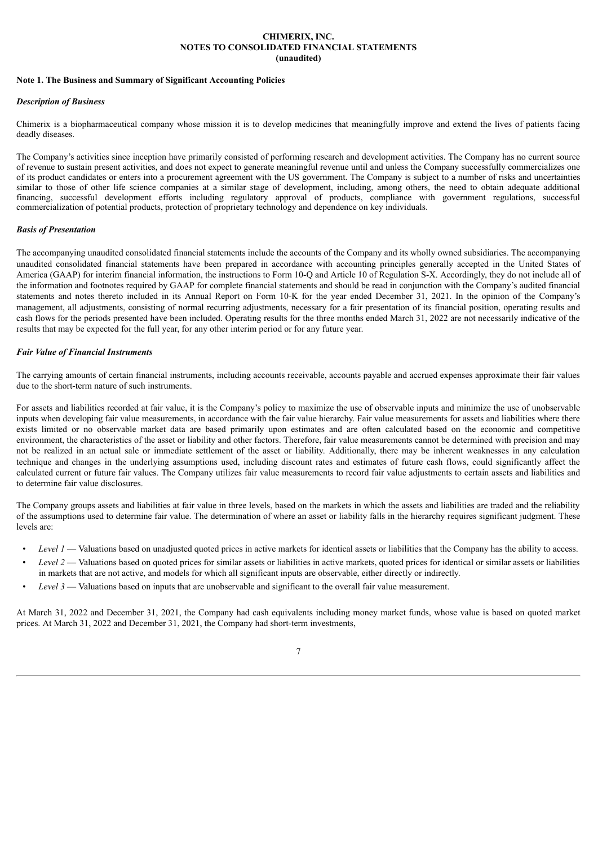### **CHIMERIX, INC. NOTES TO CONSOLIDATED FINANCIAL STATEMENTS (unaudited)**

#### **Note 1. The Business and Summary of Significant Accounting Policies**

### *Description of Business*

Chimerix is a biopharmaceutical company whose mission it is to develop medicines that meaningfully improve and extend the lives of patients facing deadly diseases.

The Company's activities since inception have primarily consisted of performing research and development activities. The Company has no current source of revenue to sustain present activities, and does not expect to generate meaningful revenue until and unless the Company successfully commercializes one of its product candidates or enters into a procurement agreement with the US government. The Company is subject to a number of risks and uncertainties similar to those of other life science companies at a similar stage of development, including, among others, the need to obtain adequate additional financing, successful development efforts including regulatory approval of products, compliance with government regulations, successful commercialization of potential products, protection of proprietary technology and dependence on key individuals.

### *Basis of Presentation*

The accompanying unaudited consolidated financial statements include the accounts of the Company and its wholly owned subsidiaries. The accompanying unaudited consolidated financial statements have been prepared in accordance with accounting principles generally accepted in the United States of America (GAAP) for interim financial information, the instructions to Form 10-Q and Article 10 of Regulation S-X. Accordingly, they do not include all of the information and footnotes required by GAAP for complete financial statements and should be read in conjunction with the Company's audited financial statements and notes thereto included in its Annual Report on Form 10-K for the year ended December 31, 2021. In the opinion of the Company's management, all adjustments, consisting of normal recurring adjustments, necessary for a fair presentation of its financial position, operating results and cash flows for the periods presented have been included. Operating results for the three months ended March 31, 2022 are not necessarily indicative of the results that may be expected for the full year, for any other interim period or for any future year.

### *Fair Value of Financial Instruments*

The carrying amounts of certain financial instruments, including accounts receivable, accounts payable and accrued expenses approximate their fair values due to the short-term nature of such instruments.

For assets and liabilities recorded at fair value, it is the Company's policy to maximize the use of observable inputs and minimize the use of unobservable inputs when developing fair value measurements, in accordance with the fair value hierarchy. Fair value measurements for assets and liabilities where there exists limited or no observable market data are based primarily upon estimates and are often calculated based on the economic and competitive environment, the characteristics of the asset or liability and other factors. Therefore, fair value measurements cannot be determined with precision and may not be realized in an actual sale or immediate settlement of the asset or liability. Additionally, there may be inherent weaknesses in any calculation technique and changes in the underlying assumptions used, including discount rates and estimates of future cash flows, could significantly affect the calculated current or future fair values. The Company utilizes fair value measurements to record fair value adjustments to certain assets and liabilities and to determine fair value disclosures.

The Company groups assets and liabilities at fair value in three levels, based on the markets in which the assets and liabilities are traded and the reliability of the assumptions used to determine fair value. The determination of where an asset or liability falls in the hierarchy requires significant judgment. These levels are:

- *Level* 1 Valuations based on unadjusted quoted prices in active markets for identical assets or liabilities that the Company has the ability to access.
- *Level* 2 Valuations based on quoted prices for similar assets or liabilities in active markets, quoted prices for identical or similar assets or liabilities in markets that are not active, and models for which all significant inputs are observable, either directly or indirectly.
- *Level 3* Valuations based on inputs that are unobservable and significant to the overall fair value measurement.

At March 31, 2022 and December 31, 2021, the Company had cash equivalents including money market funds, whose value is based on quoted market prices. At March 31, 2022 and December 31, 2021, the Company had short-term investments,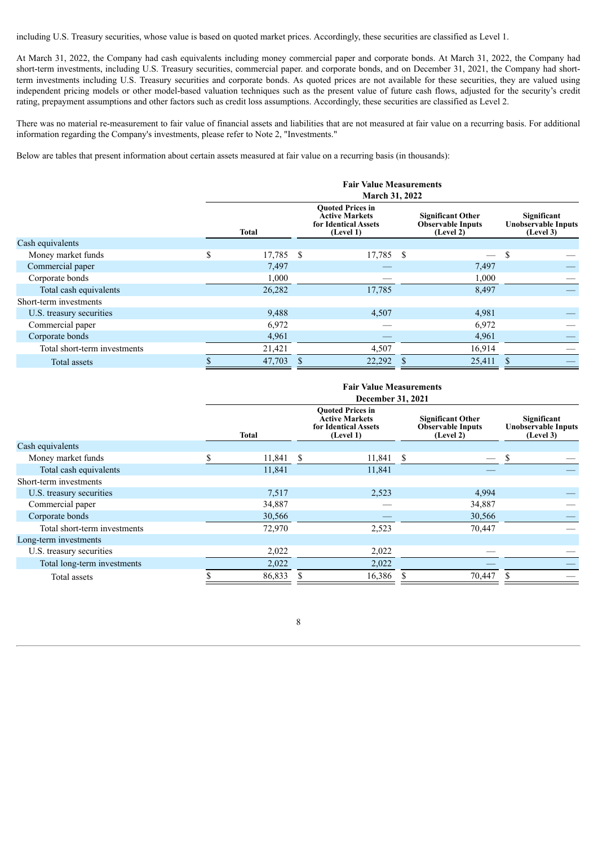including U.S. Treasury securities, whose value is based on quoted market prices. Accordingly, these securities are classified as Level 1.

At March 31, 2022, the Company had cash equivalents including money commercial paper and corporate bonds. At March 31, 2022, the Company had short-term investments, including U.S. Treasury securities, commercial paper. and corporate bonds, and on December 31, 2021, the Company had shortterm investments including U.S. Treasury securities and corporate bonds. As quoted prices are not available for these securities, they are valued using independent pricing models or other model-based valuation techniques such as the present value of future cash flows, adjusted for the security's credit rating, prepayment assumptions and other factors such as credit loss assumptions. Accordingly, these securities are classified as Level 2.

There was no material re-measurement to fair value of financial assets and liabilities that are not measured at fair value on a recurring basis. For additional information regarding the Company's investments, please refer to Note 2, "Investments."

Below are tables that present information about certain assets measured at fair value on a recurring basis (in thousands):

|                              | <b>Fair Value Measurements</b><br><b>March 31, 2022</b> |           |  |                                                                                       |    |                                                                   |    |                                                        |  |  |
|------------------------------|---------------------------------------------------------|-----------|--|---------------------------------------------------------------------------------------|----|-------------------------------------------------------------------|----|--------------------------------------------------------|--|--|
|                              |                                                         | Total     |  | <b>Ouoted Prices in</b><br><b>Active Markets</b><br>for Identical Assets<br>(Level 1) |    | <b>Significant Other</b><br><b>Observable Inputs</b><br>(Level 2) |    | Significant<br><b>Unobservable Inputs</b><br>(Level 3) |  |  |
| Cash equivalents             |                                                         |           |  |                                                                                       |    |                                                                   |    |                                                        |  |  |
| Money market funds           | \$                                                      | 17,785 \$ |  | 17,785                                                                                | -S |                                                                   | \$ |                                                        |  |  |
| Commercial paper             |                                                         | 7,497     |  |                                                                                       |    | 7,497                                                             |    |                                                        |  |  |
| Corporate bonds              |                                                         | 1,000     |  |                                                                                       |    | 1,000                                                             |    |                                                        |  |  |
| Total cash equivalents       |                                                         | 26,282    |  | 17,785                                                                                |    | 8,497                                                             |    |                                                        |  |  |
| Short-term investments       |                                                         |           |  |                                                                                       |    |                                                                   |    |                                                        |  |  |
| U.S. treasury securities     |                                                         | 9,488     |  | 4,507                                                                                 |    | 4,981                                                             |    |                                                        |  |  |
| Commercial paper             |                                                         | 6,972     |  |                                                                                       |    | 6,972                                                             |    |                                                        |  |  |
| Corporate bonds              |                                                         | 4,961     |  |                                                                                       |    | 4,961                                                             |    |                                                        |  |  |
| Total short-term investments |                                                         | 21,421    |  | 4,507                                                                                 |    | 16,914                                                            |    |                                                        |  |  |
| <b>Total assets</b>          |                                                         | 47,703    |  | 22,292                                                                                |    | 25,411                                                            |    |                                                        |  |  |

|                              | <b>Fair Value Measurements</b><br>December 31, 2021 |              |      |                                                                                       |               |                                                                   |                                                        |  |  |  |
|------------------------------|-----------------------------------------------------|--------------|------|---------------------------------------------------------------------------------------|---------------|-------------------------------------------------------------------|--------------------------------------------------------|--|--|--|
|                              |                                                     | <b>Total</b> |      | <b>Ouoted Prices in</b><br><b>Active Markets</b><br>for Identical Assets<br>(Level 1) |               | <b>Significant Other</b><br><b>Observable Inputs</b><br>(Level 2) | Significant<br><b>Unobservable Inputs</b><br>(Level 3) |  |  |  |
| Cash equivalents             |                                                     |              |      |                                                                                       |               |                                                                   |                                                        |  |  |  |
| Money market funds           |                                                     | 11,841       | - \$ | 11,841                                                                                | <sup>\$</sup> |                                                                   | ъ                                                      |  |  |  |
| Total cash equivalents       |                                                     | 11,841       |      | 11,841                                                                                |               |                                                                   |                                                        |  |  |  |
| Short-term investments       |                                                     |              |      |                                                                                       |               |                                                                   |                                                        |  |  |  |
| U.S. treasury securities     |                                                     | 7,517        |      | 2,523                                                                                 |               | 4,994                                                             |                                                        |  |  |  |
| Commercial paper             |                                                     | 34,887       |      |                                                                                       |               | 34,887                                                            |                                                        |  |  |  |
| Corporate bonds              |                                                     | 30,566       |      |                                                                                       |               | 30,566                                                            |                                                        |  |  |  |
| Total short-term investments |                                                     | 72,970       |      | 2,523                                                                                 |               | 70,447                                                            |                                                        |  |  |  |
| Long-term investments        |                                                     |              |      |                                                                                       |               |                                                                   |                                                        |  |  |  |
| U.S. treasury securities     |                                                     | 2,022        |      | 2,022                                                                                 |               |                                                                   |                                                        |  |  |  |
| Total long-term investments  |                                                     | 2,022        |      | 2,022                                                                                 |               |                                                                   |                                                        |  |  |  |
| Total assets                 |                                                     | 86,833       |      | 16,386                                                                                |               | 70,447                                                            |                                                        |  |  |  |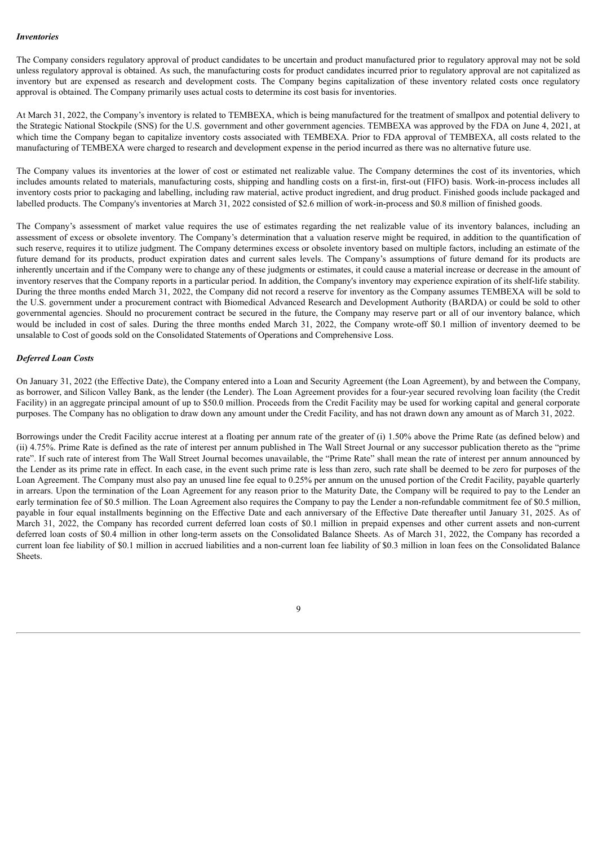### *Inventories*

The Company considers regulatory approval of product candidates to be uncertain and product manufactured prior to regulatory approval may not be sold unless regulatory approval is obtained. As such, the manufacturing costs for product candidates incurred prior to regulatory approval are not capitalized as inventory but are expensed as research and development costs. The Company begins capitalization of these inventory related costs once regulatory approval is obtained. The Company primarily uses actual costs to determine its cost basis for inventories.

At March 31, 2022, the Company's inventory is related to TEMBEXA, which is being manufactured for the treatment of smallpox and potential delivery to the Strategic National Stockpile (SNS) for the U.S. government and other government agencies. TEMBEXA was approved by the FDA on June 4, 2021, at which time the Company began to capitalize inventory costs associated with TEMBEXA. Prior to FDA approval of TEMBEXA, all costs related to the manufacturing of TEMBEXA were charged to research and development expense in the period incurred as there was no alternative future use.

The Company values its inventories at the lower of cost or estimated net realizable value. The Company determines the cost of its inventories, which includes amounts related to materials, manufacturing costs, shipping and handling costs on a first-in, first-out (FIFO) basis. Work-in-process includes all inventory costs prior to packaging and labelling, including raw material, active product ingredient, and drug product. Finished goods include packaged and labelled products. The Company's inventories at March 31, 2022 consisted of \$2.6 million of work-in-process and \$0.8 million of finished goods.

The Company's assessment of market value requires the use of estimates regarding the net realizable value of its inventory balances, including an assessment of excess or obsolete inventory. The Company's determination that a valuation reserve might be required, in addition to the quantification of such reserve, requires it to utilize judgment. The Company determines excess or obsolete inventory based on multiple factors, including an estimate of the future demand for its products, product expiration dates and current sales levels. The Company's assumptions of future demand for its products are inherently uncertain and if the Company were to change any of these judgments or estimates, it could cause a material increase or decrease in the amount of inventory reserves that the Company reports in a particular period. In addition, the Company's inventory may experience expiration of its shelf-life stability. During the three months ended March 31, 2022, the Company did not record a reserve for inventory as the Company assumes TEMBEXA will be sold to the U.S. government under a procurement contract with Biomedical Advanced Research and Development Authority (BARDA) or could be sold to other governmental agencies. Should no procurement contract be secured in the future, the Company may reserve part or all of our inventory balance, which would be included in cost of sales. During the three months ended March 31, 2022, the Company wrote-off \$0.1 million of inventory deemed to be unsalable to Cost of goods sold on the Consolidated Statements of Operations and Comprehensive Loss.

## *Deferred Loan Costs*

On January 31, 2022 (the Effective Date), the Company entered into a Loan and Security Agreement (the Loan Agreement), by and between the Company, as borrower, and Silicon Valley Bank, as the lender (the Lender). The Loan Agreement provides for a four-year secured revolving loan facility (the Credit Facility) in an aggregate principal amount of up to \$50.0 million. Proceeds from the Credit Facility may be used for working capital and general corporate purposes. The Company has no obligation to draw down any amount under the Credit Facility, and has not drawn down any amount as of March 31, 2022.

Borrowings under the Credit Facility accrue interest at a floating per annum rate of the greater of (i) 1.50% above the Prime Rate (as defined below) and (ii) 4.75%. Prime Rate is defined as the rate of interest per annum published in The Wall Street Journal or any successor publication thereto as the "prime rate". If such rate of interest from The Wall Street Journal becomes unavailable, the "Prime Rate" shall mean the rate of interest per annum announced by the Lender as its prime rate in effect. In each case, in the event such prime rate is less than zero, such rate shall be deemed to be zero for purposes of the Loan Agreement. The Company must also pay an unused line fee equal to 0.25% per annum on the unused portion of the Credit Facility, payable quarterly in arrears. Upon the termination of the Loan Agreement for any reason prior to the Maturity Date, the Company will be required to pay to the Lender an early termination fee of \$0.5 million. The Loan Agreement also requires the Company to pay the Lender a non-refundable commitment fee of \$0.5 million, payable in four equal installments beginning on the Effective Date and each anniversary of the Effective Date thereafter until January 31, 2025. As of March 31, 2022, the Company has recorded current deferred loan costs of \$0.1 million in prepaid expenses and other current assets and non-current deferred loan costs of \$0.4 million in other long-term assets on the Consolidated Balance Sheets. As of March 31, 2022, the Company has recorded a current loan fee liability of \$0.1 million in accrued liabilities and a non-current loan fee liability of \$0.3 million in loan fees on the Consolidated Balance **Sheets**.

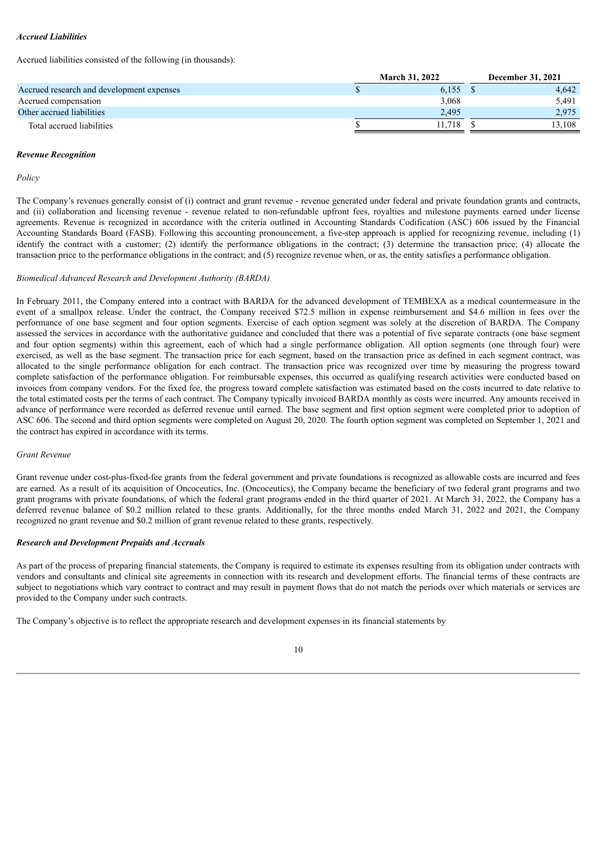## *Accrued Liabilities*

Accrued liabilities consisted of the following (in thousands):

|                                           | <b>March 31, 2022</b> | <b>December 31, 2021</b> |
|-------------------------------------------|-----------------------|--------------------------|
| Accrued research and development expenses | 6,155                 | 4.642                    |
| Accrued compensation                      | 3,068                 | 5,491                    |
| Other accrued liabilities                 | 2.495                 | 2,975                    |
| Total accrued liabilities                 | 11.718                | 13.108                   |

#### *Revenue Recognition*

## *Policy*

The Company's revenues generally consist of (i) contract and grant revenue - revenue generated under federal and private foundation grants and contracts, and (ii) collaboration and licensing revenue - revenue related to non-refundable upfront fees, royalties and milestone payments earned under license agreements. Revenue is recognized in accordance with the criteria outlined in Accounting Standards Codification (ASC) 606 issued by the Financial Accounting Standards Board (FASB). Following this accounting pronouncement, a five-step approach is applied for recognizing revenue, including (1) identify the contract with a customer; (2) identify the performance obligations in the contract; (3) determine the transaction price; (4) allocate the transaction price to the performance obligations in the contract; and (5) recognize revenue when, or as, the entity satisfies a performance obligation.

### *Biomedical Advanced Research and Development Authority (BARDA)*

In February 2011, the Company entered into a contract with BARDA for the advanced development of TEMBEXA as a medical countermeasure in the event of a smallpox release. Under the contract, the Company received \$72.5 million in expense reimbursement and \$4.6 million in fees over the performance of one base segment and four option segments. Exercise of each option segment was solely at the discretion of BARDA. The Company assessed the services in accordance with the authoritative guidance and concluded that there was a potential of five separate contracts (one base segment and four option segments) within this agreement, each of which had a single performance obligation. All option segments (one through four) were exercised, as well as the base segment. The transaction price for each segment, based on the transaction price as defined in each segment contract, was allocated to the single performance obligation for each contract. The transaction price was recognized over time by measuring the progress toward complete satisfaction of the performance obligation. For reimbursable expenses, this occurred as qualifying research activities were conducted based on invoices from company vendors. For the fixed fee, the progress toward complete satisfaction was estimated based on the costs incurred to date relative to the total estimated costs per the terms of each contract. The Company typically invoiced BARDA monthly as costs were incurred. Any amounts received in advance of performance were recorded as deferred revenue until earned. The base segment and first option segment were completed prior to adoption of ASC 606. The second and third option segments were completed on August 20, 2020. The fourth option segment was completed on September 1, 2021 and the contract has expired in accordance with its terms.

### *Grant Revenue*

Grant revenue under cost-plus-fixed-fee grants from the federal government and private foundations is recognized as allowable costs are incurred and fees are earned. As a result of its acquisition of Oncoceutics, Inc. (Oncoceutics), the Company became the beneficiary of two federal grant programs and two grant programs with private foundations, of which the federal grant programs ended in the third quarter of 2021. At March 31, 2022, the Company has a deferred revenue balance of \$0.2 million related to these grants. Additionally, for the three months ended March 31, 2022 and 2021, the Company recognized no grant revenue and \$0.2 million of grant revenue related to these grants, respectively.

### *Research and Development Prepaids and Accruals*

As part of the process of preparing financial statements, the Company is required to estimate its expenses resulting from its obligation under contracts with vendors and consultants and clinical site agreements in connection with its research and development efforts. The financial terms of these contracts are subject to negotiations which vary contract to contract and may result in payment flows that do not match the periods over which materials or services are provided to the Company under such contracts.

The Company's objective is to reflect the appropriate research and development expenses in its financial statements by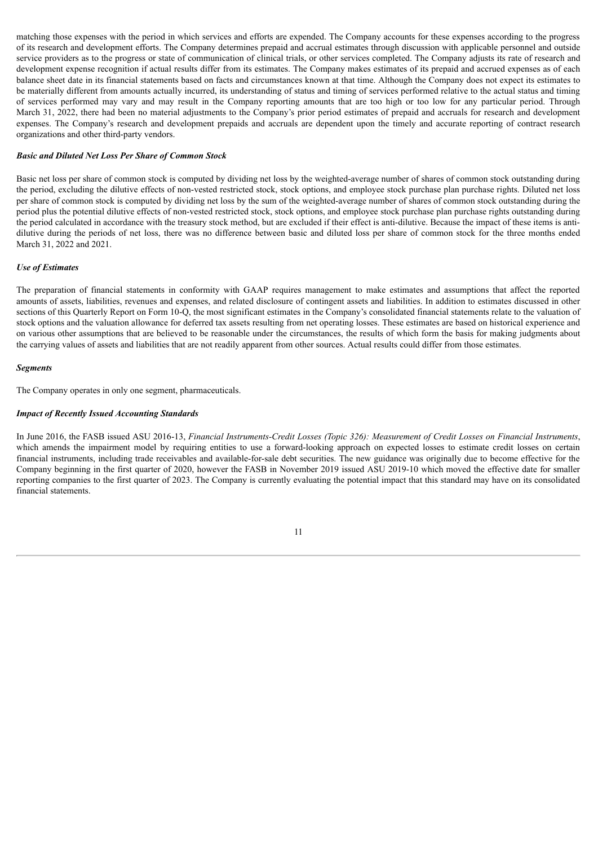matching those expenses with the period in which services and efforts are expended. The Company accounts for these expenses according to the progress of its research and development efforts. The Company determines prepaid and accrual estimates through discussion with applicable personnel and outside service providers as to the progress or state of communication of clinical trials, or other services completed. The Company adjusts its rate of research and development expense recognition if actual results differ from its estimates. The Company makes estimates of its prepaid and accrued expenses as of each balance sheet date in its financial statements based on facts and circumstances known at that time. Although the Company does not expect its estimates to be materially different from amounts actually incurred, its understanding of status and timing of services performed relative to the actual status and timing of services performed may vary and may result in the Company reporting amounts that are too high or too low for any particular period. Through March 31, 2022, there had been no material adjustments to the Company's prior period estimates of prepaid and accruals for research and development expenses. The Company's research and development prepaids and accruals are dependent upon the timely and accurate reporting of contract research organizations and other third-party vendors.

#### *Basic and Diluted Net Loss Per Share of Common Stock*

Basic net loss per share of common stock is computed by dividing net loss by the weighted-average number of shares of common stock outstanding during the period, excluding the dilutive effects of non-vested restricted stock, stock options, and employee stock purchase plan purchase rights. Diluted net loss per share of common stock is computed by dividing net loss by the sum of the weighted-average number of shares of common stock outstanding during the period plus the potential dilutive effects of non-vested restricted stock, stock options, and employee stock purchase plan purchase rights outstanding during the period calculated in accordance with the treasury stock method, but are excluded if their effect is anti-dilutive. Because the impact of these items is antidilutive during the periods of net loss, there was no difference between basic and diluted loss per share of common stock for the three months ended March 31, 2022 and 2021.

#### *Use of Estimates*

The preparation of financial statements in conformity with GAAP requires management to make estimates and assumptions that affect the reported amounts of assets, liabilities, revenues and expenses, and related disclosure of contingent assets and liabilities. In addition to estimates discussed in other sections of this Quarterly Report on Form 10-Q, the most significant estimates in the Company's consolidated financial statements relate to the valuation of stock options and the valuation allowance for deferred tax assets resulting from net operating losses. These estimates are based on historical experience and on various other assumptions that are believed to be reasonable under the circumstances, the results of which form the basis for making judgments about the carrying values of assets and liabilities that are not readily apparent from other sources. Actual results could differ from those estimates.

#### *Segments*

The Company operates in only one segment, pharmaceuticals.

#### *Impact of Recently Issued Accounting Standards*

In June 2016, the FASB issued ASU 2016-13, Financial Instruments-Credit Losses (Topic 326): Measurement of Credit Losses on Financial Instruments, which amends the impairment model by requiring entities to use a forward-looking approach on expected losses to estimate credit losses on certain financial instruments, including trade receivables and available-for-sale debt securities. The new guidance was originally due to become effective for the Company beginning in the first quarter of 2020, however the FASB in November 2019 issued ASU 2019-10 which moved the effective date for smaller reporting companies to the first quarter of 2023. The Company is currently evaluating the potential impact that this standard may have on its consolidated financial statements.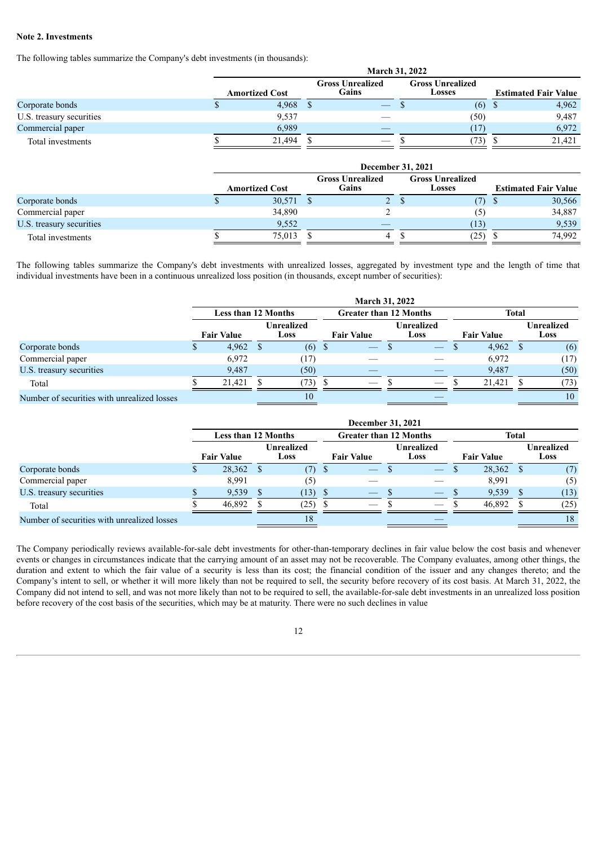## **Note 2. Investments**

The following tables summarize the Company's debt investments (in thousands):

|                          | <b>March 31, 2022</b> |  |                                  |                   |                                          |      |                             |
|--------------------------|-----------------------|--|----------------------------------|-------------------|------------------------------------------|------|-----------------------------|
|                          | <b>Amortized Cost</b> |  | <b>Gross Unrealized</b><br>Gains |                   | <b>Gross Unrealized</b><br><b>Losses</b> |      | <b>Estimated Fair Value</b> |
| Corporate bonds          | $4,968$ \$            |  |                                  |                   | (6)                                      | - \$ | 4,962                       |
| U.S. treasury securities | 9,537                 |  |                                  |                   | (50)                                     |      | 9,487                       |
| Commercial paper         | 6,989                 |  |                                  |                   | (17)                                     |      | 6,972                       |
| Total investments        | 21,494                |  |                                  |                   | (73)                                     |      | 21,421                      |
|                          |                       |  |                                  | December 31, 2021 |                                          |      |                             |
|                          | <b>Amortized Cost</b> |  | <b>Gross Unrealized</b><br>Gains |                   | <b>Gross Unrealized</b><br><b>Losses</b> |      | <b>Estimated Fair Value</b> |
| Corporate bonds          | 30,571                |  | $2^{\circ}$                      |                   | (7)                                      | -8   | 30,566                      |

| Commercial paper                   | 34,890                      |              | 34,887      |
|------------------------------------|-----------------------------|--------------|-------------|
| U.S. treasury<br><i>securities</i> | $C = C$<br>ے رہے            | - - -        | 520<br>ر ر. |
| Total investments                  | 75.012<br>$. \cup . \cup .$ | (25)<br>ت سے | 74.992      |

The following tables summarize the Company's debt investments with unrealized losses, aggregated by investment type and the length of time that individual investments have been in a continuous unrealized loss position (in thousands, except number of securities):

|                                             |                            |                           |   | <b>March 31, 2022</b>           |  |                                 |  |                   |  |                    |  |
|---------------------------------------------|----------------------------|---------------------------|---|---------------------------------|--|---------------------------------|--|-------------------|--|--------------------|--|
|                                             | <b>Less than 12 Months</b> |                           |   | <b>Greater than 12 Months</b>   |  |                                 |  | <b>Total</b>      |  |                    |  |
|                                             | <b>Fair Value</b>          | <b>Unrealized</b><br>Loss |   | <b>Fair Value</b>               |  | Unrealized<br>Loss              |  | <b>Fair Value</b> |  | Unrealized<br>Loss |  |
| Corporate bonds                             | 4,962                      | (6)                       | ъ | $\hspace{0.1mm}-\hspace{0.1mm}$ |  | $\hspace{0.1mm}-\hspace{0.1mm}$ |  | 4,962             |  | (6)                |  |
| Commercial paper                            | 6,972                      | (17)                      |   |                                 |  |                                 |  | 6,972             |  | (17)               |  |
| U.S. treasury securities                    | 9.487                      | (50)                      |   |                                 |  |                                 |  | 9.487             |  | (50)               |  |
| Total                                       | 21.421                     | (73)                      |   |                                 |  |                                 |  | 21.421            |  | (73)               |  |
| Number of securities with unrealized losses |                            | 10                        |   |                                 |  |                                 |  |                   |  | 10                 |  |

|                                             |                            |                   |  |                           |                               | December 31, 2021        |  |                           |              |                   |  |                    |
|---------------------------------------------|----------------------------|-------------------|--|---------------------------|-------------------------------|--------------------------|--|---------------------------|--------------|-------------------|--|--------------------|
|                                             | <b>Less than 12 Months</b> |                   |  |                           | <b>Greater than 12 Months</b> |                          |  |                           | <b>Total</b> |                   |  |                    |
|                                             |                            | <b>Fair Value</b> |  | <b>Unrealized</b><br>Loss |                               | <b>Fair Value</b>        |  | <b>Unrealized</b><br>Loss |              | <b>Fair Value</b> |  | Unrealized<br>Loss |
| Corporate bonds                             |                            | 28,362            |  | (7)                       | - 25                          | $\overline{\phantom{m}}$ |  | $\overline{\phantom{a}}$  | <sup>S</sup> | 28,362            |  | (7)                |
| Commercial paper                            |                            | 8,991             |  | 5)                        |                               |                          |  |                           |              | 8,991             |  | (5)                |
| U.S. treasury securities                    |                            | 9.539             |  | (13)                      |                               | $\overline{\phantom{0}}$ |  |                           |              | 9,539             |  | (13)               |
| Total                                       |                            | 46,892            |  | (25)                      |                               |                          |  |                           |              | 46,892            |  | (25)               |
| Number of securities with unrealized losses |                            |                   |  | 18                        |                               |                          |  |                           |              |                   |  | 18                 |

The Company periodically reviews available-for-sale debt investments for other-than-temporary declines in fair value below the cost basis and whenever events or changes in circumstances indicate that the carrying amount of an asset may not be recoverable. The Company evaluates, among other things, the duration and extent to which the fair value of a security is less than its cost; the financial condition of the issuer and any changes thereto; and the Company's intent to sell, or whether it will more likely than not be required to sell, the security before recovery of its cost basis. At March 31, 2022, the Company did not intend to sell, and was not more likely than not to be required to sell, the available-for-sale debt investments in an unrealized loss position before recovery of the cost basis of the securities, which may be at maturity. There were no such declines in value

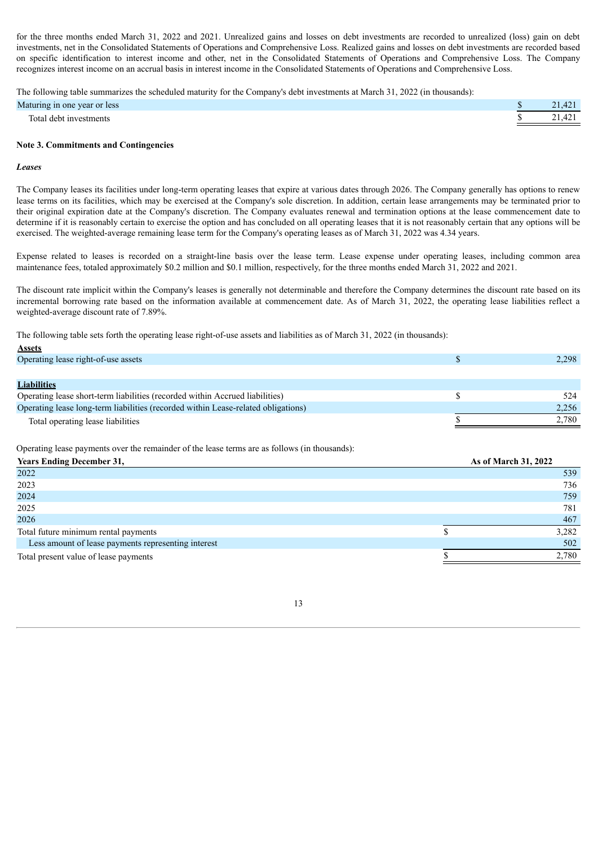for the three months ended March 31, 2022 and 2021. Unrealized gains and losses on debt investments are recorded to unrealized (loss) gain on debt investments, net in the Consolidated Statements of Operations and Comprehensive Loss. Realized gains and losses on debt investments are recorded based on specific identification to interest income and other, net in the Consolidated Statements of Operations and Comprehensive Loss. The Company recognizes interest income on an accrual basis in interest income in the Consolidated Statements of Operations and Comprehensive Loss.

The following table summarizes the scheduled maturity for the Company's debt investments at March 31, 2022 (in thousands):

| Maturing in one year or less |       |
|------------------------------|-------|
| Total debt investments       | 21.42 |
|                              |       |

## **Note 3. Commitments and Contingencies**

#### *Leases*

The Company leases its facilities under long-term operating leases that expire at various dates through 2026. The Company generally has options to renew lease terms on its facilities, which may be exercised at the Company's sole discretion. In addition, certain lease arrangements may be terminated prior to their original expiration date at the Company's discretion. The Company evaluates renewal and termination options at the lease commencement date to determine if it is reasonably certain to exercise the option and has concluded on all operating leases that it is not reasonably certain that any options will be exercised. The weighted-average remaining lease term for the Company's operating leases as of March 31, 2022 was 4.34 years.

Expense related to leases is recorded on a straight-line basis over the lease term. Lease expense under operating leases, including common area maintenance fees, totaled approximately \$0.2 million and \$0.1 million, respectively, for the three months ended March 31, 2022 and 2021.

The discount rate implicit within the Company's leases is generally not determinable and therefore the Company determines the discount rate based on its incremental borrowing rate based on the information available at commencement date. As of March 31, 2022, the operating lease liabilities reflect a weighted-average discount rate of 7.89%.

The following table sets forth the operating lease right-of-use assets and liabilities as of March 31, 2022 (in thousands):

| <b>Assets</b>                                                                     |       |
|-----------------------------------------------------------------------------------|-------|
| Operating lease right-of-use assets                                               | 2.298 |
|                                                                                   |       |
| <b>Liabilities</b>                                                                |       |
| Operating lease short-term liabilities (recorded within Accrued liabilities)      | 524   |
| Operating lease long-term liabilities (recorded within Lease-related obligations) | 2,256 |
| Total operating lease liabilities                                                 | 2,780 |

Operating lease payments over the remainder of the lease terms are as follows (in thousands):

| <b>Years Ending December 31,</b>                    | As of March 31, 2022 |
|-----------------------------------------------------|----------------------|
| 2022                                                | 539                  |
| 2023                                                | 736                  |
| 2024                                                | 759                  |
| 2025                                                | 781                  |
| 2026                                                | 467                  |
| Total future minimum rental payments                | 3,282                |
| Less amount of lease payments representing interest | 502                  |
| Total present value of lease payments               | 2,780                |

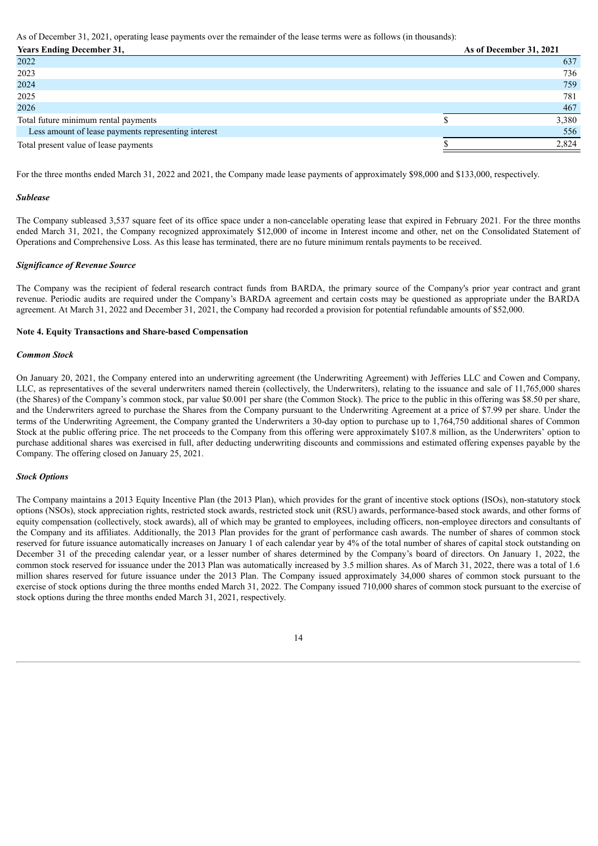As of December 31, 2021, operating lease payments over the remainder of the lease terms were as follows (in thousands):

|                                  |  | ______ |  |
|----------------------------------|--|--------|--|
| <b>Years Ending December 31,</b> |  |        |  |
|                                  |  |        |  |

| <b>Years Ending December 31,</b>                    | As of December 31, 2021 |
|-----------------------------------------------------|-------------------------|
| 2022                                                | 637                     |
| 2023                                                | 736                     |
| 2024                                                | 759                     |
| 2025                                                | 781                     |
| 2026                                                | 467                     |
| Total future minimum rental payments                | 3,380                   |
| Less amount of lease payments representing interest | 556                     |
| Total present value of lease payments               | 2.824                   |

For the three months ended March 31, 2022 and 2021, the Company made lease payments of approximately \$98,000 and \$133,000, respectively.

#### *Sublease*

The Company subleased 3,537 square feet of its office space under a non-cancelable operating lease that expired in February 2021. For the three months ended March 31, 2021, the Company recognized approximately \$12,000 of income in Interest income and other, net on the Consolidated Statement of Operations and Comprehensive Loss. As this lease has terminated, there are no future minimum rentals payments to be received.

### *Significance of Revenue Source*

The Company was the recipient of federal research contract funds from BARDA, the primary source of the Company's prior year contract and grant revenue. Periodic audits are required under the Company's BARDA agreement and certain costs may be questioned as appropriate under the BARDA agreement. At March 31, 2022 and December 31, 2021, the Company had recorded a provision for potential refundable amounts of \$52,000.

### **Note 4. Equity Transactions and Share-based Compensation**

#### *Common Stock*

On January 20, 2021, the Company entered into an underwriting agreement (the Underwriting Agreement) with Jefferies LLC and Cowen and Company, LLC, as representatives of the several underwriters named therein (collectively, the Underwriters), relating to the issuance and sale of 11,765,000 shares (the Shares) of the Company's common stock, par value \$0.001 per share (the Common Stock). The price to the public in this offering was \$8.50 per share, and the Underwriters agreed to purchase the Shares from the Company pursuant to the Underwriting Agreement at a price of \$7.99 per share. Under the terms of the Underwriting Agreement, the Company granted the Underwriters a 30-day option to purchase up to 1,764,750 additional shares of Common Stock at the public offering price. The net proceeds to the Company from this offering were approximately \$107.8 million, as the Underwriters' option to purchase additional shares was exercised in full, after deducting underwriting discounts and commissions and estimated offering expenses payable by the Company. The offering closed on January 25, 2021.

## *Stock Options*

The Company maintains a 2013 Equity Incentive Plan (the 2013 Plan), which provides for the grant of incentive stock options (ISOs), non-statutory stock options (NSOs), stock appreciation rights, restricted stock awards, restricted stock unit (RSU) awards, performance-based stock awards, and other forms of equity compensation (collectively, stock awards), all of which may be granted to employees, including officers, non-employee directors and consultants of the Company and its affiliates. Additionally, the 2013 Plan provides for the grant of performance cash awards. The number of shares of common stock reserved for future issuance automatically increases on January 1 of each calendar year by 4% of the total number of shares of capital stock outstanding on December 31 of the preceding calendar year, or a lesser number of shares determined by the Company's board of directors. On January 1, 2022, the common stock reserved for issuance under the 2013 Plan was automatically increased by 3.5 million shares. As of March 31, 2022, there was a total of 1.6 million shares reserved for future issuance under the 2013 Plan. The Company issued approximately 34,000 shares of common stock pursuant to the exercise of stock options during the three months ended March 31, 2022. The Company issued 710,000 shares of common stock pursuant to the exercise of stock options during the three months ended March 31, 2021, respectively.

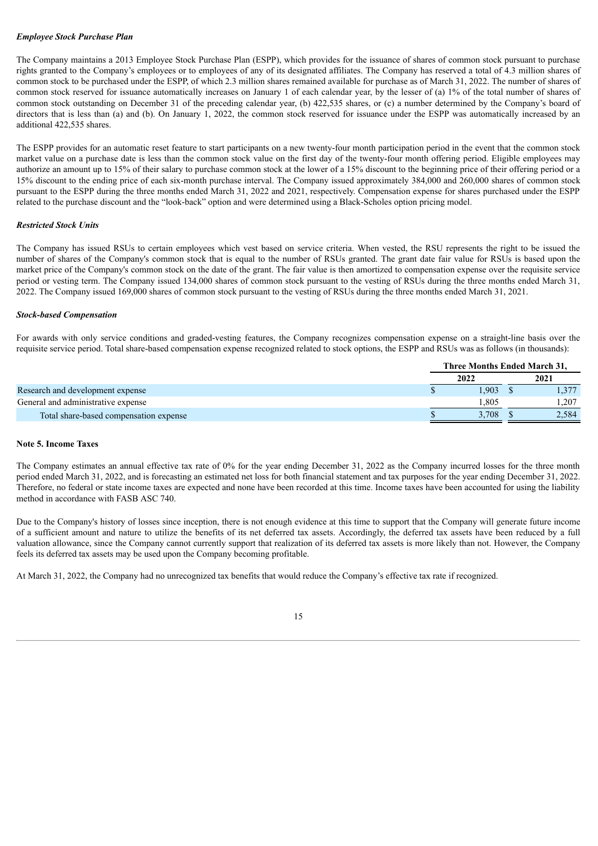## *Employee Stock Purchase Plan*

The Company maintains a 2013 Employee Stock Purchase Plan (ESPP), which provides for the issuance of shares of common stock pursuant to purchase rights granted to the Company's employees or to employees of any of its designated affiliates. The Company has reserved a total of 4.3 million shares of common stock to be purchased under the ESPP, of which 2.3 million shares remained available for purchase as of March 31, 2022. The number of shares of common stock reserved for issuance automatically increases on January 1 of each calendar year, by the lesser of (a) 1% of the total number of shares of common stock outstanding on December 31 of the preceding calendar year, (b) 422,535 shares, or (c) a number determined by the Company's board of directors that is less than (a) and (b). On January 1, 2022, the common stock reserved for issuance under the ESPP was automatically increased by an additional 422,535 shares.

The ESPP provides for an automatic reset feature to start participants on a new twenty-four month participation period in the event that the common stock market value on a purchase date is less than the common stock value on the first day of the twenty-four month offering period. Eligible employees may authorize an amount up to 15% of their salary to purchase common stock at the lower of a 15% discount to the beginning price of their offering period or a 15% discount to the ending price of each six-month purchase interval. The Company issued approximately 384,000 and 260,000 shares of common stock pursuant to the ESPP during the three months ended March 31, 2022 and 2021, respectively. Compensation expense for shares purchased under the ESPP related to the purchase discount and the "look-back" option and were determined using a Black-Scholes option pricing model.

### *Restricted Stock Units*

The Company has issued RSUs to certain employees which vest based on service criteria. When vested, the RSU represents the right to be issued the number of shares of the Company's common stock that is equal to the number of RSUs granted. The grant date fair value for RSUs is based upon the market price of the Company's common stock on the date of the grant. The fair value is then amortized to compensation expense over the requisite service period or vesting term. The Company issued 134,000 shares of common stock pursuant to the vesting of RSUs during the three months ended March 31, 2022. The Company issued 169,000 shares of common stock pursuant to the vesting of RSUs during the three months ended March 31, 2021.

#### *Stock-based Compensation*

For awards with only service conditions and graded-vesting features, the Company recognizes compensation expense on a straight-line basis over the requisite service period. Total share-based compensation expense recognized related to stock options, the ESPP and RSUs was as follows (in thousands):

|                                        | <b>Three Months Ended March 31.</b> |  |       |  |  |
|----------------------------------------|-------------------------------------|--|-------|--|--|
|                                        | 2022                                |  | 2021  |  |  |
| Research and development expense       | .903                                |  |       |  |  |
| General and administrative expense     | .805                                |  | 1.207 |  |  |
| Total share-based compensation expense | 3.708                               |  | 2.584 |  |  |

#### **Note 5. Income Taxes**

The Company estimates an annual effective tax rate of 0% for the year ending December 31, 2022 as the Company incurred losses for the three month period ended March 31, 2022, and is forecasting an estimated net loss for both financial statement and tax purposes for the year ending December 31, 2022. Therefore, no federal or state income taxes are expected and none have been recorded at this time. Income taxes have been accounted for using the liability method in accordance with FASB ASC 740.

Due to the Company's history of losses since inception, there is not enough evidence at this time to support that the Company will generate future income of a sufficient amount and nature to utilize the benefits of its net deferred tax assets. Accordingly, the deferred tax assets have been reduced by a full valuation allowance, since the Company cannot currently support that realization of its deferred tax assets is more likely than not. However, the Company feels its deferred tax assets may be used upon the Company becoming profitable.

At March 31, 2022, the Company had no unrecognized tax benefits that would reduce the Company's effective tax rate if recognized.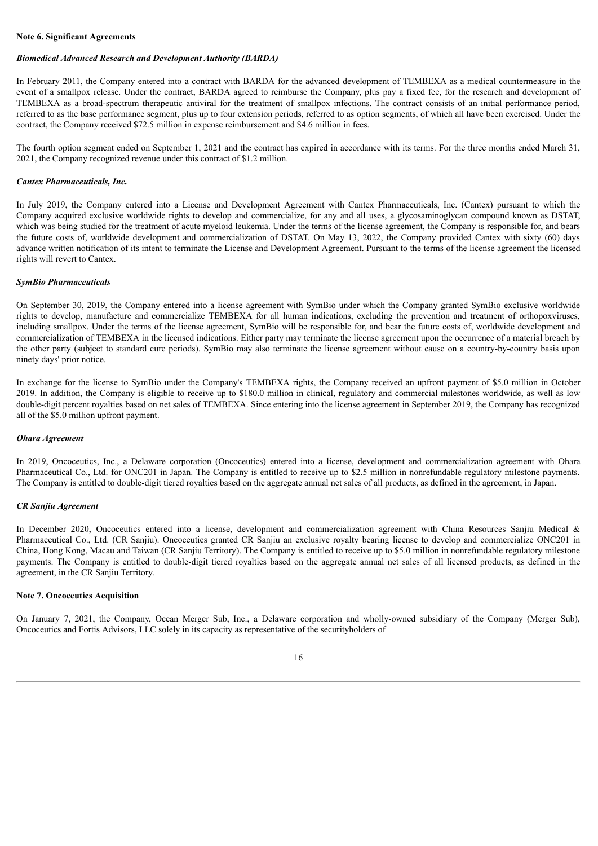## **Note 6. Significant Agreements**

#### *Biomedical Advanced Research and Development Authority (BARDA)*

In February 2011, the Company entered into a contract with BARDA for the advanced development of TEMBEXA as a medical countermeasure in the event of a smallpox release. Under the contract, BARDA agreed to reimburse the Company, plus pay a fixed fee, for the research and development of TEMBEXA as a broad-spectrum therapeutic antiviral for the treatment of smallpox infections. The contract consists of an initial performance period, referred to as the base performance segment, plus up to four extension periods, referred to as option segments, of which all have been exercised. Under the contract, the Company received \$72.5 million in expense reimbursement and \$4.6 million in fees.

The fourth option segment ended on September 1, 2021 and the contract has expired in accordance with its terms. For the three months ended March 31, 2021, the Company recognized revenue under this contract of \$1.2 million.

#### *Cantex Pharmaceuticals, Inc.*

In July 2019, the Company entered into a License and Development Agreement with Cantex Pharmaceuticals, Inc. (Cantex) pursuant to which the Company acquired exclusive worldwide rights to develop and commercialize, for any and all uses, a glycosaminoglycan compound known as DSTAT, which was being studied for the treatment of acute myeloid leukemia. Under the terms of the license agreement, the Company is responsible for, and bears the future costs of, worldwide development and commercialization of DSTAT. On May 13, 2022, the Company provided Cantex with sixty (60) days advance written notification of its intent to terminate the License and Development Agreement. Pursuant to the terms of the license agreement the licensed rights will revert to Cantex.

#### *SymBio Pharmaceuticals*

On September 30, 2019, the Company entered into a license agreement with SymBio under which the Company granted SymBio exclusive worldwide rights to develop, manufacture and commercialize TEMBEXA for all human indications, excluding the prevention and treatment of orthopoxviruses, including smallpox. Under the terms of the license agreement, SymBio will be responsible for, and bear the future costs of, worldwide development and commercialization of TEMBEXA in the licensed indications. Either party may terminate the license agreement upon the occurrence of a material breach by the other party (subject to standard cure periods). SymBio may also terminate the license agreement without cause on a country-by-country basis upon ninety days' prior notice.

In exchange for the license to SymBio under the Company's TEMBEXA rights, the Company received an upfront payment of \$5.0 million in October 2019. In addition, the Company is eligible to receive up to \$180.0 million in clinical, regulatory and commercial milestones worldwide, as well as low double-digit percent royalties based on net sales of TEMBEXA. Since entering into the license agreement in September 2019, the Company has recognized all of the \$5.0 million upfront payment.

#### *Ohara Agreement*

In 2019, Oncoceutics, Inc., a Delaware corporation (Oncoceutics) entered into a license, development and commercialization agreement with Ohara Pharmaceutical Co., Ltd. for ONC201 in Japan. The Company is entitled to receive up to \$2.5 million in nonrefundable regulatory milestone payments. The Company is entitled to double-digit tiered royalties based on the aggregate annual net sales of all products, as defined in the agreement, in Japan.

#### *CR Sanjiu Agreement*

In December 2020, Oncoceutics entered into a license, development and commercialization agreement with China Resources Sanjiu Medical & Pharmaceutical Co., Ltd. (CR Sanjiu). Oncoceutics granted CR Sanjiu an exclusive royalty bearing license to develop and commercialize ONC201 in China, Hong Kong, Macau and Taiwan (CR Sanjiu Territory). The Company is entitled to receive up to \$5.0 million in nonrefundable regulatory milestone payments. The Company is entitled to double-digit tiered royalties based on the aggregate annual net sales of all licensed products, as defined in the agreement, in the CR Sanjiu Territory.

#### **Note 7. Oncoceutics Acquisition**

On January 7, 2021, the Company, Ocean Merger Sub, Inc., a Delaware corporation and wholly-owned subsidiary of the Company (Merger Sub), Oncoceutics and Fortis Advisors, LLC solely in its capacity as representative of the securityholders of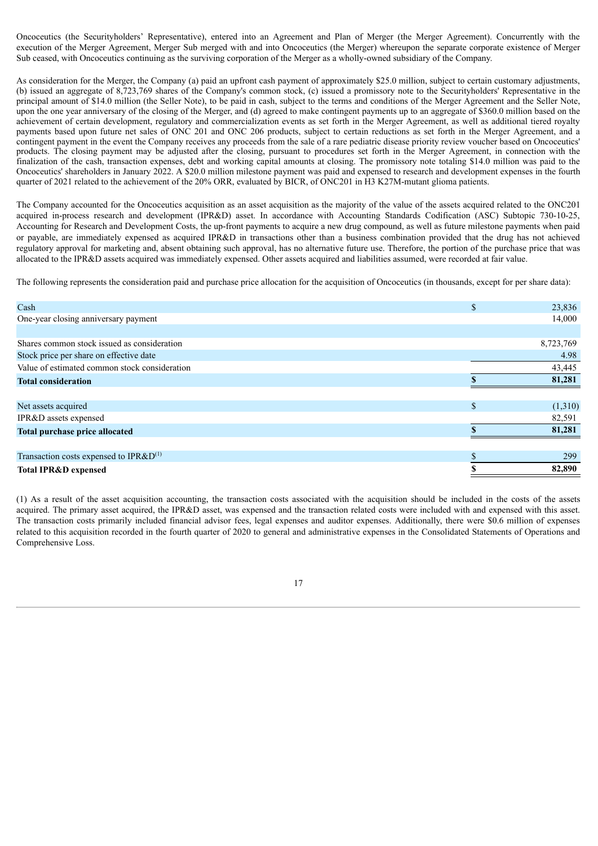Oncoceutics (the Securityholders' Representative), entered into an Agreement and Plan of Merger (the Merger Agreement). Concurrently with the execution of the Merger Agreement, Merger Sub merged with and into Oncoceutics (the Merger) whereupon the separate corporate existence of Merger Sub ceased, with Oncoceutics continuing as the surviving corporation of the Merger as a wholly-owned subsidiary of the Company.

As consideration for the Merger, the Company (a) paid an upfront cash payment of approximately \$25.0 million, subject to certain customary adjustments, (b) issued an aggregate of 8,723,769 shares of the Company's common stock, (c) issued a promissory note to the Securityholders' Representative in the principal amount of \$14.0 million (the Seller Note), to be paid in cash, subject to the terms and conditions of the Merger Agreement and the Seller Note, upon the one year anniversary of the closing of the Merger, and (d) agreed to make contingent payments up to an aggregate of \$360.0 million based on the achievement of certain development, regulatory and commercialization events as set forth in the Merger Agreement, as well as additional tiered royalty payments based upon future net sales of ONC 201 and ONC 206 products, subject to certain reductions as set forth in the Merger Agreement, and a contingent payment in the event the Company receives any proceeds from the sale of a rare pediatric disease priority review voucher based on Oncoceutics' products. The closing payment may be adjusted after the closing, pursuant to procedures set forth in the Merger Agreement, in connection with the finalization of the cash, transaction expenses, debt and working capital amounts at closing. The promissory note totaling \$14.0 million was paid to the Oncoceutics' shareholders in January 2022. A \$20.0 million milestone payment was paid and expensed to research and development expenses in the fourth quarter of 2021 related to the achievement of the 20% ORR, evaluated by BICR, of ONC201 in H3 K27M-mutant glioma patients.

The Company accounted for the Oncoceutics acquisition as an asset acquisition as the majority of the value of the assets acquired related to the ONC201 acquired in-process research and development (IPR&D) asset. In accordance with Accounting Standards Codification (ASC) Subtopic 730-10-25, Accounting for Research and Development Costs, the up-front payments to acquire a new drug compound, as well as future milestone payments when paid or payable, are immediately expensed as acquired IPR&D in transactions other than a business combination provided that the drug has not achieved regulatory approval for marketing and, absent obtaining such approval, has no alternative future use. Therefore, the portion of the purchase price that was allocated to the IPR&D assets acquired was immediately expensed. Other assets acquired and liabilities assumed, were recorded at fair value.

The following represents the consideration paid and purchase price allocation for the acquisition of Oncoceutics (in thousands, except for per share data):

| Cash                                          | \$  | 23,836    |
|-----------------------------------------------|-----|-----------|
| One-year closing anniversary payment          |     | 14,000    |
|                                               |     |           |
| Shares common stock issued as consideration   |     | 8,723,769 |
| Stock price per share on effective date       |     | 4.98      |
| Value of estimated common stock consideration |     | 43,445    |
| <b>Total consideration</b>                    |     | 81,281    |
|                                               |     |           |
| Net assets acquired                           | \$. | (1,310)   |
| IPR&D assets expensed                         |     | 82,591    |
| Total purchase price allocated                |     | 81,281    |
|                                               |     |           |
| Transaction costs expensed to IPR& $D^{(1)}$  | \$  | 299       |
| Total IPR&D expensed                          |     | 82,890    |

(1) As a result of the asset acquisition accounting, the transaction costs associated with the acquisition should be included in the costs of the assets acquired. The primary asset acquired, the IPR&D asset, was expensed and the transaction related costs were included with and expensed with this asset. The transaction costs primarily included financial advisor fees, legal expenses and auditor expenses. Additionally, there were \$0.6 million of expenses related to this acquisition recorded in the fourth quarter of 2020 to general and administrative expenses in the Consolidated Statements of Operations and Comprehensive Loss.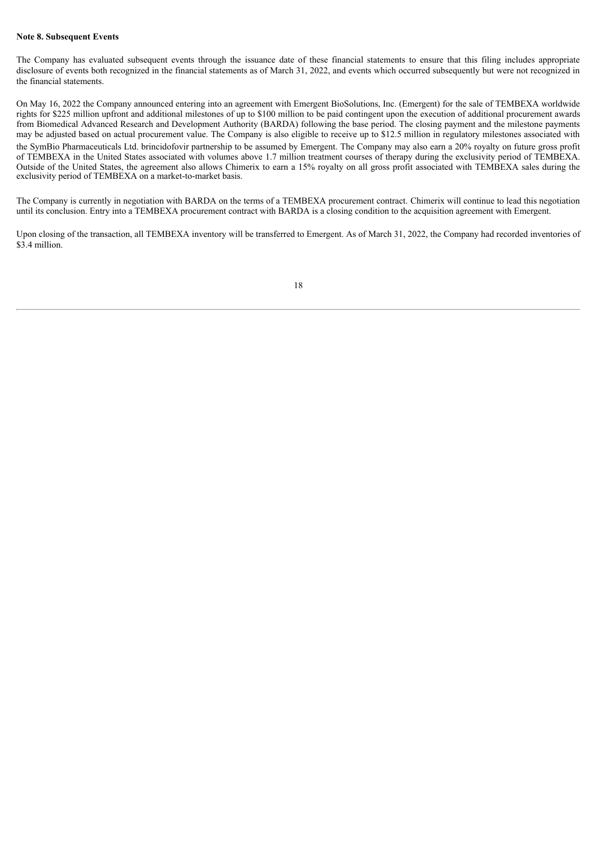## **Note 8. Subsequent Events**

The Company has evaluated subsequent events through the issuance date of these financial statements to ensure that this filing includes appropriate disclosure of events both recognized in the financial statements as of March 31, 2022, and events which occurred subsequently but were not recognized in the financial statements.

On May 16, 2022 the Company announced entering into an agreement with Emergent BioSolutions, Inc. (Emergent) for the sale of TEMBEXA worldwide rights for \$225 million upfront and additional milestones of up to \$100 million to be paid contingent upon the execution of additional procurement awards from Biomedical Advanced Research and Development Authority (BARDA) following the base period. The closing payment and the milestone payments may be adjusted based on actual procurement value. The Company is also eligible to receive up to \$12.5 million in regulatory milestones associated with the SymBio Pharmaceuticals Ltd. brincidofovir partnership to be assumed by Emergent. The Company may also earn a 20% royalty on future gross profit of TEMBEXA in the United States associated with volumes above 1.7 million treatment courses of therapy during the exclusivity period of TEMBEXA. Outside of the United States, the agreement also allows Chimerix to earn a 15% royalty on all gross profit associated with TEMBEXA sales during the exclusivity period of TEMBEXA on a market-to-market basis.

The Company is currently in negotiation with BARDA on the terms of a TEMBEXA procurement contract. Chimerix will continue to lead this negotiation until its conclusion. Entry into a TEMBEXA procurement contract with BARDA is a closing condition to the acquisition agreement with Emergent.

<span id="page-18-0"></span>Upon closing of the transaction, all TEMBEXA inventory will be transferred to Emergent. As of March 31, 2022, the Company had recorded inventories of \$3.4 million.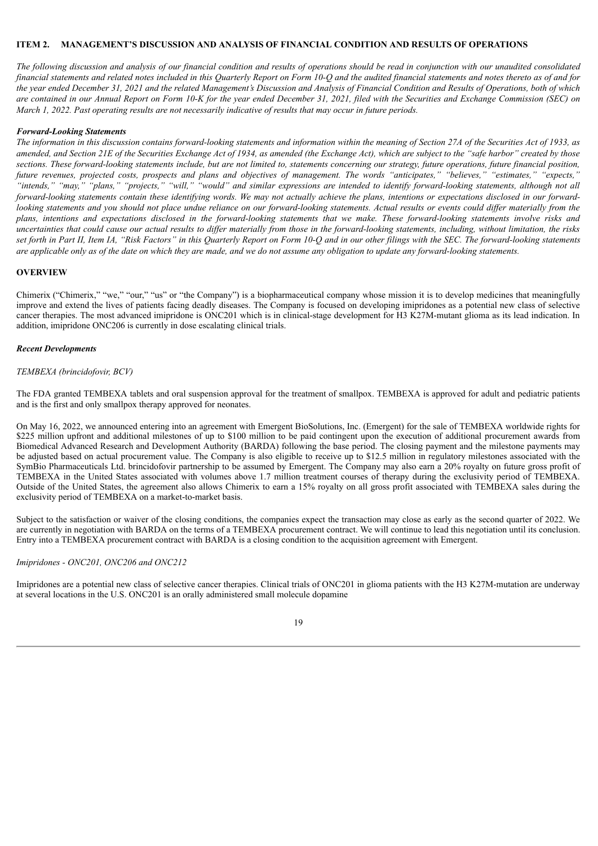### **ITEM 2. MANAGEMENT'S DISCUSSION AND ANALYSIS OF FINANCIAL CONDITION AND RESULTS OF OPERATIONS**

The following discussion and analysis of our financial condition and results of operations should be read in conjunction with our unaudited consolidated financial statements and related notes included in this Quarterly Report on Form 10-Q and the audited financial statements and notes thereto as of and for the year ended December 31, 2021 and the related Management's Discussion and Analysis of Financial Condition and Results of Operations, both of which are contained in our Annual Report on Form 10-K for the vear ended December 31, 2021, filed with the Securities and Exchange Commission (SEC) on March 1, 2022. Past operating results are not necessarily indicative of results that may occur in future periods.

#### *Forward-Looking Statements*

The information in this discussion contains forward-looking statements and information within the meaning of Section 27A of the Securities Act of 1933, as amended, and Section 21E of the Securities Exchange Act of 1934, as amended (the Exchange Act), which are subject to the "safe harbor" created by those sections. These forward-looking statements include, but are not limited to, statements concerning our strategy, future operations, future financial position, future revenues, projected costs, prospects and plans and objectives of management. The words "anticipates," "believes," "estimates," "expects," "intends," "may," "plans," "projects," "will," "would" and similar expressions are intended to identify forward-looking statements, although not all forward-looking statements contain these identifying words. We may not actually achieve the plans, intentions or expectations disclosed in our forwardlooking statements and you should not place undue reliance on our forward-looking statements. Actual results or events could differ materially from the plans, intentions and expectations disclosed in the forward-looking statements that we make. These forward-looking statements involve risks and uncertainties that could cause our actual results to differ materially from those in the forward-looking statements, including, without limitation, the risks set forth in Part II, Item IA, "Risk Factors" in this Quarterly Report on Form 10-Q and in our other filings with the SEC. The forward-looking statements are applicable only as of the date on which they are made, and we do not assume any obligation to update any forward-looking statements.

### **OVERVIEW**

Chimerix ("Chimerix," "we," "our," "us" or "the Company") is a biopharmaceutical company whose mission it is to develop medicines that meaningfully improve and extend the lives of patients facing deadly diseases. The Company is focused on developing imipridones as a potential new class of selective cancer therapies. The most advanced imipridone is ONC201 which is in clinical-stage development for H3 K27M-mutant glioma as its lead indication. In addition, imipridone ONC206 is currently in dose escalating clinical trials.

#### *Recent Developments*

#### *TEMBEXA (brincidofovir, BCV)*

The FDA granted TEMBEXA tablets and oral suspension approval for the treatment of smallpox. TEMBEXA is approved for adult and pediatric patients and is the first and only smallpox therapy approved for neonates.

On May 16, 2022, we announced entering into an agreement with Emergent BioSolutions, Inc. (Emergent) for the sale of TEMBEXA worldwide rights for \$225 million upfront and additional milestones of up to \$100 million to be paid contingent upon the execution of additional procurement awards from Biomedical Advanced Research and Development Authority (BARDA) following the base period. The closing payment and the milestone payments may be adjusted based on actual procurement value. The Company is also eligible to receive up to \$12.5 million in regulatory milestones associated with the SymBio Pharmaceuticals Ltd. brincidofovir partnership to be assumed by Emergent. The Company may also earn a 20% royalty on future gross profit of TEMBEXA in the United States associated with volumes above 1.7 million treatment courses of therapy during the exclusivity period of TEMBEXA. Outside of the United States, the agreement also allows Chimerix to earn a 15% royalty on all gross profit associated with TEMBEXA sales during the exclusivity period of TEMBEXA on a market-to-market basis.

Subject to the satisfaction or waiver of the closing conditions, the companies expect the transaction may close as early as the second quarter of 2022. We are currently in negotiation with BARDA on the terms of a TEMBEXA procurement contract. We will continue to lead this negotiation until its conclusion. Entry into a TEMBEXA procurement contract with BARDA is a closing condition to the acquisition agreement with Emergent.

## *Imipridones - ONC201, ONC206 and ONC212*

Imipridones are a potential new class of selective cancer therapies. Clinical trials of ONC201 in glioma patients with the H3 K27M-mutation are underway at several locations in the U.S. ONC201 is an orally administered small molecule dopamine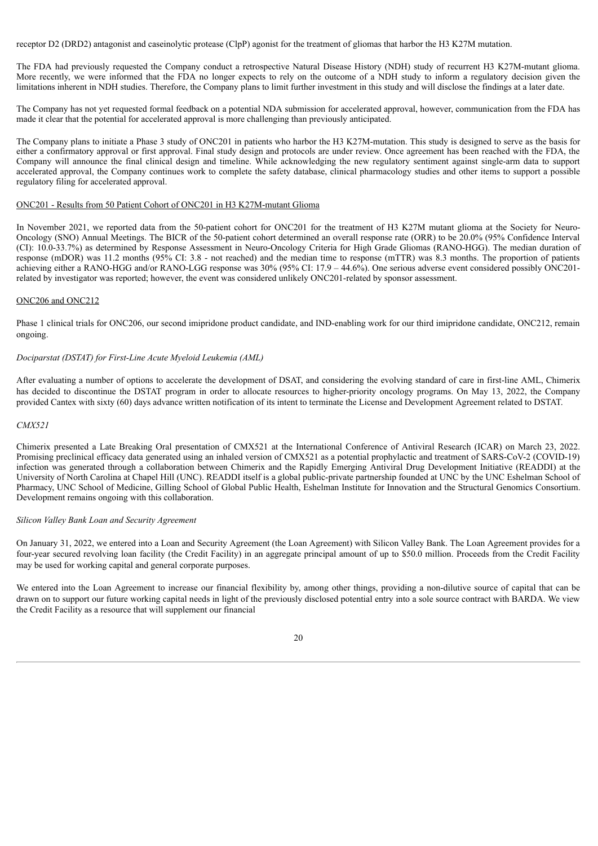receptor D2 (DRD2) antagonist and caseinolytic protease (ClpP) agonist for the treatment of gliomas that harbor the H3 K27M mutation.

The FDA had previously requested the Company conduct a retrospective Natural Disease History (NDH) study of recurrent H3 K27M-mutant glioma. More recently, we were informed that the FDA no longer expects to rely on the outcome of a NDH study to inform a regulatory decision given the limitations inherent in NDH studies. Therefore, the Company plans to limit further investment in this study and will disclose the findings at a later date.

The Company has not yet requested formal feedback on a potential NDA submission for accelerated approval, however, communication from the FDA has made it clear that the potential for accelerated approval is more challenging than previously anticipated.

The Company plans to initiate a Phase 3 study of ONC201 in patients who harbor the H3 K27M-mutation. This study is designed to serve as the basis for either a confirmatory approval or first approval. Final study design and protocols are under review. Once agreement has been reached with the FDA, the Company will announce the final clinical design and timeline. While acknowledging the new regulatory sentiment against single-arm data to support accelerated approval, the Company continues work to complete the safety database, clinical pharmacology studies and other items to support a possible regulatory filing for accelerated approval.

#### ONC201 - Results from 50 Patient Cohort of ONC201 in H3 K27M-mutant Glioma

In November 2021, we reported data from the 50-patient cohort for ONC201 for the treatment of H3 K27M mutant glioma at the Society for Neuro-Oncology (SNO) Annual Meetings. The BICR of the 50-patient cohort determined an overall response rate (ORR) to be 20.0% (95% Confidence Interval (CI): 10.0-33.7%) as determined by Response Assessment in Neuro-Oncology Criteria for High Grade Gliomas (RANO-HGG). The median duration of response (mDOR) was 11.2 months (95% CI: 3.8 - not reached) and the median time to response (mTTR) was 8.3 months. The proportion of patients achieving either a RANO-HGG and/or RANO-LGG response was 30% (95% CI: 17.9 – 44.6%). One serious adverse event considered possibly ONC201 related by investigator was reported; however, the event was considered unlikely ONC201-related by sponsor assessment.

#### ONC206 and ONC212

Phase 1 clinical trials for ONC206, our second imipridone product candidate, and IND-enabling work for our third imipridone candidate, ONC212, remain ongoing.

## *Dociparstat (DSTAT) for First-Line Acute Myeloid Leukemia (AML)*

After evaluating a number of options to accelerate the development of DSAT, and considering the evolving standard of care in first-line AML, Chimerix has decided to discontinue the DSTAT program in order to allocate resources to higher-priority oncology programs. On May 13, 2022, the Company provided Cantex with sixty (60) days advance written notification of its intent to terminate the License and Development Agreement related to DSTAT.

## *CMX521*

Chimerix presented a Late Breaking Oral presentation of CMX521 at the International Conference of Antiviral Research (ICAR) on March 23, 2022. Promising preclinical efficacy data generated using an inhaled version of CMX521 as a potential prophylactic and treatment of SARS-CoV-2 (COVID-19) infection was generated through a collaboration between Chimerix and the Rapidly Emerging Antiviral Drug Development Initiative (READDI) at the University of North Carolina at Chapel Hill (UNC). READDI itself is a global public-private partnership founded at UNC by the UNC Eshelman School of Pharmacy, UNC School of Medicine, Gilling School of Global Public Health, Eshelman Institute for Innovation and the Structural Genomics Consortium. Development remains ongoing with this collaboration.

#### *Silicon Valley Bank Loan and Security Agreement*

On January 31, 2022, we entered into a Loan and Security Agreement (the Loan Agreement) with Silicon Valley Bank. The Loan Agreement provides for a four-year secured revolving loan facility (the Credit Facility) in an aggregate principal amount of up to \$50.0 million. Proceeds from the Credit Facility may be used for working capital and general corporate purposes.

We entered into the Loan Agreement to increase our financial flexibility by, among other things, providing a non-dilutive source of capital that can be drawn on to support our future working capital needs in light of the previously disclosed potential entry into a sole source contract with BARDA. We view the Credit Facility as a resource that will supplement our financial

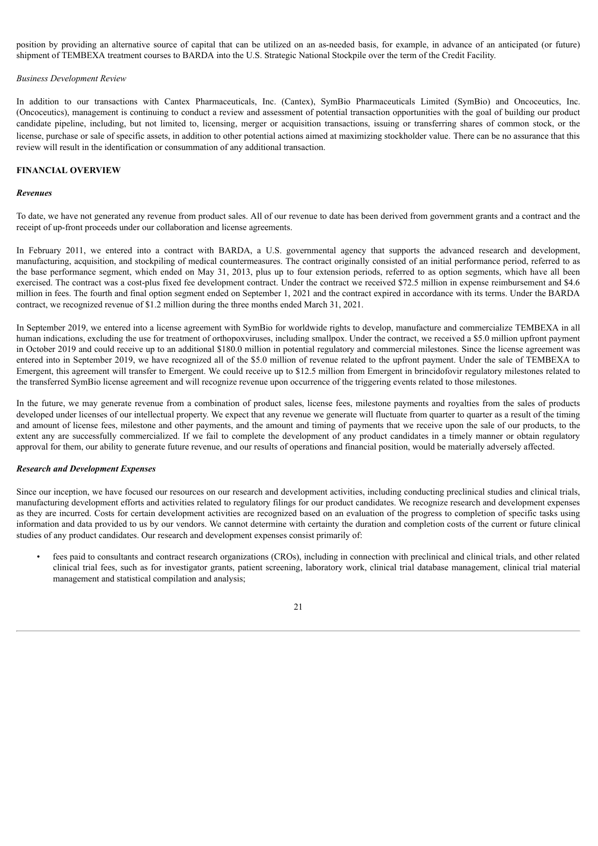position by providing an alternative source of capital that can be utilized on an as-needed basis, for example, in advance of an anticipated (or future) shipment of TEMBEXA treatment courses to BARDA into the U.S. Strategic National Stockpile over the term of the Credit Facility.

#### *Business Development Review*

In addition to our transactions with Cantex Pharmaceuticals, Inc. (Cantex), SymBio Pharmaceuticals Limited (SymBio) and Oncoceutics, Inc. (Oncoceutics), management is continuing to conduct a review and assessment of potential transaction opportunities with the goal of building our product candidate pipeline, including, but not limited to, licensing, merger or acquisition transactions, issuing or transferring shares of common stock, or the license, purchase or sale of specific assets, in addition to other potential actions aimed at maximizing stockholder value. There can be no assurance that this review will result in the identification or consummation of any additional transaction.

## **FINANCIAL OVERVIEW**

#### *Revenues*

To date, we have not generated any revenue from product sales. All of our revenue to date has been derived from government grants and a contract and the receipt of up-front proceeds under our collaboration and license agreements.

In February 2011, we entered into a contract with BARDA, a U.S. governmental agency that supports the advanced research and development, manufacturing, acquisition, and stockpiling of medical countermeasures. The contract originally consisted of an initial performance period, referred to as the base performance segment, which ended on May 31, 2013, plus up to four extension periods, referred to as option segments, which have all been exercised. The contract was a cost-plus fixed fee development contract. Under the contract we received \$72.5 million in expense reimbursement and \$4.6 million in fees. The fourth and final option segment ended on September 1, 2021 and the contract expired in accordance with its terms. Under the BARDA contract, we recognized revenue of \$1.2 million during the three months ended March 31, 2021.

In September 2019, we entered into a license agreement with SymBio for worldwide rights to develop, manufacture and commercialize TEMBEXA in all human indications, excluding the use for treatment of orthopoxviruses, including smallpox. Under the contract, we received a \$5.0 million upfront payment in October 2019 and could receive up to an additional \$180.0 million in potential regulatory and commercial milestones. Since the license agreement was entered into in September 2019, we have recognized all of the \$5.0 million of revenue related to the upfront payment. Under the sale of TEMBEXA to Emergent, this agreement will transfer to Emergent. We could receive up to \$12.5 million from Emergent in brincidofovir regulatory milestones related to the transferred SymBio license agreement and will recognize revenue upon occurrence of the triggering events related to those milestones.

In the future, we may generate revenue from a combination of product sales, license fees, milestone payments and royalties from the sales of products developed under licenses of our intellectual property. We expect that any revenue we generate will fluctuate from quarter to quarter as a result of the timing and amount of license fees, milestone and other payments, and the amount and timing of payments that we receive upon the sale of our products, to the extent any are successfully commercialized. If we fail to complete the development of any product candidates in a timely manner or obtain regulatory approval for them, our ability to generate future revenue, and our results of operations and financial position, would be materially adversely affected.

#### *Research and Development Expenses*

Since our inception, we have focused our resources on our research and development activities, including conducting preclinical studies and clinical trials, manufacturing development efforts and activities related to regulatory filings for our product candidates. We recognize research and development expenses as they are incurred. Costs for certain development activities are recognized based on an evaluation of the progress to completion of specific tasks using information and data provided to us by our vendors. We cannot determine with certainty the duration and completion costs of the current or future clinical studies of any product candidates. Our research and development expenses consist primarily of:

• fees paid to consultants and contract research organizations (CROs), including in connection with preclinical and clinical trials, and other related clinical trial fees, such as for investigator grants, patient screening, laboratory work, clinical trial database management, clinical trial material management and statistical compilation and analysis;

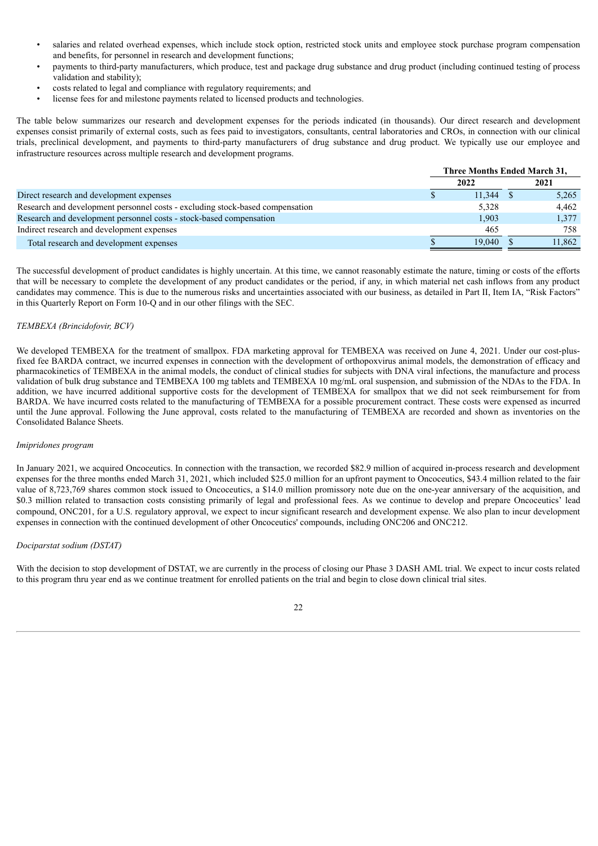- salaries and related overhead expenses, which include stock option, restricted stock units and employee stock purchase program compensation and benefits, for personnel in research and development functions;
- payments to third-party manufacturers, which produce, test and package drug substance and drug product (including continued testing of process validation and stability);
- costs related to legal and compliance with regulatory requirements; and
- license fees for and milestone payments related to licensed products and technologies.

The table below summarizes our research and development expenses for the periods indicated (in thousands). Our direct research and development expenses consist primarily of external costs, such as fees paid to investigators, consultants, central laboratories and CROs, in connection with our clinical trials, preclinical development, and payments to third-party manufacturers of drug substance and drug product. We typically use our employee and infrastructure resources across multiple research and development programs.

|                                                                               | Three Months Ended March 31, |        |
|-------------------------------------------------------------------------------|------------------------------|--------|
|                                                                               | 2022                         | 2021   |
| Direct research and development expenses                                      | 11.344                       | 5,265  |
| Research and development personnel costs - excluding stock-based compensation | 5,328                        | 4.462  |
| Research and development personnel costs - stock-based compensation           | 1,903                        | 1,377  |
| Indirect research and development expenses                                    | 465                          | 758    |
| Total research and development expenses                                       | 19.040                       | 11,862 |

The successful development of product candidates is highly uncertain. At this time, we cannot reasonably estimate the nature, timing or costs of the efforts that will be necessary to complete the development of any product candidates or the period, if any, in which material net cash inflows from any product candidates may commence. This is due to the numerous risks and uncertainties associated with our business, as detailed in Part II, Item IA, "Risk Factors" in this Quarterly Report on Form 10-Q and in our other filings with the SEC.

## *TEMBEXA (Brincidofovir, BCV)*

We developed TEMBEXA for the treatment of smallpox. FDA marketing approval for TEMBEXA was received on June 4, 2021. Under our cost-plusfixed fee BARDA contract, we incurred expenses in connection with the development of orthopoxvirus animal models, the demonstration of efficacy and pharmacokinetics of TEMBEXA in the animal models, the conduct of clinical studies for subjects with DNA viral infections, the manufacture and process validation of bulk drug substance and TEMBEXA 100 mg tablets and TEMBEXA 10 mg/mL oral suspension, and submission of the NDAs to the FDA. In addition, we have incurred additional supportive costs for the development of TEMBEXA for smallpox that we did not seek reimbursement for from BARDA. We have incurred costs related to the manufacturing of TEMBEXA for a possible procurement contract. These costs were expensed as incurred until the June approval. Following the June approval, costs related to the manufacturing of TEMBEXA are recorded and shown as inventories on the Consolidated Balance Sheets.

## *Imipridones program*

In January 2021, we acquired Oncoceutics. In connection with the transaction, we recorded \$82.9 million of acquired in-process research and development expenses for the three months ended March 31, 2021, which included \$25.0 million for an upfront payment to Oncoceutics, \$43.4 million related to the fair value of 8,723,769 shares common stock issued to Oncoceutics, a \$14.0 million promissory note due on the one-year anniversary of the acquisition, and \$0.3 million related to transaction costs consisting primarily of legal and professional fees. As we continue to develop and prepare Oncoceutics' lead compound, ONC201, for a U.S. regulatory approval, we expect to incur significant research and development expense. We also plan to incur development expenses in connection with the continued development of other Oncoceutics' compounds, including ONC206 and ONC212.

## *Dociparstat sodium (DSTAT)*

With the decision to stop development of DSTAT, we are currently in the process of closing our Phase 3 DASH AML trial. We expect to incur costs related to this program thru year end as we continue treatment for enrolled patients on the trial and begin to close down clinical trial sites.

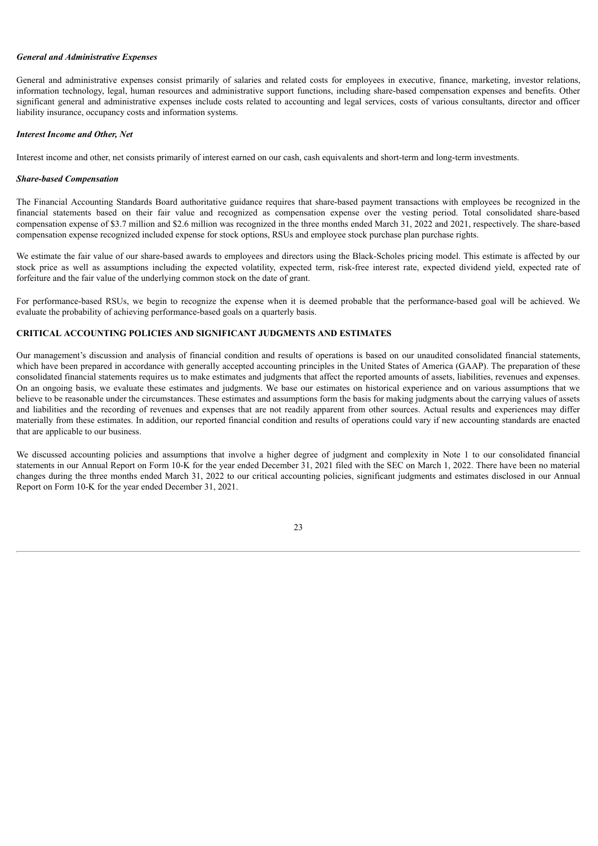## *General and Administrative Expenses*

General and administrative expenses consist primarily of salaries and related costs for employees in executive, finance, marketing, investor relations, information technology, legal, human resources and administrative support functions, including share-based compensation expenses and benefits. Other significant general and administrative expenses include costs related to accounting and legal services, costs of various consultants, director and officer liability insurance, occupancy costs and information systems.

#### *Interest Income and Other, Net*

Interest income and other, net consists primarily of interest earned on our cash, cash equivalents and short-term and long-term investments.

#### *Share-based Compensation*

The Financial Accounting Standards Board authoritative guidance requires that share-based payment transactions with employees be recognized in the financial statements based on their fair value and recognized as compensation expense over the vesting period. Total consolidated share-based compensation expense of \$3.7 million and \$2.6 million was recognized in the three months ended March 31, 2022 and 2021, respectively. The share-based compensation expense recognized included expense for stock options, RSUs and employee stock purchase plan purchase rights.

We estimate the fair value of our share-based awards to employees and directors using the Black-Scholes pricing model. This estimate is affected by our stock price as well as assumptions including the expected volatility, expected term, risk-free interest rate, expected dividend yield, expected rate of forfeiture and the fair value of the underlying common stock on the date of grant.

For performance-based RSUs, we begin to recognize the expense when it is deemed probable that the performance-based goal will be achieved. We evaluate the probability of achieving performance-based goals on a quarterly basis.

## **CRITICAL ACCOUNTING POLICIES AND SIGNIFICANT JUDGMENTS AND ESTIMATES**

Our management's discussion and analysis of financial condition and results of operations is based on our unaudited consolidated financial statements, which have been prepared in accordance with generally accepted accounting principles in the United States of America (GAAP). The preparation of these consolidated financial statements requires us to make estimates and judgments that affect the reported amounts of assets, liabilities, revenues and expenses. On an ongoing basis, we evaluate these estimates and judgments. We base our estimates on historical experience and on various assumptions that we believe to be reasonable under the circumstances. These estimates and assumptions form the basis for making judgments about the carrying values of assets and liabilities and the recording of revenues and expenses that are not readily apparent from other sources. Actual results and experiences may differ materially from these estimates. In addition, our reported financial condition and results of operations could vary if new accounting standards are enacted that are applicable to our business.

We discussed accounting policies and assumptions that involve a higher degree of judgment and complexity in Note 1 to our consolidated financial statements in our Annual Report on Form 10-K for the year ended December 31, 2021 filed with the SEC on March 1, 2022. There have been no material changes during the three months ended March 31, 2022 to our critical accounting policies, significant judgments and estimates disclosed in our Annual Report on Form 10-K for the year ended December 31, 2021.

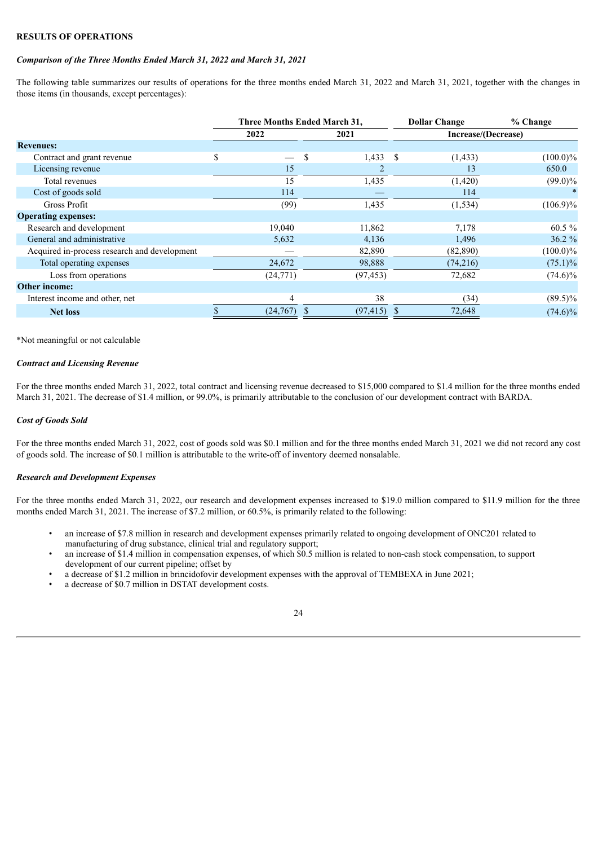## **RESULTS OF OPERATIONS**

## *Comparison of the Three Months Ended March 31, 2022 and March 31, 2021*

The following table summarizes our results of operations for the three months ended March 31, 2022 and March 31, 2021, together with the changes in those items (in thousands, except percentages):

|                                              | <b>Three Months Ended March 31,</b> |  |                |     | <b>Dollar Change</b> | % Change    |
|----------------------------------------------|-------------------------------------|--|----------------|-----|----------------------|-------------|
|                                              | 2022<br>2021                        |  |                |     | Increase/(Decrease)  |             |
| <b>Revenues:</b>                             |                                     |  |                |     |                      |             |
| Contract and grant revenue                   | \$                                  |  | 1,433          | -\$ | (1, 433)             | $(100.0)\%$ |
| Licensing revenue                            | 15                                  |  | 2              |     | 13                   | 650.0       |
| Total revenues                               | 15                                  |  | 1,435          |     | (1,420)              | $(99.0)\%$  |
| Cost of goods sold                           | 114                                 |  |                |     | 114                  |             |
| Gross Profit                                 | (99)                                |  | 1,435          |     | (1, 534)             | $(106.9)\%$ |
| <b>Operating expenses:</b>                   |                                     |  |                |     |                      |             |
| Research and development                     | 19,040                              |  | 11,862         |     | 7,178                | $60.5\%$    |
| General and administrative                   | 5,632                               |  | 4,136          |     | 1,496                | $36.2\%$    |
| Acquired in-process research and development |                                     |  | 82,890         |     | (82,890)             | $(100.0)\%$ |
| Total operating expenses                     | 24,672                              |  | 98,888         |     | (74, 216)            | $(75.1)\%$  |
| Loss from operations                         | (24, 771)                           |  | (97, 453)      |     | 72,682               | $(74.6)\%$  |
| Other income:                                |                                     |  |                |     |                      |             |
| Interest income and other, net               | 4                                   |  | 38             |     | (34)                 | $(89.5)\%$  |
| <b>Net loss</b>                              | (24, 767)                           |  | $(97, 415)$ \$ |     | 72,648               | $(74.6)\%$  |

#### \*Not meaningful or not calculable

## *Contract and Licensing Revenue*

For the three months ended March 31, 2022, total contract and licensing revenue decreased to \$15,000 compared to \$1.4 million for the three months ended March 31, 2021. The decrease of \$1.4 million, or 99.0%, is primarily attributable to the conclusion of our development contract with BARDA.

### *Cost of Goods Sold*

For the three months ended March 31, 2022, cost of goods sold was \$0.1 million and for the three months ended March 31, 2021 we did not record any cost of goods sold. The increase of \$0.1 million is attributable to the write-off of inventory deemed nonsalable.

## *Research and Development Expenses*

For the three months ended March 31, 2022, our research and development expenses increased to \$19.0 million compared to \$11.9 million for the three months ended March 31, 2021. The increase of \$7.2 million, or 60.5%, is primarily related to the following:

- an increase of \$7.8 million in research and development expenses primarily related to ongoing development of ONC201 related to manufacturing of drug substance, clinical trial and regulatory support;
- an increase of \$1.4 million in compensation expenses, of which \$0.5 million is related to non-cash stock compensation, to support development of our current pipeline; offset by
- a decrease of \$1.2 million in brincidofovir development expenses with the approval of TEMBEXA in June 2021;
- a decrease of \$0.7 million in DSTAT development costs.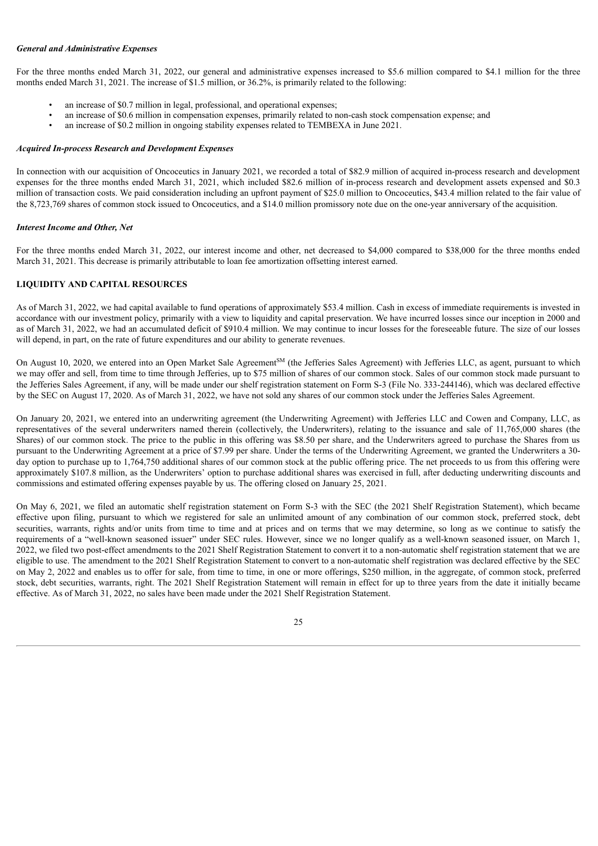### *General and Administrative Expenses*

For the three months ended March 31, 2022, our general and administrative expenses increased to \$5.6 million compared to \$4.1 million for the three months ended March 31, 2021. The increase of \$1.5 million, or 36.2%, is primarily related to the following:

- an increase of \$0.7 million in legal, professional, and operational expenses;
- an increase of \$0.6 million in compensation expenses, primarily related to non-cash stock compensation expense; and
- an increase of \$0.2 million in ongoing stability expenses related to TEMBEXA in June 2021.

#### *Acquired In-process Research and Development Expenses*

In connection with our acquisition of Oncoceutics in January 2021, we recorded a total of \$82.9 million of acquired in-process research and development expenses for the three months ended March 31, 2021, which included \$82.6 million of in-process research and development assets expensed and \$0.3 million of transaction costs. We paid consideration including an upfront payment of \$25.0 million to Oncoceutics, \$43.4 million related to the fair value of the 8,723,769 shares of common stock issued to Oncoceutics, and a \$14.0 million promissory note due on the one-year anniversary of the acquisition.

#### *Interest Income and Other, Net*

For the three months ended March 31, 2022, our interest income and other, net decreased to \$4,000 compared to \$38,000 for the three months ended March 31, 2021. This decrease is primarily attributable to loan fee amortization offsetting interest earned.

## **LIQUIDITY AND CAPITAL RESOURCES**

As of March 31, 2022, we had capital available to fund operations of approximately \$53.4 million. Cash in excess of immediate requirements is invested in accordance with our investment policy, primarily with a view to liquidity and capital preservation. We have incurred losses since our inception in 2000 and as of March 31, 2022, we had an accumulated deficit of \$910.4 million. We may continue to incur losses for the foreseeable future. The size of our losses will depend, in part, on the rate of future expenditures and our ability to generate revenues.

On August 10, 2020, we entered into an Open Market Sale Agreement<sup>SM</sup> (the Jefferies Sales Agreement) with Jefferies LLC, as agent, pursuant to which we may offer and sell, from time to time through Jefferies, up to \$75 million of shares of our common stock. Sales of our common stock made pursuant to the Jefferies Sales Agreement, if any, will be made under our shelf registration statement on Form S-3 (File No. 333-244146), which was declared effective by the SEC on August 17, 2020. As of March 31, 2022, we have not sold any shares of our common stock under the Jefferies Sales Agreement.

On January 20, 2021, we entered into an underwriting agreement (the Underwriting Agreement) with Jefferies LLC and Cowen and Company, LLC, as representatives of the several underwriters named therein (collectively, the Underwriters), relating to the issuance and sale of 11,765,000 shares (the Shares) of our common stock. The price to the public in this offering was \$8.50 per share, and the Underwriters agreed to purchase the Shares from us pursuant to the Underwriting Agreement at a price of \$7.99 per share. Under the terms of the Underwriting Agreement, we granted the Underwriters a 30 day option to purchase up to 1,764,750 additional shares of our common stock at the public offering price. The net proceeds to us from this offering were approximately \$107.8 million, as the Underwriters' option to purchase additional shares was exercised in full, after deducting underwriting discounts and commissions and estimated offering expenses payable by us. The offering closed on January 25, 2021.

On May 6, 2021, we filed an automatic shelf registration statement on Form S-3 with the SEC (the 2021 Shelf Registration Statement), which became effective upon filing, pursuant to which we registered for sale an unlimited amount of any combination of our common stock, preferred stock, debt securities, warrants, rights and/or units from time to time and at prices and on terms that we may determine, so long as we continue to satisfy the requirements of a "well-known seasoned issuer" under SEC rules. However, since we no longer qualify as a well-known seasoned issuer, on March 1, 2022, we filed two post-effect amendments to the 2021 Shelf Registration Statement to convert it to a non-automatic shelf registration statement that we are eligible to use. The amendment to the 2021 Shelf Registration Statement to convert to a non-automatic shelf registration was declared effective by the SEC on May 2, 2022 and enables us to offer for sale, from time to time, in one or more offerings, \$250 million, in the aggregate, of common stock, preferred stock, debt securities, warrants, right. The 2021 Shelf Registration Statement will remain in effect for up to three years from the date it initially became effective. As of March 31, 2022, no sales have been made under the 2021 Shelf Registration Statement.

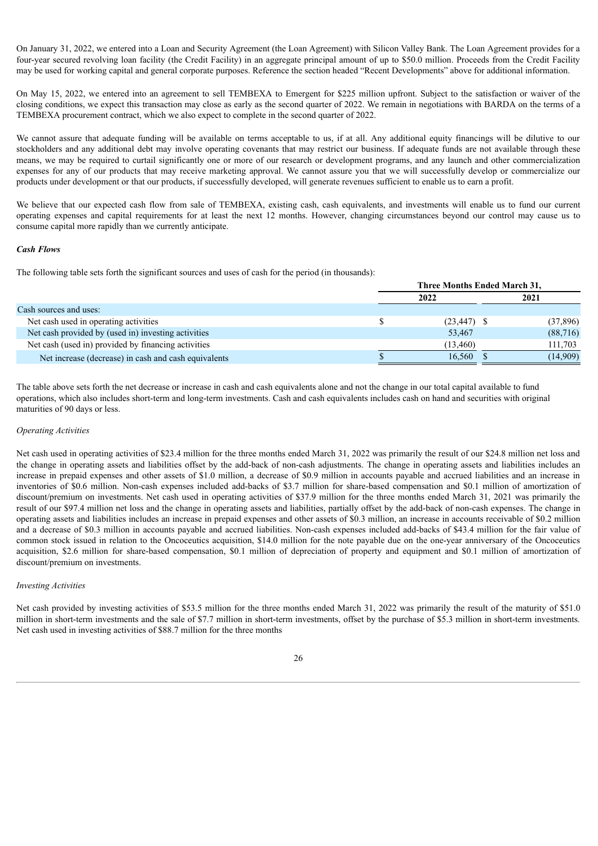On January 31, 2022, we entered into a Loan and Security Agreement (the Loan Agreement) with Silicon Valley Bank. The Loan Agreement provides for a four-year secured revolving loan facility (the Credit Facility) in an aggregate principal amount of up to \$50.0 million. Proceeds from the Credit Facility may be used for working capital and general corporate purposes. Reference the section headed "Recent Developments" above for additional information.

On May 15, 2022, we entered into an agreement to sell TEMBEXA to Emergent for \$225 million upfront. Subject to the satisfaction or waiver of the closing conditions, we expect this transaction may close as early as the second quarter of 2022. We remain in negotiations with BARDA on the terms of a TEMBEXA procurement contract, which we also expect to complete in the second quarter of 2022.

We cannot assure that adequate funding will be available on terms acceptable to us, if at all. Any additional equity financings will be dilutive to our stockholders and any additional debt may involve operating covenants that may restrict our business. If adequate funds are not available through these means, we may be required to curtail significantly one or more of our research or development programs, and any launch and other commercialization expenses for any of our products that may receive marketing approval. We cannot assure you that we will successfully develop or commercialize our products under development or that our products, if successfully developed, will generate revenues sufficient to enable us to earn a profit.

We believe that our expected cash flow from sale of TEMBEXA, existing cash, cash equivalents, and investments will enable us to fund our current operating expenses and capital requirements for at least the next 12 months. However, changing circumstances beyond our control may cause us to consume capital more rapidly than we currently anticipate.

#### *Cash Flows*

The following table sets forth the significant sources and uses of cash for the period (in thousands):

|                                                      | Three Months Ended March 31, |                |  |          |
|------------------------------------------------------|------------------------------|----------------|--|----------|
|                                                      | 2022                         |                |  | 2021     |
| Cash sources and uses:                               |                              |                |  |          |
| Net cash used in operating activities                |                              | $(23, 447)$ \$ |  | (37,896) |
| Net cash provided by (used in) investing activities  |                              | 53,467         |  | (88,716) |
| Net cash (used in) provided by financing activities  |                              | (13, 460)      |  | 111,703  |
| Net increase (decrease) in cash and cash equivalents |                              | 16.560         |  | (14,909) |

The table above sets forth the net decrease or increase in cash and cash equivalents alone and not the change in our total capital available to fund operations, which also includes short-term and long-term investments. Cash and cash equivalents includes cash on hand and securities with original maturities of 90 days or less.

#### *Operating Activities*

Net cash used in operating activities of \$23.4 million for the three months ended March 31, 2022 was primarily the result of our \$24.8 million net loss and the change in operating assets and liabilities offset by the add-back of non-cash adjustments. The change in operating assets and liabilities includes an increase in prepaid expenses and other assets of \$1.0 million, a decrease of \$0.9 million in accounts payable and accrued liabilities and an increase in inventories of \$0.6 million. Non-cash expenses included add-backs of \$3.7 million for share-based compensation and \$0.1 million of amortization of discount/premium on investments. Net cash used in operating activities of \$37.9 million for the three months ended March 31, 2021 was primarily the result of our \$97.4 million net loss and the change in operating assets and liabilities, partially offset by the add-back of non-cash expenses. The change in operating assets and liabilities includes an increase in prepaid expenses and other assets of \$0.3 million, an increase in accounts receivable of \$0.2 million and a decrease of \$0.3 million in accounts payable and accrued liabilities. Non-cash expenses included add-backs of \$43.4 million for the fair value of common stock issued in relation to the Oncoceutics acquisition, \$14.0 million for the note payable due on the one-year anniversary of the Oncoceutics acquisition, \$2.6 million for share-based compensation, \$0.1 million of depreciation of property and equipment and \$0.1 million of amortization of discount/premium on investments.

#### *Investing Activities*

Net cash provided by investing activities of \$53.5 million for the three months ended March 31, 2022 was primarily the result of the maturity of \$51.0 million in short-term investments and the sale of \$7.7 million in short-term investments, offset by the purchase of \$5.3 million in short-term investments. Net cash used in investing activities of \$88.7 million for the three months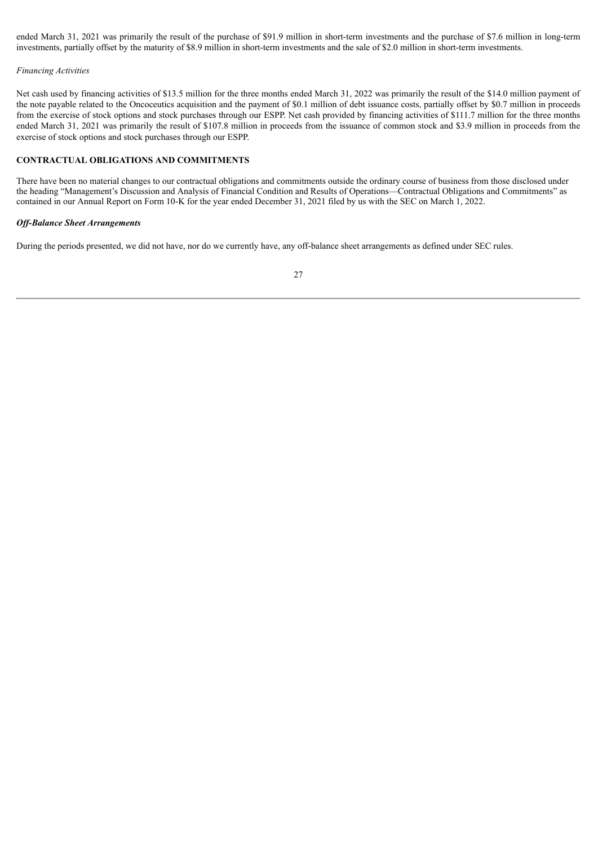ended March 31, 2021 was primarily the result of the purchase of \$91.9 million in short-term investments and the purchase of \$7.6 million in long-term investments, partially offset by the maturity of \$8.9 million in short-term investments and the sale of \$2.0 million in short-term investments.

## *Financing Activities*

Net cash used by financing activities of \$13.5 million for the three months ended March 31, 2022 was primarily the result of the \$14.0 million payment of the note payable related to the Oncoceutics acquisition and the payment of \$0.1 million of debt issuance costs, partially offset by \$0.7 million in proceeds from the exercise of stock options and stock purchases through our ESPP. Net cash provided by financing activities of \$111.7 million for the three months ended March 31, 2021 was primarily the result of \$107.8 million in proceeds from the issuance of common stock and \$3.9 million in proceeds from the exercise of stock options and stock purchases through our ESPP.

## **CONTRACTUAL OBLIGATIONS AND COMMITMENTS**

There have been no material changes to our contractual obligations and commitments outside the ordinary course of business from those disclosed under the heading "Management's Discussion and Analysis of Financial Condition and Results of Operations—Contractual Obligations and Commitments" as contained in our Annual Report on Form 10-K for the year ended December 31, 2021 filed by us with the SEC on March 1, 2022.

#### *Of -Balance Sheet Arrangements*

<span id="page-27-0"></span>During the periods presented, we did not have, nor do we currently have, any off-balance sheet arrangements as defined under SEC rules.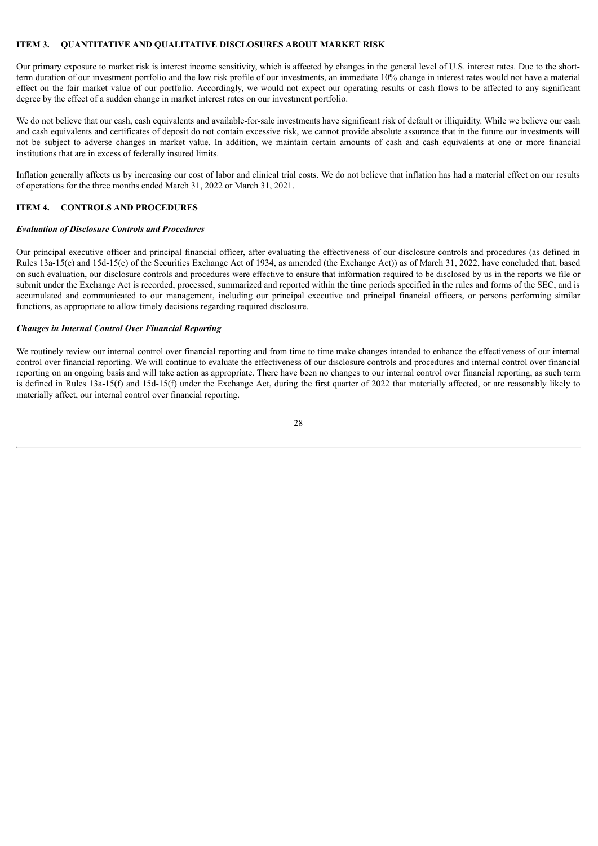#### **ITEM 3. QUANTITATIVE AND QUALITATIVE DISCLOSURES ABOUT MARKET RISK**

Our primary exposure to market risk is interest income sensitivity, which is affected by changes in the general level of U.S. interest rates. Due to the shortterm duration of our investment portfolio and the low risk profile of our investments, an immediate 10% change in interest rates would not have a material effect on the fair market value of our portfolio. Accordingly, we would not expect our operating results or cash flows to be affected to any significant degree by the effect of a sudden change in market interest rates on our investment portfolio.

We do not believe that our cash, cash equivalents and available-for-sale investments have significant risk of default or illiquidity. While we believe our cash and cash equivalents and certificates of deposit do not contain excessive risk, we cannot provide absolute assurance that in the future our investments will not be subject to adverse changes in market value. In addition, we maintain certain amounts of cash and cash equivalents at one or more financial institutions that are in excess of federally insured limits.

Inflation generally affects us by increasing our cost of labor and clinical trial costs. We do not believe that inflation has had a material effect on our results of operations for the three months ended March 31, 2022 or March 31, 2021.

## <span id="page-28-0"></span>**ITEM 4. CONTROLS AND PROCEDURES**

## *Evaluation of Disclosure Controls and Procedures*

Our principal executive officer and principal financial officer, after evaluating the effectiveness of our disclosure controls and procedures (as defined in Rules 13a-15(e) and 15d-15(e) of the Securities Exchange Act of 1934, as amended (the Exchange Act)) as of March 31, 2022, have concluded that, based on such evaluation, our disclosure controls and procedures were effective to ensure that information required to be disclosed by us in the reports we file or submit under the Exchange Act is recorded, processed, summarized and reported within the time periods specified in the rules and forms of the SEC, and is accumulated and communicated to our management, including our principal executive and principal financial officers, or persons performing similar functions, as appropriate to allow timely decisions regarding required disclosure.

## *Changes in Internal Control Over Financial Reporting*

<span id="page-28-1"></span>We routinely review our internal control over financial reporting and from time to time make changes intended to enhance the effectiveness of our internal control over financial reporting. We will continue to evaluate the effectiveness of our disclosure controls and procedures and internal control over financial reporting on an ongoing basis and will take action as appropriate. There have been no changes to our internal control over financial reporting, as such term is defined in Rules 13a-15(f) and 15d-15(f) under the Exchange Act, during the first quarter of 2022 that materially affected, or are reasonably likely to materially affect, our internal control over financial reporting.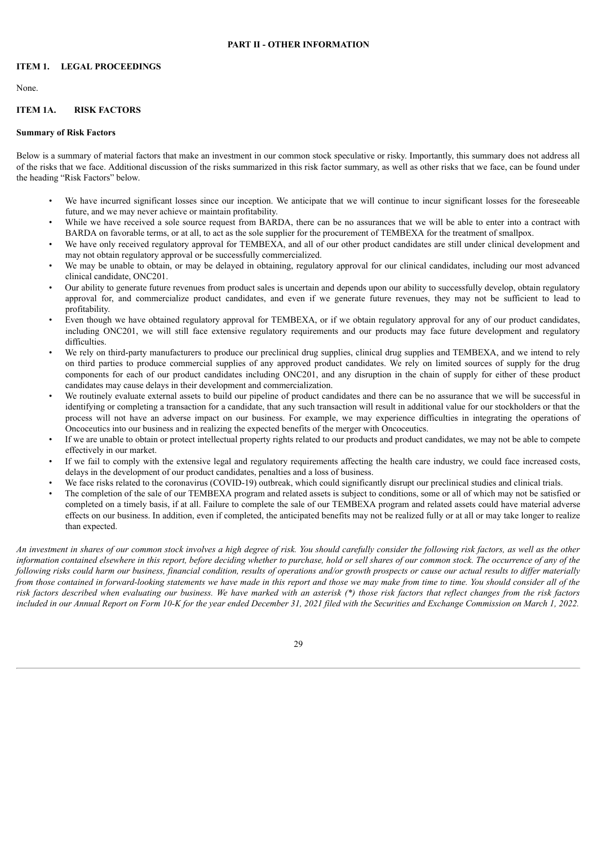## <span id="page-29-0"></span>**ITEM 1. LEGAL PROCEEDINGS**

None.

## <span id="page-29-1"></span>**ITEM 1A. RISK FACTORS**

#### **Summary of Risk Factors**

Below is a summary of material factors that make an investment in our common stock speculative or risky. Importantly, this summary does not address all of the risks that we face. Additional discussion of the risks summarized in this risk factor summary, as well as other risks that we face, can be found under the heading "Risk Factors" below.

- We have incurred significant losses since our inception. We anticipate that we will continue to incur significant losses for the foreseeable future, and we may never achieve or maintain profitability.
- While we have received a sole source request from BARDA, there can be no assurances that we will be able to enter into a contract with BARDA on favorable terms, or at all, to act as the sole supplier for the procurement of TEMBEXA for the treatment of smallpox.
- We have only received regulatory approval for TEMBEXA, and all of our other product candidates are still under clinical development and may not obtain regulatory approval or be successfully commercialized.
- We may be unable to obtain, or may be delayed in obtaining, regulatory approval for our clinical candidates, including our most advanced clinical candidate, ONC201.
- Our ability to generate future revenues from product sales is uncertain and depends upon our ability to successfully develop, obtain regulatory approval for, and commercialize product candidates, and even if we generate future revenues, they may not be sufficient to lead to profitability.
- Even though we have obtained regulatory approval for TEMBEXA, or if we obtain regulatory approval for any of our product candidates, including ONC201, we will still face extensive regulatory requirements and our products may face future development and regulatory difficulties.
- We rely on third-party manufacturers to produce our preclinical drug supplies, clinical drug supplies and TEMBEXA, and we intend to rely on third parties to produce commercial supplies of any approved product candidates. We rely on limited sources of supply for the drug components for each of our product candidates including ONC201, and any disruption in the chain of supply for either of these product candidates may cause delays in their development and commercialization.
- We routinely evaluate external assets to build our pipeline of product candidates and there can be no assurance that we will be successful in identifying or completing a transaction for a candidate, that any such transaction will result in additional value for our stockholders or that the process will not have an adverse impact on our business. For example, we may experience difficulties in integrating the operations of Oncoceutics into our business and in realizing the expected benefits of the merger with Oncoceutics.
- If we are unable to obtain or protect intellectual property rights related to our products and product candidates, we may not be able to compete effectively in our market.
- If we fail to comply with the extensive legal and regulatory requirements affecting the health care industry, we could face increased costs, delays in the development of our product candidates, penalties and a loss of business.
- We face risks related to the coronavirus (COVID-19) outbreak, which could significantly disrupt our preclinical studies and clinical trials.
- The completion of the sale of our TEMBEXA program and related assets is subject to conditions, some or all of which may not be satisfied or completed on a timely basis, if at all. Failure to complete the sale of our TEMBEXA program and related assets could have material adverse effects on our business. In addition, even if completed, the anticipated benefits may not be realized fully or at all or may take longer to realize than expected.

An investment in shares of our common stock involves a high degree of risk. You should carefully consider the following risk factors, as well as the other information contained elsewhere in this report, before deciding whether to purchase, hold or sell shares of our common stock. The occurrence of any of the following risks could harm our business, financial condition, results of operations and/or growth prospects or cause our actual results to differ materially from those contained in forward-looking statements we have made in this report and those we may make from time to time. You should consider all of the risk factors described when evaluating our business. We have marked with an asterisk (\*) those risk factors that reflect changes from the risk factors included in our Annual Report on Form 10-K for the vear ended December 31, 2021 filed with the Securities and Exchange Commission on March 1, 2022.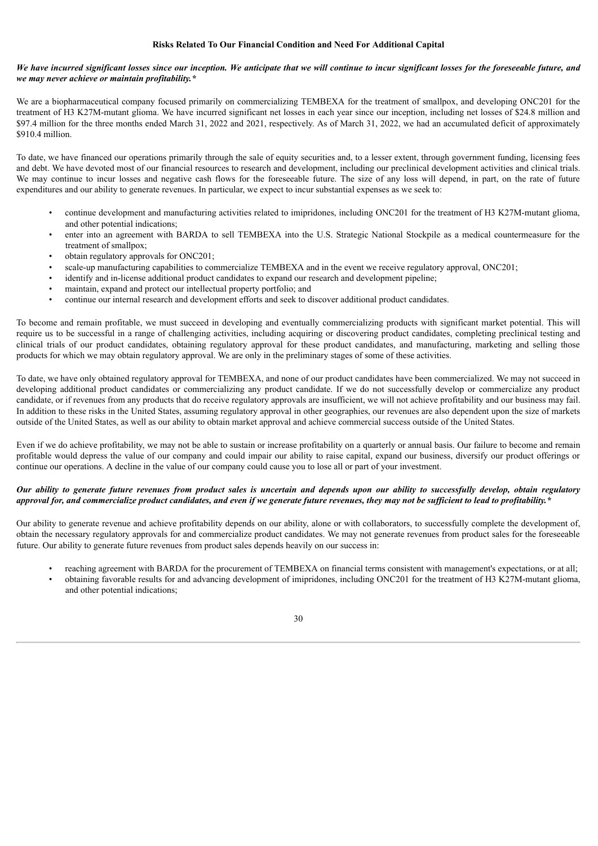### **Risks Related To Our Financial Condition and Need For Additional Capital**

## We have incurred significant losses since our inception. We anticipate that we will continue to incur significant losses for the foreseeable future, and *we may never achieve or maintain profitability.\**

We are a biopharmaceutical company focused primarily on commercializing TEMBEXA for the treatment of smallpox, and developing ONC201 for the treatment of H3 K27M-mutant glioma. We have incurred significant net losses in each year since our inception, including net losses of \$24.8 million and \$97.4 million for the three months ended March 31, 2022 and 2021, respectively. As of March 31, 2022, we had an accumulated deficit of approximately \$910.4 million.

To date, we have financed our operations primarily through the sale of equity securities and, to a lesser extent, through government funding, licensing fees and debt. We have devoted most of our financial resources to research and development, including our preclinical development activities and clinical trials. We may continue to incur losses and negative cash flows for the foreseeable future. The size of any loss will depend, in part, on the rate of future expenditures and our ability to generate revenues. In particular, we expect to incur substantial expenses as we seek to:

- continue development and manufacturing activities related to imipridones, including ONC201 for the treatment of H3 K27M-mutant glioma, and other potential indications;
- enter into an agreement with BARDA to sell TEMBEXA into the U.S. Strategic National Stockpile as a medical countermeasure for the treatment of smallpox;
- obtain regulatory approvals for ONC201;
- scale-up manufacturing capabilities to commercialize TEMBEXA and in the event we receive regulatory approval, ONC201;
- identify and in-license additional product candidates to expand our research and development pipeline;
- maintain, expand and protect our intellectual property portfolio; and
- continue our internal research and development efforts and seek to discover additional product candidates.

To become and remain profitable, we must succeed in developing and eventually commercializing products with significant market potential. This will require us to be successful in a range of challenging activities, including acquiring or discovering product candidates, completing preclinical testing and clinical trials of our product candidates, obtaining regulatory approval for these product candidates, and manufacturing, marketing and selling those products for which we may obtain regulatory approval. We are only in the preliminary stages of some of these activities.

To date, we have only obtained regulatory approval for TEMBEXA, and none of our product candidates have been commercialized. We may not succeed in developing additional product candidates or commercializing any product candidate. If we do not successfully develop or commercialize any product candidate, or if revenues from any products that do receive regulatory approvals are insufficient, we will not achieve profitability and our business may fail. In addition to these risks in the United States, assuming regulatory approval in other geographies, our revenues are also dependent upon the size of markets outside of the United States, as well as our ability to obtain market approval and achieve commercial success outside of the United States.

Even if we do achieve profitability, we may not be able to sustain or increase profitability on a quarterly or annual basis. Our failure to become and remain profitable would depress the value of our company and could impair our ability to raise capital, expand our business, diversify our product offerings or continue our operations. A decline in the value of our company could cause you to lose all or part of your investment.

## Our ability to generate future revenues from product sales is uncertain and depends upon our ability to successfully develop, obtain regulatory approval for, and commercialize product candidates, and even if we generate future revenues, they may not be sufficient to lead to profitability.\*

Our ability to generate revenue and achieve profitability depends on our ability, alone or with collaborators, to successfully complete the development of, obtain the necessary regulatory approvals for and commercialize product candidates. We may not generate revenues from product sales for the foreseeable future. Our ability to generate future revenues from product sales depends heavily on our success in:

- reaching agreement with BARDA for the procurement of TEMBEXA on financial terms consistent with management's expectations, or at all;
- obtaining favorable results for and advancing development of imipridones, including ONC201 for the treatment of H3 K27M-mutant glioma, and other potential indications;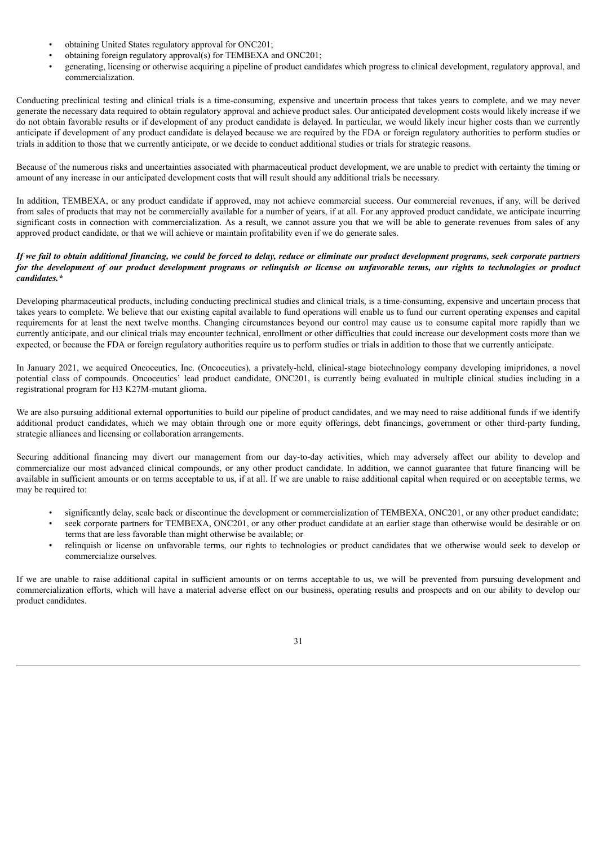- obtaining United States regulatory approval for ONC201;
- obtaining foreign regulatory approval(s) for TEMBEXA and ONC201;
- generating, licensing or otherwise acquiring a pipeline of product candidates which progress to clinical development, regulatory approval, and commercialization.

Conducting preclinical testing and clinical trials is a time-consuming, expensive and uncertain process that takes years to complete, and we may never generate the necessary data required to obtain regulatory approval and achieve product sales. Our anticipated development costs would likely increase if we do not obtain favorable results or if development of any product candidate is delayed. In particular, we would likely incur higher costs than we currently anticipate if development of any product candidate is delayed because we are required by the FDA or foreign regulatory authorities to perform studies or trials in addition to those that we currently anticipate, or we decide to conduct additional studies or trials for strategic reasons.

Because of the numerous risks and uncertainties associated with pharmaceutical product development, we are unable to predict with certainty the timing or amount of any increase in our anticipated development costs that will result should any additional trials be necessary.

In addition, TEMBEXA, or any product candidate if approved, may not achieve commercial success. Our commercial revenues, if any, will be derived from sales of products that may not be commercially available for a number of years, if at all. For any approved product candidate, we anticipate incurring significant costs in connection with commercialization. As a result, we cannot assure you that we will be able to generate revenues from sales of any approved product candidate, or that we will achieve or maintain profitability even if we do generate sales.

## If we fail to obtain additional financing, we could be forced to delay, reduce or eliminate our product development programs, seek corporate partners for the development of our product development programs or relinquish or license on unfavorable terms, our rights to technologies or product *candidates.\**

Developing pharmaceutical products, including conducting preclinical studies and clinical trials, is a time-consuming, expensive and uncertain process that takes years to complete. We believe that our existing capital available to fund operations will enable us to fund our current operating expenses and capital requirements for at least the next twelve months. Changing circumstances beyond our control may cause us to consume capital more rapidly than we currently anticipate, and our clinical trials may encounter technical, enrollment or other difficulties that could increase our development costs more than we expected, or because the FDA or foreign regulatory authorities require us to perform studies or trials in addition to those that we currently anticipate.

In January 2021, we acquired Oncoceutics, Inc. (Oncoceutics), a privately-held, clinical-stage biotechnology company developing imipridones, a novel potential class of compounds. Oncoceutics' lead product candidate, ONC201, is currently being evaluated in multiple clinical studies including in a registrational program for H3 K27M-mutant glioma.

We are also pursuing additional external opportunities to build our pipeline of product candidates, and we may need to raise additional funds if we identify additional product candidates, which we may obtain through one or more equity offerings, debt financings, government or other third-party funding, strategic alliances and licensing or collaboration arrangements.

Securing additional financing may divert our management from our day-to-day activities, which may adversely affect our ability to develop and commercialize our most advanced clinical compounds, or any other product candidate. In addition, we cannot guarantee that future financing will be available in sufficient amounts or on terms acceptable to us, if at all. If we are unable to raise additional capital when required or on acceptable terms, we may be required to:

- significantly delay, scale back or discontinue the development or commercialization of TEMBEXA, ONC201, or any other product candidate;
- seek corporate partners for TEMBEXA, ONC201, or any other product candidate at an earlier stage than otherwise would be desirable or on terms that are less favorable than might otherwise be available; or
- relinquish or license on unfavorable terms, our rights to technologies or product candidates that we otherwise would seek to develop or commercialize ourselves.

If we are unable to raise additional capital in sufficient amounts or on terms acceptable to us, we will be prevented from pursuing development and commercialization efforts, which will have a material adverse effect on our business, operating results and prospects and on our ability to develop our product candidates.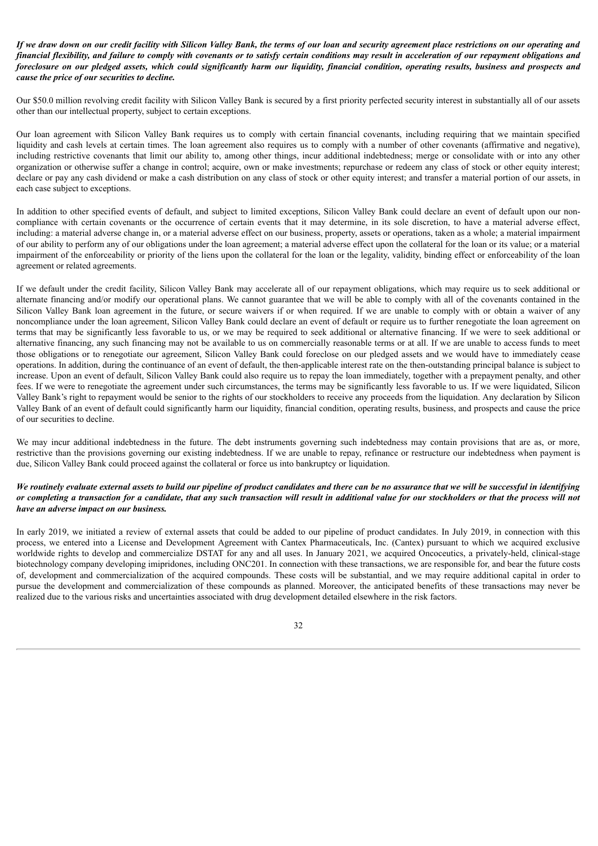## If we draw down on our credit facility with Silicon Valley Bank, the terms of our loan and security agreement place restrictions on our operating and financial flexibility, and failure to comply with covenants or to satisfy certain conditions may result in acceleration of our repayment obligations and foreclosure on our pledged assets, which could significantly harm our liquidity, financial condition, operating results, business and prospects and *cause the price of our securities to decline.*

Our \$50.0 million revolving credit facility with Silicon Valley Bank is secured by a first priority perfected security interest in substantially all of our assets other than our intellectual property, subject to certain exceptions.

Our loan agreement with Silicon Valley Bank requires us to comply with certain financial covenants, including requiring that we maintain specified liquidity and cash levels at certain times. The loan agreement also requires us to comply with a number of other covenants (affirmative and negative), including restrictive covenants that limit our ability to, among other things, incur additional indebtedness; merge or consolidate with or into any other organization or otherwise suffer a change in control; acquire, own or make investments; repurchase or redeem any class of stock or other equity interest; declare or pay any cash dividend or make a cash distribution on any class of stock or other equity interest; and transfer a material portion of our assets, in each case subject to exceptions.

In addition to other specified events of default, and subject to limited exceptions, Silicon Valley Bank could declare an event of default upon our noncompliance with certain covenants or the occurrence of certain events that it may determine, in its sole discretion, to have a material adverse effect, including: a material adverse change in, or a material adverse effect on our business, property, assets or operations, taken as a whole; a material impairment of our ability to perform any of our obligations under the loan agreement; a material adverse effect upon the collateral for the loan or its value; or a material impairment of the enforceability or priority of the liens upon the collateral for the loan or the legality, validity, binding effect or enforceability of the loan agreement or related agreements.

If we default under the credit facility, Silicon Valley Bank may accelerate all of our repayment obligations, which may require us to seek additional or alternate financing and/or modify our operational plans. We cannot guarantee that we will be able to comply with all of the covenants contained in the Silicon Valley Bank loan agreement in the future, or secure waivers if or when required. If we are unable to comply with or obtain a waiver of any noncompliance under the loan agreement, Silicon Valley Bank could declare an event of default or require us to further renegotiate the loan agreement on terms that may be significantly less favorable to us, or we may be required to seek additional or alternative financing. If we were to seek additional or alternative financing, any such financing may not be available to us on commercially reasonable terms or at all. If we are unable to access funds to meet those obligations or to renegotiate our agreement, Silicon Valley Bank could foreclose on our pledged assets and we would have to immediately cease operations. In addition, during the continuance of an event of default, the then-applicable interest rate on the then-outstanding principal balance is subject to increase. Upon an event of default, Silicon Valley Bank could also require us to repay the loan immediately, together with a prepayment penalty, and other fees. If we were to renegotiate the agreement under such circumstances, the terms may be significantly less favorable to us. If we were liquidated, Silicon Valley Bank's right to repayment would be senior to the rights of our stockholders to receive any proceeds from the liquidation. Any declaration by Silicon Valley Bank of an event of default could significantly harm our liquidity, financial condition, operating results, business, and prospects and cause the price of our securities to decline.

We may incur additional indebtedness in the future. The debt instruments governing such indebtedness may contain provisions that are as, or more, restrictive than the provisions governing our existing indebtedness. If we are unable to repay, refinance or restructure our indebtedness when payment is due, Silicon Valley Bank could proceed against the collateral or force us into bankruptcy or liquidation.

## We routinely evaluate external assets to build our pipeline of product candidates and there can be no assurance that we will be successful in identifying or completing a transaction for a candidate, that any such transaction will result in additional value for our stockholders or that the process will not *have an adverse impact on our business.*

In early 2019, we initiated a review of external assets that could be added to our pipeline of product candidates. In July 2019, in connection with this process, we entered into a License and Development Agreement with Cantex Pharmaceuticals, Inc. (Cantex) pursuant to which we acquired exclusive worldwide rights to develop and commercialize DSTAT for any and all uses. In January 2021, we acquired Oncoceutics, a privately-held, clinical-stage biotechnology company developing imipridones, including ONC201. In connection with these transactions, we are responsible for, and bear the future costs of, development and commercialization of the acquired compounds. These costs will be substantial, and we may require additional capital in order to pursue the development and commercialization of these compounds as planned. Moreover, the anticipated benefits of these transactions may never be realized due to the various risks and uncertainties associated with drug development detailed elsewhere in the risk factors.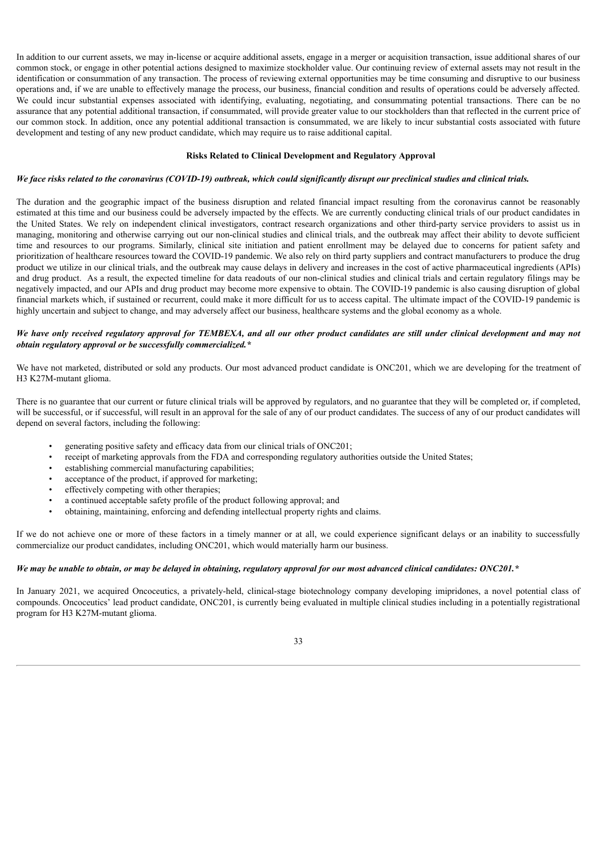In addition to our current assets, we may in-license or acquire additional assets, engage in a merger or acquisition transaction, issue additional shares of our common stock, or engage in other potential actions designed to maximize stockholder value. Our continuing review of external assets may not result in the identification or consummation of any transaction. The process of reviewing external opportunities may be time consuming and disruptive to our business operations and, if we are unable to effectively manage the process, our business, financial condition and results of operations could be adversely affected. We could incur substantial expenses associated with identifying, evaluating, negotiating, and consummating potential transactions. There can be no assurance that any potential additional transaction, if consummated, will provide greater value to our stockholders than that reflected in the current price of our common stock. In addition, once any potential additional transaction is consummated, we are likely to incur substantial costs associated with future development and testing of any new product candidate, which may require us to raise additional capital.

## **Risks Related to Clinical Development and Regulatory Approval**

#### We face risks related to the coronavirus (COVID-19) outbreak, which could significantly disrupt our preclinical studies and clinical trials.

The duration and the geographic impact of the business disruption and related financial impact resulting from the coronavirus cannot be reasonably estimated at this time and our business could be adversely impacted by the effects. We are currently conducting clinical trials of our product candidates in the United States. We rely on independent clinical investigators, contract research organizations and other third-party service providers to assist us in managing, monitoring and otherwise carrying out our non-clinical studies and clinical trials, and the outbreak may affect their ability to devote sufficient time and resources to our programs. Similarly, clinical site initiation and patient enrollment may be delayed due to concerns for patient safety and prioritization of healthcare resources toward the COVID-19 pandemic. We also rely on third party suppliers and contract manufacturers to produce the drug product we utilize in our clinical trials, and the outbreak may cause delays in delivery and increases in the cost of active pharmaceutical ingredients (APIs) and drug product. As a result, the expected timeline for data readouts of our non-clinical studies and clinical trials and certain regulatory filings may be negatively impacted, and our APIs and drug product may become more expensive to obtain. The COVID-19 pandemic is also causing disruption of global financial markets which, if sustained or recurrent, could make it more difficult for us to access capital. The ultimate impact of the COVID-19 pandemic is highly uncertain and subject to change, and may adversely affect our business, healthcare systems and the global economy as a whole.

## We have only received regulatory approval for TEMBEXA, and all our other product candidates are still under clinical development and may not *obtain regulatory approval or be successfully commercialized.\**

We have not marketed, distributed or sold any products. Our most advanced product candidate is ONC201, which we are developing for the treatment of H3 K27M-mutant glioma.

There is no guarantee that our current or future clinical trials will be approved by regulators, and no guarantee that they will be completed or, if completed, will be successful, or if successful, will result in an approval for the sale of any of our product candidates. The success of any of our product candidates will depend on several factors, including the following:

- generating positive safety and efficacy data from our clinical trials of ONC201;
- receipt of marketing approvals from the FDA and corresponding regulatory authorities outside the United States;
- establishing commercial manufacturing capabilities;
- acceptance of the product, if approved for marketing;
- effectively competing with other therapies;
- a continued acceptable safety profile of the product following approval; and
- obtaining, maintaining, enforcing and defending intellectual property rights and claims.

If we do not achieve one or more of these factors in a timely manner or at all, we could experience significant delays or an inability to successfully commercialize our product candidates, including ONC201, which would materially harm our business.

### We may be unable to obtain, or may be delayed in obtaining, regulatory approval for our most advanced clinical candidates:  $ONC201.*$

In January 2021, we acquired Oncoceutics, a privately-held, clinical-stage biotechnology company developing imipridones, a novel potential class of compounds. Oncoceutics' lead product candidate, ONC201, is currently being evaluated in multiple clinical studies including in a potentially registrational program for H3 K27M-mutant glioma.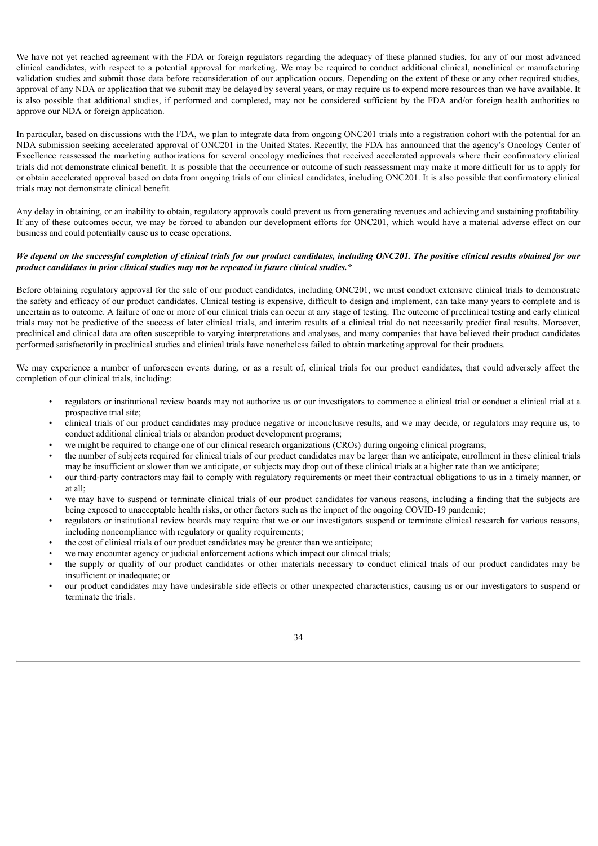We have not yet reached agreement with the FDA or foreign regulators regarding the adequacy of these planned studies, for any of our most advanced clinical candidates, with respect to a potential approval for marketing. We may be required to conduct additional clinical, nonclinical or manufacturing validation studies and submit those data before reconsideration of our application occurs. Depending on the extent of these or any other required studies, approval of any NDA or application that we submit may be delayed by several years, or may require us to expend more resources than we have available. It is also possible that additional studies, if performed and completed, may not be considered sufficient by the FDA and/or foreign health authorities to approve our NDA or foreign application.

In particular, based on discussions with the FDA, we plan to integrate data from ongoing ONC201 trials into a registration cohort with the potential for an NDA submission seeking accelerated approval of ONC201 in the United States. Recently, the FDA has announced that the agency's Oncology Center of Excellence reassessed the marketing authorizations for several oncology medicines that received accelerated approvals where their confirmatory clinical trials did not demonstrate clinical benefit. It is possible that the occurrence or outcome of such reassessment may make it more difficult for us to apply for or obtain accelerated approval based on data from ongoing trials of our clinical candidates, including ONC201. It is also possible that confirmatory clinical trials may not demonstrate clinical benefit.

Any delay in obtaining, or an inability to obtain, regulatory approvals could prevent us from generating revenues and achieving and sustaining profitability. If any of these outcomes occur, we may be forced to abandon our development efforts for ONC201, which would have a material adverse effect on our business and could potentially cause us to cease operations.

## We depend on the successful completion of clinical trials for our product candidates, including ONC201. The positive clinical results obtained for our *product candidates in prior clinical studies may not be repeated in future clinical studies.\**

Before obtaining regulatory approval for the sale of our product candidates, including ONC201, we must conduct extensive clinical trials to demonstrate the safety and efficacy of our product candidates. Clinical testing is expensive, difficult to design and implement, can take many years to complete and is uncertain as to outcome. A failure of one or more of our clinical trials can occur at any stage of testing. The outcome of preclinical testing and early clinical trials may not be predictive of the success of later clinical trials, and interim results of a clinical trial do not necessarily predict final results. Moreover, preclinical and clinical data are often susceptible to varying interpretations and analyses, and many companies that have believed their product candidates performed satisfactorily in preclinical studies and clinical trials have nonetheless failed to obtain marketing approval for their products.

We may experience a number of unforeseen events during, or as a result of, clinical trials for our product candidates, that could adversely affect the completion of our clinical trials, including:

- regulators or institutional review boards may not authorize us or our investigators to commence a clinical trial or conduct a clinical trial at a prospective trial site;
- clinical trials of our product candidates may produce negative or inconclusive results, and we may decide, or regulators may require us, to conduct additional clinical trials or abandon product development programs;
- we might be required to change one of our clinical research organizations (CROs) during ongoing clinical programs;
- the number of subjects required for clinical trials of our product candidates may be larger than we anticipate, enrollment in these clinical trials may be insufficient or slower than we anticipate, or subjects may drop out of these clinical trials at a higher rate than we anticipate;
- our third-party contractors may fail to comply with regulatory requirements or meet their contractual obligations to us in a timely manner, or at all;
- we may have to suspend or terminate clinical trials of our product candidates for various reasons, including a finding that the subjects are being exposed to unacceptable health risks, or other factors such as the impact of the ongoing COVID-19 pandemic;
- regulators or institutional review boards may require that we or our investigators suspend or terminate clinical research for various reasons, including noncompliance with regulatory or quality requirements;
- the cost of clinical trials of our product candidates may be greater than we anticipate;
- we may encounter agency or judicial enforcement actions which impact our clinical trials;
- the supply or quality of our product candidates or other materials necessary to conduct clinical trials of our product candidates may be insufficient or inadequate; or
- our product candidates may have undesirable side effects or other unexpected characteristics, causing us or our investigators to suspend or terminate the trials.

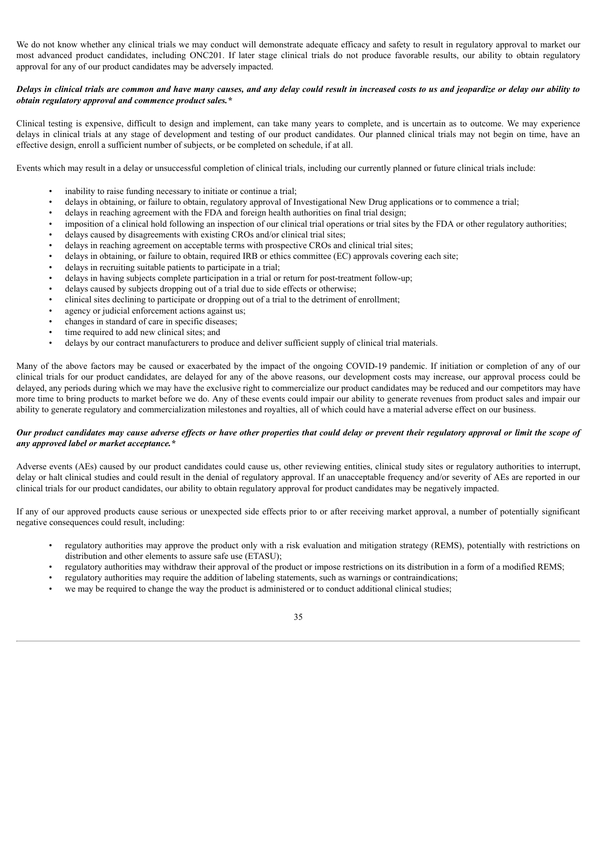We do not know whether any clinical trials we may conduct will demonstrate adequate efficacy and safety to result in regulatory approval to market our most advanced product candidates, including ONC201. If later stage clinical trials do not produce favorable results, our ability to obtain regulatory approval for any of our product candidates may be adversely impacted.

## Delays in clinical trials are common and have many causes, and any delay could result in increased costs to us and jeopardize or delay our ability to *obtain regulatory approval and commence product sales.\**

Clinical testing is expensive, difficult to design and implement, can take many years to complete, and is uncertain as to outcome. We may experience delays in clinical trials at any stage of development and testing of our product candidates. Our planned clinical trials may not begin on time, have an effective design, enroll a sufficient number of subjects, or be completed on schedule, if at all.

Events which may result in a delay or unsuccessful completion of clinical trials, including our currently planned or future clinical trials include:

- inability to raise funding necessary to initiate or continue a trial;
- delays in obtaining, or failure to obtain, regulatory approval of Investigational New Drug applications or to commence a trial;
- delays in reaching agreement with the FDA and foreign health authorities on final trial design;
- imposition of a clinical hold following an inspection of our clinical trial operations or trial sites by the FDA or other regulatory authorities;
- delays caused by disagreements with existing CROs and/or clinical trial sites;
- delays in reaching agreement on acceptable terms with prospective CROs and clinical trial sites;
- delays in obtaining, or failure to obtain, required IRB or ethics committee (EC) approvals covering each site;
- delays in recruiting suitable patients to participate in a trial;
- delays in having subjects complete participation in a trial or return for post-treatment follow-up;
- delays caused by subjects dropping out of a trial due to side effects or otherwise;
- clinical sites declining to participate or dropping out of a trial to the detriment of enrollment;
- agency or judicial enforcement actions against us;
- changes in standard of care in specific diseases;
- time required to add new clinical sites; and
- delays by our contract manufacturers to produce and deliver sufficient supply of clinical trial materials.

Many of the above factors may be caused or exacerbated by the impact of the ongoing COVID-19 pandemic. If initiation or completion of any of our clinical trials for our product candidates, are delayed for any of the above reasons, our development costs may increase, our approval process could be delayed, any periods during which we may have the exclusive right to commercialize our product candidates may be reduced and our competitors may have more time to bring products to market before we do. Any of these events could impair our ability to generate revenues from product sales and impair our ability to generate regulatory and commercialization milestones and royalties, all of which could have a material adverse effect on our business.

## Our product candidates may cause adverse effects or have other properties that could delay or prevent their regulatory approval or limit the scope of *any approved label or market acceptance.\**

Adverse events (AEs) caused by our product candidates could cause us, other reviewing entities, clinical study sites or regulatory authorities to interrupt, delay or halt clinical studies and could result in the denial of regulatory approval. If an unacceptable frequency and/or severity of AEs are reported in our clinical trials for our product candidates, our ability to obtain regulatory approval for product candidates may be negatively impacted.

If any of our approved products cause serious or unexpected side effects prior to or after receiving market approval, a number of potentially significant negative consequences could result, including:

- regulatory authorities may approve the product only with a risk evaluation and mitigation strategy (REMS), potentially with restrictions on distribution and other elements to assure safe use (ETASU);
- regulatory authorities may withdraw their approval of the product or impose restrictions on its distribution in a form of a modified REMS;
- regulatory authorities may require the addition of labeling statements, such as warnings or contraindications;
- we may be required to change the way the product is administered or to conduct additional clinical studies;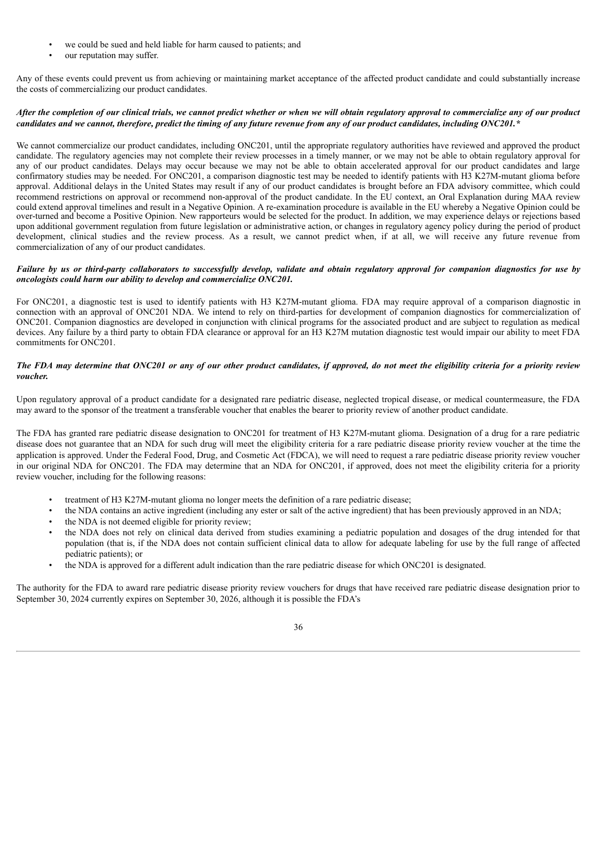- we could be sued and held liable for harm caused to patients; and
- our reputation may suffer.

Any of these events could prevent us from achieving or maintaining market acceptance of the affected product candidate and could substantially increase the costs of commercializing our product candidates.

## After the completion of our clinical trials, we cannot predict whether or when we will obtain regulatory approval to commercialize any of our product candidates and we cannot, therefore, predict the timing of any future revenue from any of our product candidates, including ONC201.\*

We cannot commercialize our product candidates, including ONC201, until the appropriate regulatory authorities have reviewed and approved the product candidate. The regulatory agencies may not complete their review processes in a timely manner, or we may not be able to obtain regulatory approval for any of our product candidates. Delays may occur because we may not be able to obtain accelerated approval for our product candidates and large confirmatory studies may be needed. For ONC201, a comparison diagnostic test may be needed to identify patients with H3 K27M-mutant glioma before approval. Additional delays in the United States may result if any of our product candidates is brought before an FDA advisory committee, which could recommend restrictions on approval or recommend non-approval of the product candidate. In the EU context, an Oral Explanation during MAA review could extend approval timelines and result in a Negative Opinion. A re-examination procedure is available in the EU whereby a Negative Opinion could be over-turned and become a Positive Opinion. New rapporteurs would be selected for the product. In addition, we may experience delays or rejections based upon additional government regulation from future legislation or administrative action, or changes in regulatory agency policy during the period of product development, clinical studies and the review process. As a result, we cannot predict when, if at all, we will receive any future revenue from commercialization of any of our product candidates.

## Failure by us or third-party collaborators to successfully develop, validate and obtain regulatory approval for companion diagnostics for use by *oncologists could harm our ability to develop and commercialize ONC201.*

For ONC201, a diagnostic test is used to identify patients with H3 K27M-mutant glioma. FDA may require approval of a comparison diagnostic in connection with an approval of ONC201 NDA. We intend to rely on third-parties for development of companion diagnostics for commercialization of ONC201. Companion diagnostics are developed in conjunction with clinical programs for the associated product and are subject to regulation as medical devices. Any failure by a third party to obtain FDA clearance or approval for an H3 K27M mutation diagnostic test would impair our ability to meet FDA commitments for ONC201.

## The FDA may determine that ONC201 or any of our other product candidates, if approved, do not meet the eligibility criteria for a priority review *voucher.*

Upon regulatory approval of a product candidate for a designated rare pediatric disease, neglected tropical disease, or medical countermeasure, the FDA may award to the sponsor of the treatment a transferable voucher that enables the bearer to priority review of another product candidate.

The FDA has granted rare pediatric disease designation to ONC201 for treatment of H3 K27M-mutant glioma. Designation of a drug for a rare pediatric disease does not guarantee that an NDA for such drug will meet the eligibility criteria for a rare pediatric disease priority review voucher at the time the application is approved. Under the Federal Food, Drug, and Cosmetic Act (FDCA), we will need to request a rare pediatric disease priority review voucher in our original NDA for ONC201. The FDA may determine that an NDA for ONC201, if approved, does not meet the eligibility criteria for a priority review voucher, including for the following reasons:

- treatment of H3 K27M-mutant glioma no longer meets the definition of a rare pediatric disease;
- the NDA contains an active ingredient (including any ester or salt of the active ingredient) that has been previously approved in an NDA;
- the NDA is not deemed eligible for priority review;
- the NDA does not rely on clinical data derived from studies examining a pediatric population and dosages of the drug intended for that population (that is, if the NDA does not contain sufficient clinical data to allow for adequate labeling for use by the full range of affected pediatric patients); or
- the NDA is approved for a different adult indication than the rare pediatric disease for which ONC201 is designated.

The authority for the FDA to award rare pediatric disease priority review vouchers for drugs that have received rare pediatric disease designation prior to September 30, 2024 currently expires on September 30, 2026, although it is possible the FDA's

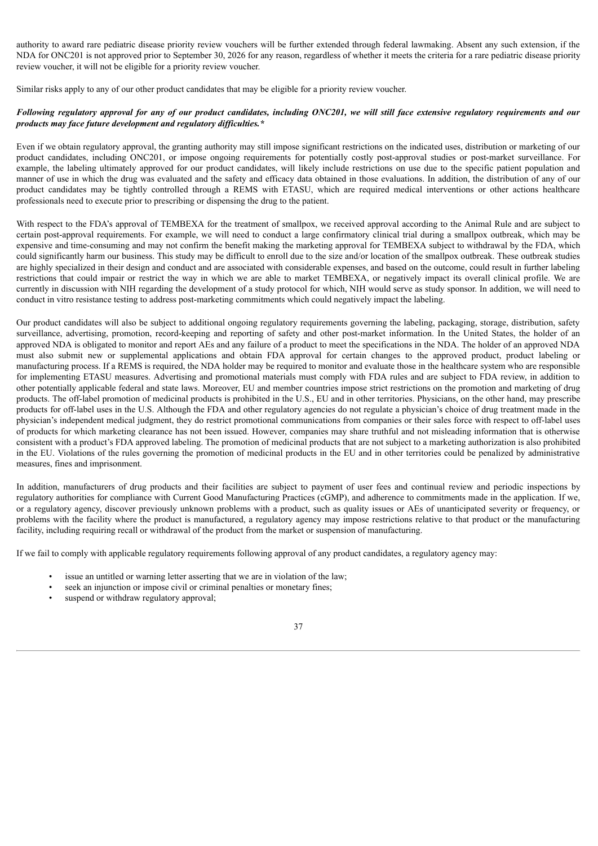authority to award rare pediatric disease priority review vouchers will be further extended through federal lawmaking. Absent any such extension, if the NDA for ONC201 is not approved prior to September 30, 2026 for any reason, regardless of whether it meets the criteria for a rare pediatric disease priority review voucher, it will not be eligible for a priority review voucher.

Similar risks apply to any of our other product candidates that may be eligible for a priority review voucher.

## Following regulatory approval for any of our product candidates, including ONC201, we will still face extensive regulatory requirements and our *products may face future development and regulatory dif iculties.\**

Even if we obtain regulatory approval, the granting authority may still impose significant restrictions on the indicated uses, distribution or marketing of our product candidates, including ONC201, or impose ongoing requirements for potentially costly post-approval studies or post-market surveillance. For example, the labeling ultimately approved for our product candidates, will likely include restrictions on use due to the specific patient population and manner of use in which the drug was evaluated and the safety and efficacy data obtained in those evaluations. In addition, the distribution of any of our product candidates may be tightly controlled through a REMS with ETASU, which are required medical interventions or other actions healthcare professionals need to execute prior to prescribing or dispensing the drug to the patient.

With respect to the FDA's approval of TEMBEXA for the treatment of smallpox, we received approval according to the Animal Rule and are subject to certain post-approval requirements. For example, we will need to conduct a large confirmatory clinical trial during a smallpox outbreak, which may be expensive and time-consuming and may not confirm the benefit making the marketing approval for TEMBEXA subject to withdrawal by the FDA, which could significantly harm our business. This study may be difficult to enroll due to the size and/or location of the smallpox outbreak. These outbreak studies are highly specialized in their design and conduct and are associated with considerable expenses, and based on the outcome, could result in further labeling restrictions that could impair or restrict the way in which we are able to market TEMBEXA, or negatively impact its overall clinical profile. We are currently in discussion with NIH regarding the development of a study protocol for which, NIH would serve as study sponsor. In addition, we will need to conduct in vitro resistance testing to address post-marketing commitments which could negatively impact the labeling.

Our product candidates will also be subject to additional ongoing regulatory requirements governing the labeling, packaging, storage, distribution, safety surveillance, advertising, promotion, record-keeping and reporting of safety and other post-market information. In the United States, the holder of an approved NDA is obligated to monitor and report AEs and any failure of a product to meet the specifications in the NDA. The holder of an approved NDA must also submit new or supplemental applications and obtain FDA approval for certain changes to the approved product, product labeling or manufacturing process. If a REMS is required, the NDA holder may be required to monitor and evaluate those in the healthcare system who are responsible for implementing ETASU measures. Advertising and promotional materials must comply with FDA rules and are subject to FDA review, in addition to other potentially applicable federal and state laws. Moreover, EU and member countries impose strict restrictions on the promotion and marketing of drug products. The off-label promotion of medicinal products is prohibited in the U.S., EU and in other territories. Physicians, on the other hand, may prescribe products for off-label uses in the U.S. Although the FDA and other regulatory agencies do not regulate a physician's choice of drug treatment made in the physician's independent medical judgment, they do restrict promotional communications from companies or their sales force with respect to off-label uses of products for which marketing clearance has not been issued. However, companies may share truthful and not misleading information that is otherwise consistent with a product's FDA approved labeling. The promotion of medicinal products that are not subject to a marketing authorization is also prohibited in the EU. Violations of the rules governing the promotion of medicinal products in the EU and in other territories could be penalized by administrative measures, fines and imprisonment.

In addition, manufacturers of drug products and their facilities are subject to payment of user fees and continual review and periodic inspections by regulatory authorities for compliance with Current Good Manufacturing Practices (cGMP), and adherence to commitments made in the application. If we, or a regulatory agency, discover previously unknown problems with a product, such as quality issues or AEs of unanticipated severity or frequency, or problems with the facility where the product is manufactured, a regulatory agency may impose restrictions relative to that product or the manufacturing facility, including requiring recall or withdrawal of the product from the market or suspension of manufacturing.

If we fail to comply with applicable regulatory requirements following approval of any product candidates, a regulatory agency may:

- issue an untitled or warning letter asserting that we are in violation of the law;
- seek an injunction or impose civil or criminal penalties or monetary fines;
- suspend or withdraw regulatory approval;

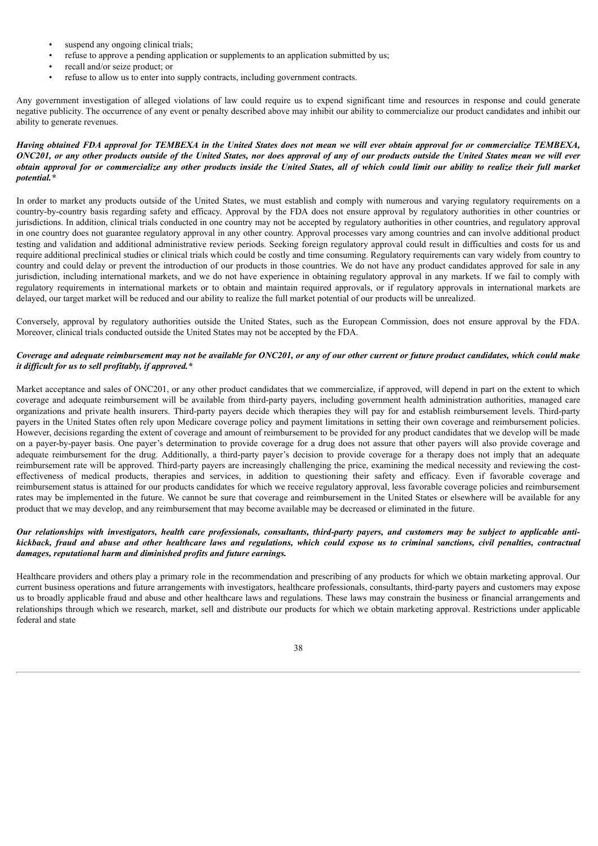- suspend any ongoing clinical trials;
- refuse to approve a pending application or supplements to an application submitted by us;
- recall and/or seize product; or
- refuse to allow us to enter into supply contracts, including government contracts.

Any government investigation of alleged violations of law could require us to expend significant time and resources in response and could generate negative publicity. The occurrence of any event or penalty described above may inhibit our ability to commercialize our product candidates and inhibit our ability to generate revenues.

## Having obtained FDA approval for TEMBEXA in the United States does not mean we will ever obtain approval for or commercialize TEMBEXA, ONC201, or any other products outside of the United States, nor does approval of any of our products outside the United States mean we will ever obtain approval for or commercialize any other products inside the United States, all of which could limit our ability to realize their full market *potential.\**

In order to market any products outside of the United States, we must establish and comply with numerous and varying regulatory requirements on a country-by-country basis regarding safety and efficacy. Approval by the FDA does not ensure approval by regulatory authorities in other countries or jurisdictions. In addition, clinical trials conducted in one country may not be accepted by regulatory authorities in other countries, and regulatory approval in one country does not guarantee regulatory approval in any other country. Approval processes vary among countries and can involve additional product testing and validation and additional administrative review periods. Seeking foreign regulatory approval could result in difficulties and costs for us and require additional preclinical studies or clinical trials which could be costly and time consuming. Regulatory requirements can vary widely from country to country and could delay or prevent the introduction of our products in those countries. We do not have any product candidates approved for sale in any jurisdiction, including international markets, and we do not have experience in obtaining regulatory approval in any markets. If we fail to comply with regulatory requirements in international markets or to obtain and maintain required approvals, or if regulatory approvals in international markets are delayed, our target market will be reduced and our ability to realize the full market potential of our products will be unrealized.

Conversely, approval by regulatory authorities outside the United States, such as the European Commission, does not ensure approval by the FDA. Moreover, clinical trials conducted outside the United States may not be accepted by the FDA.

## Coverage and adequate reimbursement may not be available for ONC201, or any of our other current or future product candidates, which could make *it dif icult for us to sell profitably, if approved.\**

Market acceptance and sales of ONC201, or any other product candidates that we commercialize, if approved, will depend in part on the extent to which coverage and adequate reimbursement will be available from third-party payers, including government health administration authorities, managed care organizations and private health insurers. Third-party payers decide which therapies they will pay for and establish reimbursement levels. Third-party payers in the United States often rely upon Medicare coverage policy and payment limitations in setting their own coverage and reimbursement policies. However, decisions regarding the extent of coverage and amount of reimbursement to be provided for any product candidates that we develop will be made on a payer-by-payer basis. One payer's determination to provide coverage for a drug does not assure that other payers will also provide coverage and adequate reimbursement for the drug. Additionally, a third-party payer's decision to provide coverage for a therapy does not imply that an adequate reimbursement rate will be approved. Third-party payers are increasingly challenging the price, examining the medical necessity and reviewing the costeffectiveness of medical products, therapies and services, in addition to questioning their safety and efficacy. Even if favorable coverage and reimbursement status is attained for our products candidates for which we receive regulatory approval, less favorable coverage policies and reimbursement rates may be implemented in the future. We cannot be sure that coverage and reimbursement in the United States or elsewhere will be available for any product that we may develop, and any reimbursement that may become available may be decreased or eliminated in the future.

## Our relationships with investigators, health care professionals, consultants, third-party payers, and customers may be subject to applicable antikickback, fraud and abuse and other healthcare laws and regulations, which could expose us to criminal sanctions, civil penalties, contractual *damages, reputational harm and diminished profits and future earnings.*

Healthcare providers and others play a primary role in the recommendation and prescribing of any products for which we obtain marketing approval. Our current business operations and future arrangements with investigators, healthcare professionals, consultants, third-party payers and customers may expose us to broadly applicable fraud and abuse and other healthcare laws and regulations. These laws may constrain the business or financial arrangements and relationships through which we research, market, sell and distribute our products for which we obtain marketing approval. Restrictions under applicable federal and state

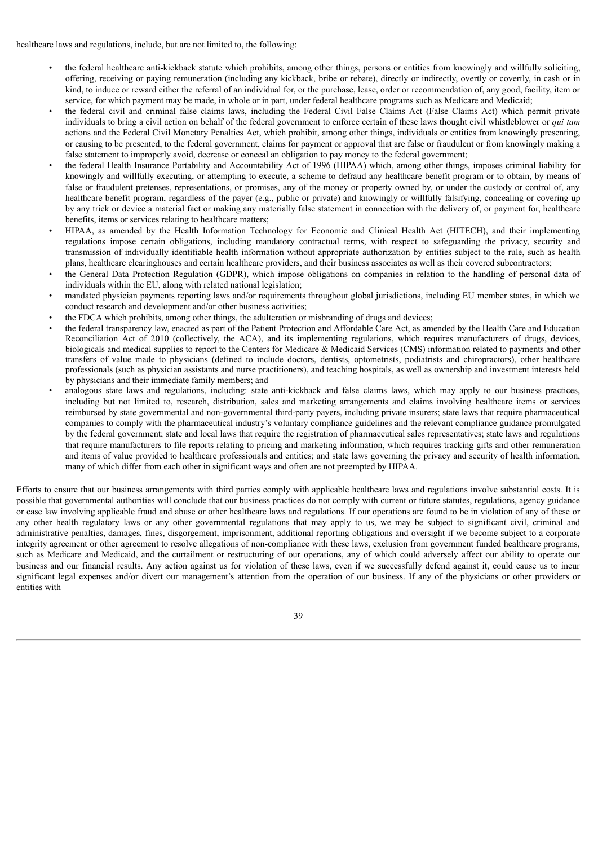healthcare laws and regulations, include, but are not limited to, the following:

- the federal healthcare anti-kickback statute which prohibits, among other things, persons or entities from knowingly and willfully soliciting, offering, receiving or paying remuneration (including any kickback, bribe or rebate), directly or indirectly, overtly or covertly, in cash or in kind, to induce or reward either the referral of an individual for, or the purchase, lease, order or recommendation of, any good, facility, item or service, for which payment may be made, in whole or in part, under federal healthcare programs such as Medicare and Medicaid;
- the federal civil and criminal false claims laws, including the Federal Civil False Claims Act (False Claims Act) which permit private individuals to bring a civil action on behalf of the federal government to enforce certain of these laws thought civil whistleblower or *qui tam* actions and the Federal Civil Monetary Penalties Act, which prohibit, among other things, individuals or entities from knowingly presenting, or causing to be presented, to the federal government, claims for payment or approval that are false or fraudulent or from knowingly making a false statement to improperly avoid, decrease or conceal an obligation to pay money to the federal government;
- the federal Health Insurance Portability and Accountability Act of 1996 (HIPAA) which, among other things, imposes criminal liability for knowingly and willfully executing, or attempting to execute, a scheme to defraud any healthcare benefit program or to obtain, by means of false or fraudulent pretenses, representations, or promises, any of the money or property owned by, or under the custody or control of, any healthcare benefit program, regardless of the payer (e.g., public or private) and knowingly or willfully falsifying, concealing or covering up by any trick or device a material fact or making any materially false statement in connection with the delivery of, or payment for, healthcare benefits, items or services relating to healthcare matters;
- HIPAA, as amended by the Health Information Technology for Economic and Clinical Health Act (HITECH), and their implementing regulations impose certain obligations, including mandatory contractual terms, with respect to safeguarding the privacy, security and transmission of individually identifiable health information without appropriate authorization by entities subject to the rule, such as health plans, healthcare clearinghouses and certain healthcare providers, and their business associates as well as their covered subcontractors;
- the General Data Protection Regulation (GDPR), which impose obligations on companies in relation to the handling of personal data of individuals within the EU, along with related national legislation;
- mandated physician payments reporting laws and/or requirements throughout global jurisdictions, including EU member states, in which we conduct research and development and/or other business activities;
- the FDCA which prohibits, among other things, the adulteration or misbranding of drugs and devices;
- the federal transparency law, enacted as part of the Patient Protection and Affordable Care Act, as amended by the Health Care and Education Reconciliation Act of 2010 (collectively, the ACA), and its implementing regulations, which requires manufacturers of drugs, devices, biologicals and medical supplies to report to the Centers for Medicare & Medicaid Services (CMS) information related to payments and other transfers of value made to physicians (defined to include doctors, dentists, optometrists, podiatrists and chiropractors), other healthcare professionals (such as physician assistants and nurse practitioners), and teaching hospitals, as well as ownership and investment interests held by physicians and their immediate family members; and
- analogous state laws and regulations, including: state anti-kickback and false claims laws, which may apply to our business practices, including but not limited to, research, distribution, sales and marketing arrangements and claims involving healthcare items or services reimbursed by state governmental and non-governmental third-party payers, including private insurers; state laws that require pharmaceutical companies to comply with the pharmaceutical industry's voluntary compliance guidelines and the relevant compliance guidance promulgated by the federal government; state and local laws that require the registration of pharmaceutical sales representatives; state laws and regulations that require manufacturers to file reports relating to pricing and marketing information, which requires tracking gifts and other remuneration and items of value provided to healthcare professionals and entities; and state laws governing the privacy and security of health information, many of which differ from each other in significant ways and often are not preempted by HIPAA.

Efforts to ensure that our business arrangements with third parties comply with applicable healthcare laws and regulations involve substantial costs. It is possible that governmental authorities will conclude that our business practices do not comply with current or future statutes, regulations, agency guidance or case law involving applicable fraud and abuse or other healthcare laws and regulations. If our operations are found to be in violation of any of these or any other health regulatory laws or any other governmental regulations that may apply to us, we may be subject to significant civil, criminal and administrative penalties, damages, fines, disgorgement, imprisonment, additional reporting obligations and oversight if we become subject to a corporate integrity agreement or other agreement to resolve allegations of non-compliance with these laws, exclusion from government funded healthcare programs, such as Medicare and Medicaid, and the curtailment or restructuring of our operations, any of which could adversely affect our ability to operate our business and our financial results. Any action against us for violation of these laws, even if we successfully defend against it, could cause us to incur significant legal expenses and/or divert our management's attention from the operation of our business. If any of the physicians or other providers or entities with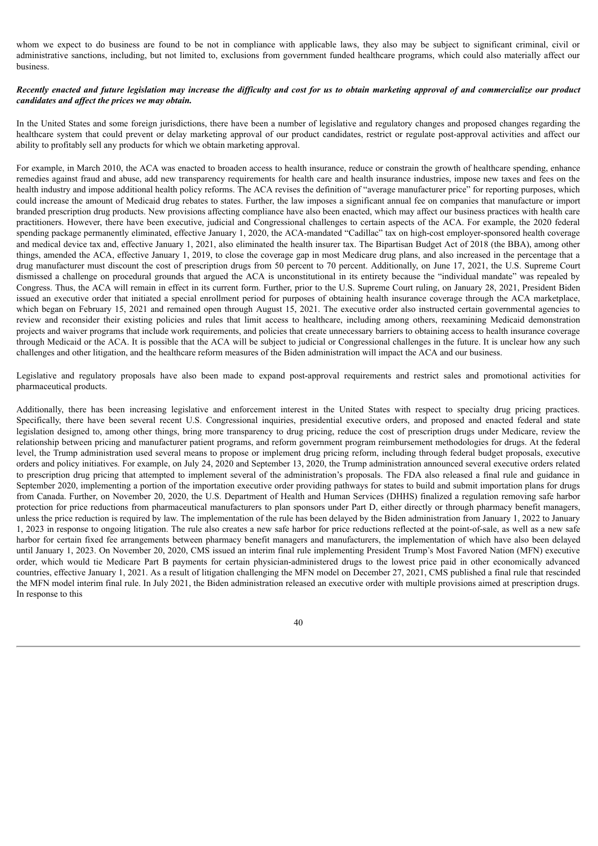whom we expect to do business are found to be not in compliance with applicable laws, they also may be subject to significant criminal, civil or administrative sanctions, including, but not limited to, exclusions from government funded healthcare programs, which could also materially affect our business.

### Recently enacted and future legislation may increase the difficulty and cost for us to obtain marketing approval of and commercialize our product *candidates and af ect the prices we may obtain.*

In the United States and some foreign jurisdictions, there have been a number of legislative and regulatory changes and proposed changes regarding the healthcare system that could prevent or delay marketing approval of our product candidates, restrict or regulate post-approval activities and affect our ability to profitably sell any products for which we obtain marketing approval.

For example, in March 2010, the ACA was enacted to broaden access to health insurance, reduce or constrain the growth of healthcare spending, enhance remedies against fraud and abuse, add new transparency requirements for health care and health insurance industries, impose new taxes and fees on the health industry and impose additional health policy reforms. The ACA revises the definition of "average manufacturer price" for reporting purposes, which could increase the amount of Medicaid drug rebates to states. Further, the law imposes a significant annual fee on companies that manufacture or import branded prescription drug products. New provisions affecting compliance have also been enacted, which may affect our business practices with health care practitioners. However, there have been executive, judicial and Congressional challenges to certain aspects of the ACA. For example, the 2020 federal spending package permanently eliminated, effective January 1, 2020, the ACA-mandated "Cadillac" tax on high-cost employer-sponsored health coverage and medical device tax and, effective January 1, 2021, also eliminated the health insurer tax. The Bipartisan Budget Act of 2018 (the BBA), among other things, amended the ACA, effective January 1, 2019, to close the coverage gap in most Medicare drug plans, and also increased in the percentage that a drug manufacturer must discount the cost of prescription drugs from 50 percent to 70 percent. Additionally, on June 17, 2021, the U.S. Supreme Court dismissed a challenge on procedural grounds that argued the ACA is unconstitutional in its entirety because the "individual mandate" was repealed by Congress. Thus, the ACA will remain in effect in its current form. Further, prior to the U.S. Supreme Court ruling, on January 28, 2021, President Biden issued an executive order that initiated a special enrollment period for purposes of obtaining health insurance coverage through the ACA marketplace, which began on February 15, 2021 and remained open through August 15, 2021. The executive order also instructed certain governmental agencies to review and reconsider their existing policies and rules that limit access to healthcare, including among others, reexamining Medicaid demonstration projects and waiver programs that include work requirements, and policies that create unnecessary barriers to obtaining access to health insurance coverage through Medicaid or the ACA. It is possible that the ACA will be subject to judicial or Congressional challenges in the future. It is unclear how any such challenges and other litigation, and the healthcare reform measures of the Biden administration will impact the ACA and our business.

Legislative and regulatory proposals have also been made to expand post-approval requirements and restrict sales and promotional activities for pharmaceutical products.

Additionally, there has been increasing legislative and enforcement interest in the United States with respect to specialty drug pricing practices. Specifically, there have been several recent U.S. Congressional inquiries, presidential executive orders, and proposed and enacted federal and state legislation designed to, among other things, bring more transparency to drug pricing, reduce the cost of prescription drugs under Medicare, review the relationship between pricing and manufacturer patient programs, and reform government program reimbursement methodologies for drugs. At the federal level, the Trump administration used several means to propose or implement drug pricing reform, including through federal budget proposals, executive orders and policy initiatives. For example, on July 24, 2020 and September 13, 2020, the Trump administration announced several executive orders related to prescription drug pricing that attempted to implement several of the administration's proposals. The FDA also released a final rule and guidance in September 2020, implementing a portion of the importation executive order providing pathways for states to build and submit importation plans for drugs from Canada. Further, on November 20, 2020, the U.S. Department of Health and Human Services (DHHS) finalized a regulation removing safe harbor protection for price reductions from pharmaceutical manufacturers to plan sponsors under Part D, either directly or through pharmacy benefit managers, unless the price reduction is required by law. The implementation of the rule has been delayed by the Biden administration from January 1, 2022 to January 1, 2023 in response to ongoing litigation. The rule also creates a new safe harbor for price reductions reflected at the point-of-sale, as well as a new safe harbor for certain fixed fee arrangements between pharmacy benefit managers and manufacturers, the implementation of which have also been delayed until January 1, 2023. On November 20, 2020, CMS issued an interim final rule implementing President Trump's Most Favored Nation (MFN) executive order, which would tie Medicare Part B payments for certain physician-administered drugs to the lowest price paid in other economically advanced countries, effective January 1, 2021. As a result of litigation challenging the MFN model on December 27, 2021, CMS published a final rule that rescinded the MFN model interim final rule. In July 2021, the Biden administration released an executive order with multiple provisions aimed at prescription drugs. In response to this

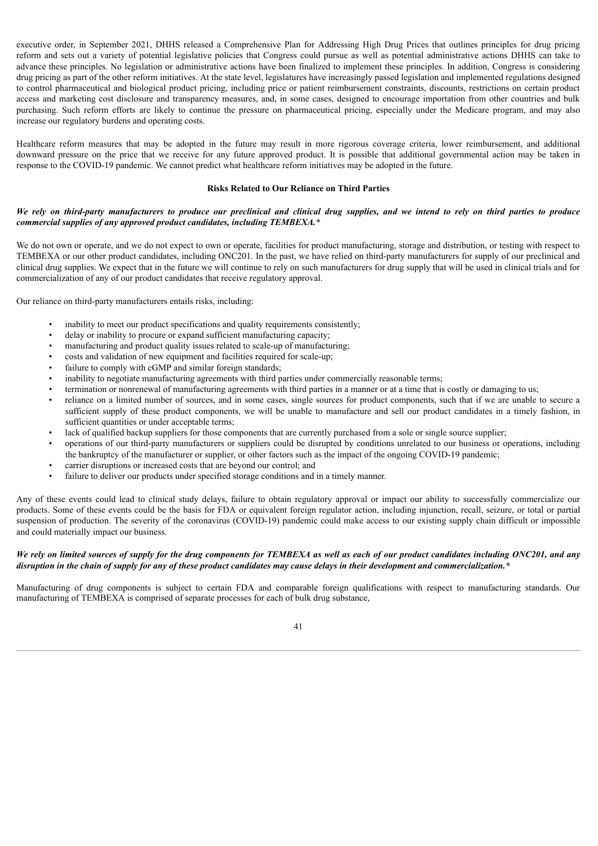executive order, in September 2021, DHHS released a Comprehensive Plan for Addressing High Drug Prices that outlines principles for drug pricing reform and sets out a variety of potential legislative policies that Congress could pursue as well as potential administrative actions DHHS can take to advance these principles. No legislation or administrative actions have been finalized to implement these principles. In addition, Congress is considering drug pricing as part of the other reform initiatives. At the state level, legislatures have increasingly passed legislation and implemented regulations designed to control pharmaceutical and biological product pricing, including price or patient reimbursement constraints, discounts, restrictions on certain product access and marketing cost disclosure and transparency measures, and, in some cases, designed to encourage importation from other countries and bulk purchasing. Such reform efforts are likely to continue the pressure on pharmaceutical pricing, especially under the Medicare program, and may also increase our regulatory burdens and operating costs.

Healthcare reform measures that may be adopted in the future may result in more rigorous coverage criteria, lower reimbursement, and additional downward pressure on the price that we receive for any future approved product. It is possible that additional governmental action may be taken in response to the COVID-19 pandemic. We cannot predict what healthcare reform initiatives may be adopted in the future.

#### **Risks Related to Our Reliance on Third Parties**

## We rely on third-party manufacturers to produce our preclinical and clinical drug supplies, and we intend to rely on third parties to produce *commercial supplies of any approved product candidates, including TEMBEXA.\**

We do not own or operate, and we do not expect to own or operate, facilities for product manufacturing, storage and distribution, or testing with respect to TEMBEXA or our other product candidates, including ONC201. In the past, we have relied on third-party manufacturers for supply of our preclinical and clinical drug supplies. We expect that in the future we will continue to rely on such manufacturers for drug supply that will be used in clinical trials and for commercialization of any of our product candidates that receive regulatory approval.

Our reliance on third-party manufacturers entails risks, including:

- inability to meet our product specifications and quality requirements consistently;
- delay or inability to procure or expand sufficient manufacturing capacity;
- manufacturing and product quality issues related to scale-up of manufacturing;
- costs and validation of new equipment and facilities required for scale-up;
- failure to comply with cGMP and similar foreign standards;
- inability to negotiate manufacturing agreements with third parties under commercially reasonable terms;
- termination or nonrenewal of manufacturing agreements with third parties in a manner or at a time that is costly or damaging to us;
- reliance on a limited number of sources, and in some cases, single sources for product components, such that if we are unable to secure a sufficient supply of these product components, we will be unable to manufacture and sell our product candidates in a timely fashion, in sufficient quantities or under acceptable terms;
- lack of qualified backup suppliers for those components that are currently purchased from a sole or single source supplier;
- operations of our third-party manufacturers or suppliers could be disrupted by conditions unrelated to our business or operations, including the bankruptcy of the manufacturer or supplier, or other factors such as the impact of the ongoing COVID-19 pandemic;
- carrier disruptions or increased costs that are beyond our control; and
- failure to deliver our products under specified storage conditions and in a timely manner.

Any of these events could lead to clinical study delays, failure to obtain regulatory approval or impact our ability to successfully commercialize our products. Some of these events could be the basis for FDA or equivalent foreign regulator action, including injunction, recall, seizure, or total or partial suspension of production. The severity of the coronavirus (COVID-19) pandemic could make access to our existing supply chain difficult or impossible and could materially impact our business.

## We rely on limited sources of supply for the drug components for TEMBEXA as well as each of our product candidates including ONC201, and any disruption in the chain of supply for any of these product candidates may cause delays in their development and commercialization.\*

Manufacturing of drug components is subject to certain FDA and comparable foreign qualifications with respect to manufacturing standards. Our manufacturing of TEMBEXA is comprised of separate processes for each of bulk drug substance,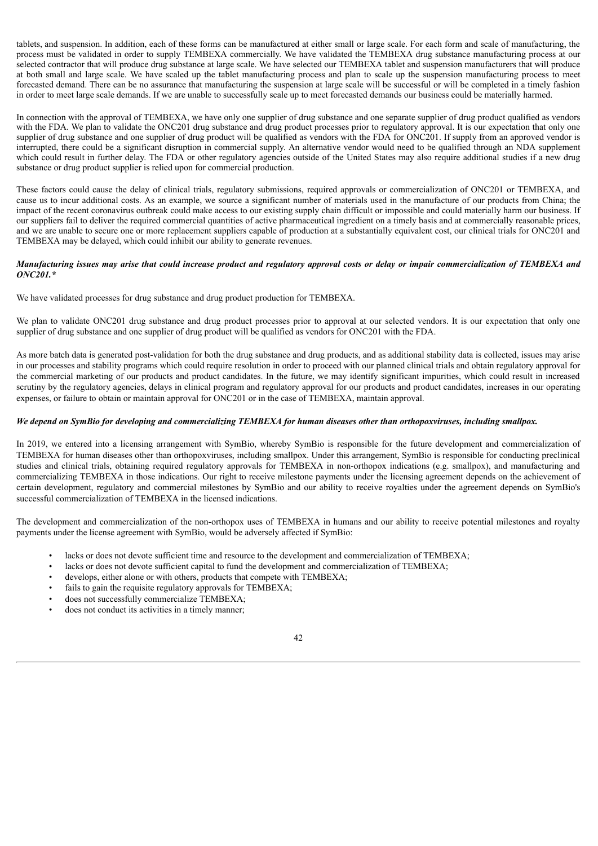tablets, and suspension. In addition, each of these forms can be manufactured at either small or large scale. For each form and scale of manufacturing, the process must be validated in order to supply TEMBEXA commercially. We have validated the TEMBEXA drug substance manufacturing process at our selected contractor that will produce drug substance at large scale. We have selected our TEMBEXA tablet and suspension manufacturers that will produce at both small and large scale. We have scaled up the tablet manufacturing process and plan to scale up the suspension manufacturing process to meet forecasted demand. There can be no assurance that manufacturing the suspension at large scale will be successful or will be completed in a timely fashion in order to meet large scale demands. If we are unable to successfully scale up to meet forecasted demands our business could be materially harmed.

In connection with the approval of TEMBEXA, we have only one supplier of drug substance and one separate supplier of drug product qualified as vendors with the FDA. We plan to validate the ONC201 drug substance and drug product processes prior to regulatory approval. It is our expectation that only one supplier of drug substance and one supplier of drug product will be qualified as vendors with the FDA for ONC201. If supply from an approved vendor is interrupted, there could be a significant disruption in commercial supply. An alternative vendor would need to be qualified through an NDA supplement which could result in further delay. The FDA or other regulatory agencies outside of the United States may also require additional studies if a new drug substance or drug product supplier is relied upon for commercial production.

These factors could cause the delay of clinical trials, regulatory submissions, required approvals or commercialization of ONC201 or TEMBEXA, and cause us to incur additional costs. As an example, we source a significant number of materials used in the manufacture of our products from China; the impact of the recent coronavirus outbreak could make access to our existing supply chain difficult or impossible and could materially harm our business. If our suppliers fail to deliver the required commercial quantities of active pharmaceutical ingredient on a timely basis and at commercially reasonable prices, and we are unable to secure one or more replacement suppliers capable of production at a substantially equivalent cost, our clinical trials for ONC201 and TEMBEXA may be delayed, which could inhibit our ability to generate revenues.

## Manufacturing issues may arise that could increase product and regulatory approval costs or delay or impair commercialization of TEMBEXA and *ONC201.\**

We have validated processes for drug substance and drug product production for TEMBEXA.

We plan to validate ONC201 drug substance and drug product processes prior to approval at our selected vendors. It is our expectation that only one supplier of drug substance and one supplier of drug product will be qualified as vendors for ONC201 with the FDA.

As more batch data is generated post-validation for both the drug substance and drug products, and as additional stability data is collected, issues may arise in our processes and stability programs which could require resolution in order to proceed with our planned clinical trials and obtain regulatory approval for the commercial marketing of our products and product candidates. In the future, we may identify significant impurities, which could result in increased scrutiny by the regulatory agencies, delays in clinical program and regulatory approval for our products and product candidates, increases in our operating expenses, or failure to obtain or maintain approval for ONC201 or in the case of TEMBEXA, maintain approval.

## We depend on SymBio for developing and commercializing TEMBEXA for human diseases other than orthopoxviruses, including smallpox.

In 2019, we entered into a licensing arrangement with SymBio, whereby SymBio is responsible for the future development and commercialization of TEMBEXA for human diseases other than orthopoxviruses, including smallpox. Under this arrangement, SymBio is responsible for conducting preclinical studies and clinical trials, obtaining required regulatory approvals for TEMBEXA in non-orthopox indications (e.g. smallpox), and manufacturing and commercializing TEMBEXA in those indications. Our right to receive milestone payments under the licensing agreement depends on the achievement of certain development, regulatory and commercial milestones by SymBio and our ability to receive royalties under the agreement depends on SymBio's successful commercialization of TEMBEXA in the licensed indications.

The development and commercialization of the non-orthopox uses of TEMBEXA in humans and our ability to receive potential milestones and royalty payments under the license agreement with SymBio, would be adversely affected if SymBio:

- lacks or does not devote sufficient time and resource to the development and commercialization of TEMBEXA;
- lacks or does not devote sufficient capital to fund the development and commercialization of TEMBEXA;
- develops, either alone or with others, products that compete with TEMBEXA;
- fails to gain the requisite regulatory approvals for TEMBEXA;
- does not successfully commercialize TEMBEXA;
- does not conduct its activities in a timely manner;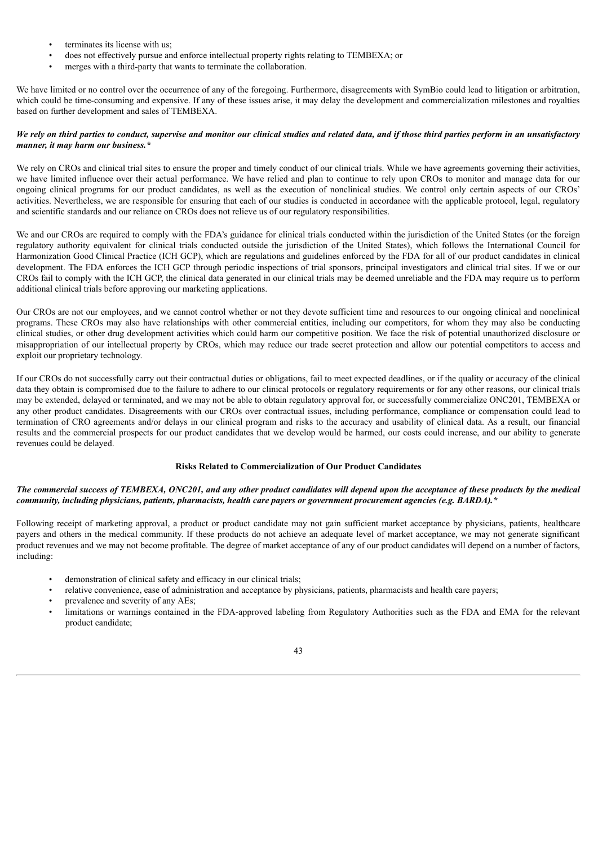- terminates its license with us:
- does not effectively pursue and enforce intellectual property rights relating to TEMBEXA; or
- merges with a third-party that wants to terminate the collaboration.

We have limited or no control over the occurrence of any of the foregoing. Furthermore, disagreements with SymBio could lead to litigation or arbitration, which could be time-consuming and expensive. If any of these issues arise, it may delay the development and commercialization milestones and royalties based on further development and sales of TEMBEXA.

## We rely on third parties to conduct, supervise and monitor our clinical studies and related data, and if those third parties perform in an unsatisfactory *manner, it may harm our business.\**

We rely on CROs and clinical trial sites to ensure the proper and timely conduct of our clinical trials. While we have agreements governing their activities, we have limited influence over their actual performance. We have relied and plan to continue to rely upon CROs to monitor and manage data for our ongoing clinical programs for our product candidates, as well as the execution of nonclinical studies. We control only certain aspects of our CROs' activities. Nevertheless, we are responsible for ensuring that each of our studies is conducted in accordance with the applicable protocol, legal, regulatory and scientific standards and our reliance on CROs does not relieve us of our regulatory responsibilities.

We and our CROs are required to comply with the FDA's guidance for clinical trials conducted within the jurisdiction of the United States (or the foreign regulatory authority equivalent for clinical trials conducted outside the jurisdiction of the United States), which follows the International Council for Harmonization Good Clinical Practice (ICH GCP), which are regulations and guidelines enforced by the FDA for all of our product candidates in clinical development. The FDA enforces the ICH GCP through periodic inspections of trial sponsors, principal investigators and clinical trial sites. If we or our CROs fail to comply with the ICH GCP, the clinical data generated in our clinical trials may be deemed unreliable and the FDA may require us to perform additional clinical trials before approving our marketing applications.

Our CROs are not our employees, and we cannot control whether or not they devote sufficient time and resources to our ongoing clinical and nonclinical programs. These CROs may also have relationships with other commercial entities, including our competitors, for whom they may also be conducting clinical studies, or other drug development activities which could harm our competitive position. We face the risk of potential unauthorized disclosure or misappropriation of our intellectual property by CROs, which may reduce our trade secret protection and allow our potential competitors to access and exploit our proprietary technology.

If our CROs do not successfully carry out their contractual duties or obligations, fail to meet expected deadlines, or if the quality or accuracy of the clinical data they obtain is compromised due to the failure to adhere to our clinical protocols or regulatory requirements or for any other reasons, our clinical trials may be extended, delayed or terminated, and we may not be able to obtain regulatory approval for, or successfully commercialize ONC201, TEMBEXA or any other product candidates. Disagreements with our CROs over contractual issues, including performance, compliance or compensation could lead to termination of CRO agreements and/or delays in our clinical program and risks to the accuracy and usability of clinical data. As a result, our financial results and the commercial prospects for our product candidates that we develop would be harmed, our costs could increase, and our ability to generate revenues could be delayed.

## **Risks Related to Commercialization of Our Product Candidates**

## The commercial success of TEMBEXA, ONC201, and any other product candidates will depend upon the acceptance of these products by the medical *community, including physicians, patients, pharmacists, health care payers or government procurement agencies (e.g. BARDA).\**

Following receipt of marketing approval, a product or product candidate may not gain sufficient market acceptance by physicians, patients, healthcare payers and others in the medical community. If these products do not achieve an adequate level of market acceptance, we may not generate significant product revenues and we may not become profitable. The degree of market acceptance of any of our product candidates will depend on a number of factors, including:

- demonstration of clinical safety and efficacy in our clinical trials;
- relative convenience, ease of administration and acceptance by physicians, patients, pharmacists and health care payers;
- prevalence and severity of any AEs;
- limitations or warnings contained in the FDA-approved labeling from Regulatory Authorities such as the FDA and EMA for the relevant product candidate;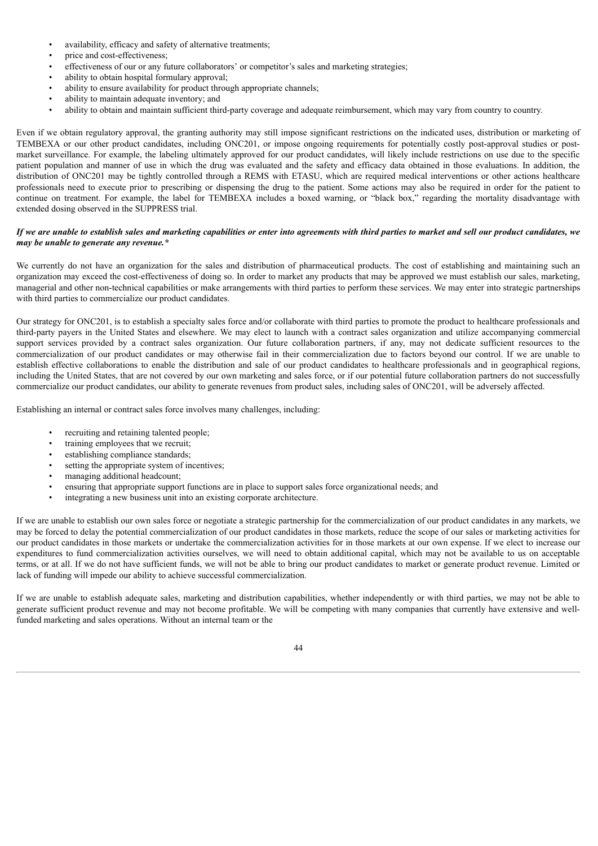- availability, efficacy and safety of alternative treatments;
- price and cost-effectiveness;
- effectiveness of our or any future collaborators' or competitor's sales and marketing strategies;
- ability to obtain hospital formulary approval;
- ability to ensure availability for product through appropriate channels;
- ability to maintain adequate inventory; and
- ability to obtain and maintain sufficient third-party coverage and adequate reimbursement, which may vary from country to country.

Even if we obtain regulatory approval, the granting authority may still impose significant restrictions on the indicated uses, distribution or marketing of TEMBEXA or our other product candidates, including ONC201, or impose ongoing requirements for potentially costly post-approval studies or postmarket surveillance. For example, the labeling ultimately approved for our product candidates, will likely include restrictions on use due to the specific patient population and manner of use in which the drug was evaluated and the safety and efficacy data obtained in those evaluations. In addition, the distribution of ONC201 may be tightly controlled through a REMS with ETASU, which are required medical interventions or other actions healthcare professionals need to execute prior to prescribing or dispensing the drug to the patient. Some actions may also be required in order for the patient to continue on treatment. For example, the label for TEMBEXA includes a boxed warning, or "black box," regarding the mortality disadvantage with extended dosing observed in the SUPPRESS trial.

## If we are unable to establish sales and marketing capabilities or enter into agreements with third parties to market and sell our product candidates, we *may be unable to generate any revenue.\**

We currently do not have an organization for the sales and distribution of pharmaceutical products. The cost of establishing and maintaining such an organization may exceed the cost-effectiveness of doing so. In order to market any products that may be approved we must establish our sales, marketing, managerial and other non-technical capabilities or make arrangements with third parties to perform these services. We may enter into strategic partnerships with third parties to commercialize our product candidates.

Our strategy for ONC201, is to establish a specialty sales force and/or collaborate with third parties to promote the product to healthcare professionals and third-party payers in the United States and elsewhere. We may elect to launch with a contract sales organization and utilize accompanying commercial support services provided by a contract sales organization. Our future collaboration partners, if any, may not dedicate sufficient resources to the commercialization of our product candidates or may otherwise fail in their commercialization due to factors beyond our control. If we are unable to establish effective collaborations to enable the distribution and sale of our product candidates to healthcare professionals and in geographical regions, including the United States, that are not covered by our own marketing and sales force, or if our potential future collaboration partners do not successfully commercialize our product candidates, our ability to generate revenues from product sales, including sales of ONC201, will be adversely affected.

Establishing an internal or contract sales force involves many challenges, including:

- recruiting and retaining talented people;
- training employees that we recruit;
- establishing compliance standards;
- setting the appropriate system of incentives;
- managing additional headcount;
- ensuring that appropriate support functions are in place to support sales force organizational needs; and
- integrating a new business unit into an existing corporate architecture.

If we are unable to establish our own sales force or negotiate a strategic partnership for the commercialization of our product candidates in any markets, we may be forced to delay the potential commercialization of our product candidates in those markets, reduce the scope of our sales or marketing activities for our product candidates in those markets or undertake the commercialization activities for in those markets at our own expense. If we elect to increase our expenditures to fund commercialization activities ourselves, we will need to obtain additional capital, which may not be available to us on acceptable terms, or at all. If we do not have sufficient funds, we will not be able to bring our product candidates to market or generate product revenue. Limited or lack of funding will impede our ability to achieve successful commercialization.

If we are unable to establish adequate sales, marketing and distribution capabilities, whether independently or with third parties, we may not be able to generate sufficient product revenue and may not become profitable. We will be competing with many companies that currently have extensive and wellfunded marketing and sales operations. Without an internal team or the

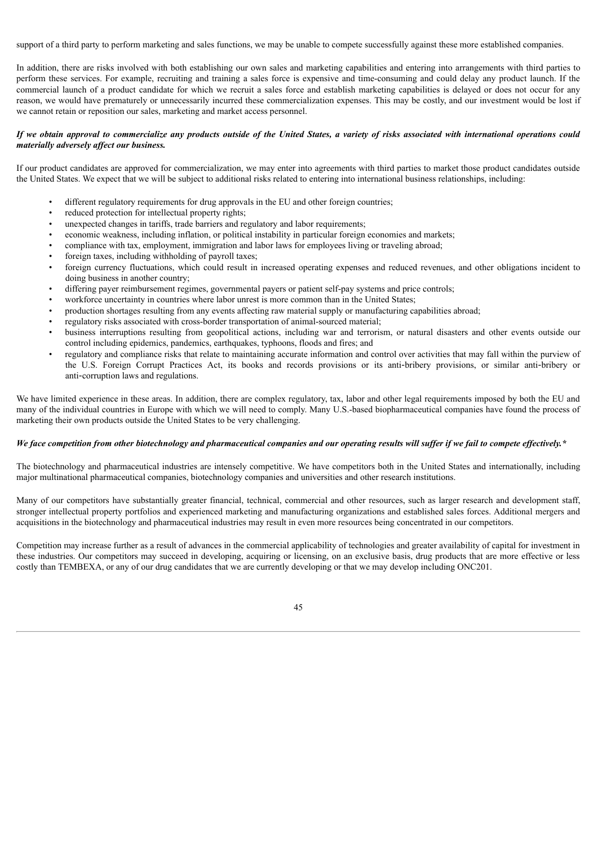support of a third party to perform marketing and sales functions, we may be unable to compete successfully against these more established companies.

In addition, there are risks involved with both establishing our own sales and marketing capabilities and entering into arrangements with third parties to perform these services. For example, recruiting and training a sales force is expensive and time-consuming and could delay any product launch. If the commercial launch of a product candidate for which we recruit a sales force and establish marketing capabilities is delayed or does not occur for any reason, we would have prematurely or unnecessarily incurred these commercialization expenses. This may be costly, and our investment would be lost if we cannot retain or reposition our sales, marketing and market access personnel.

## If we obtain approval to commercialize any products outside of the United States, a variety of risks associated with international operations could *materially adversely af ect our business.*

If our product candidates are approved for commercialization, we may enter into agreements with third parties to market those product candidates outside the United States. We expect that we will be subject to additional risks related to entering into international business relationships, including:

- different regulatory requirements for drug approvals in the EU and other foreign countries;
- reduced protection for intellectual property rights;
- unexpected changes in tariffs, trade barriers and regulatory and labor requirements;
- economic weakness, including inflation, or political instability in particular foreign economies and markets;
- compliance with tax, employment, immigration and labor laws for employees living or traveling abroad;
- foreign taxes, including withholding of payroll taxes;
- foreign currency fluctuations, which could result in increased operating expenses and reduced revenues, and other obligations incident to doing business in another country;
- differing payer reimbursement regimes, governmental payers or patient self-pay systems and price controls;
- workforce uncertainty in countries where labor unrest is more common than in the United States;
- production shortages resulting from any events affecting raw material supply or manufacturing capabilities abroad;
- regulatory risks associated with cross-border transportation of animal-sourced material;
- business interruptions resulting from geopolitical actions, including war and terrorism, or natural disasters and other events outside our control including epidemics, pandemics, earthquakes, typhoons, floods and fires; and
- regulatory and compliance risks that relate to maintaining accurate information and control over activities that may fall within the purview of the U.S. Foreign Corrupt Practices Act, its books and records provisions or its anti-bribery provisions, or similar anti-bribery or anti‑corruption laws and regulations.

We have limited experience in these areas. In addition, there are complex regulatory, tax, labor and other legal requirements imposed by both the EU and many of the individual countries in Europe with which we will need to comply. Many U.S.-based biopharmaceutical companies have found the process of marketing their own products outside the United States to be very challenging.

## We face competition from other biotechnology and pharmaceutical companies and our operating results will suffer if we fail to compete effectively.\*

The biotechnology and pharmaceutical industries are intensely competitive. We have competitors both in the United States and internationally, including major multinational pharmaceutical companies, biotechnology companies and universities and other research institutions.

Many of our competitors have substantially greater financial, technical, commercial and other resources, such as larger research and development staff, stronger intellectual property portfolios and experienced marketing and manufacturing organizations and established sales forces. Additional mergers and acquisitions in the biotechnology and pharmaceutical industries may result in even more resources being concentrated in our competitors.

Competition may increase further as a result of advances in the commercial applicability of technologies and greater availability of capital for investment in these industries. Our competitors may succeed in developing, acquiring or licensing, on an exclusive basis, drug products that are more effective or less costly than TEMBEXA, or any of our drug candidates that we are currently developing or that we may develop including ONC201.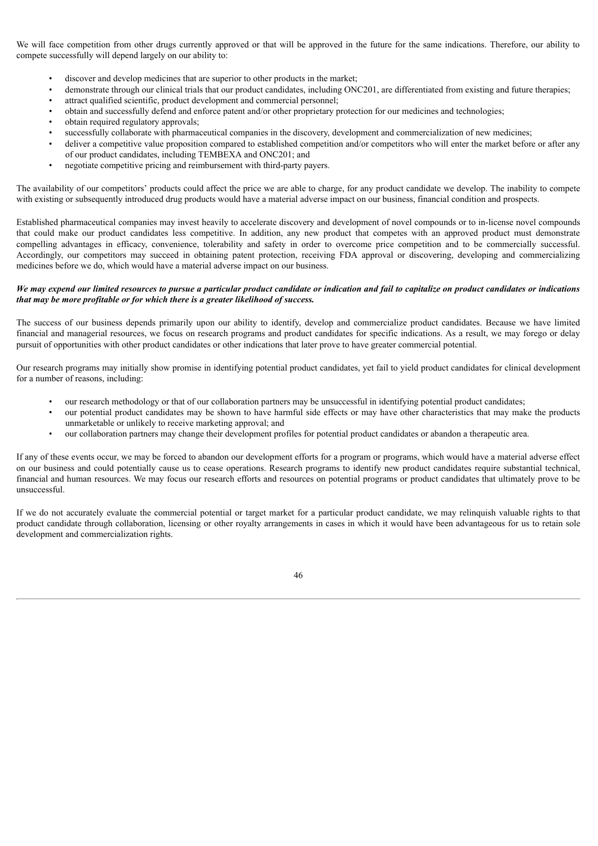We will face competition from other drugs currently approved or that will be approved in the future for the same indications. Therefore, our ability to compete successfully will depend largely on our ability to:

- discover and develop medicines that are superior to other products in the market;
- demonstrate through our clinical trials that our product candidates, including ONC201, are differentiated from existing and future therapies;
- attract qualified scientific, product development and commercial personnel;
- obtain and successfully defend and enforce patent and/or other proprietary protection for our medicines and technologies;
- obtain required regulatory approvals;
- successfully collaborate with pharmaceutical companies in the discovery, development and commercialization of new medicines:
- deliver a competitive value proposition compared to established competition and/or competitors who will enter the market before or after any of our product candidates, including TEMBEXA and ONC201; and
- negotiate competitive pricing and reimbursement with third-party payers.

The availability of our competitors' products could affect the price we are able to charge, for any product candidate we develop. The inability to compete with existing or subsequently introduced drug products would have a material adverse impact on our business, financial condition and prospects.

Established pharmaceutical companies may invest heavily to accelerate discovery and development of novel compounds or to in-license novel compounds that could make our product candidates less competitive. In addition, any new product that competes with an approved product must demonstrate compelling advantages in efficacy, convenience, tolerability and safety in order to overcome price competition and to be commercially successful. Accordingly, our competitors may succeed in obtaining patent protection, receiving FDA approval or discovering, developing and commercializing medicines before we do, which would have a material adverse impact on our business.

## We may expend our limited resources to pursue a particular product candidate or indication and fail to capitalize on product candidates or indications *that may be more profitable or for which there is a greater likelihood of success.*

The success of our business depends primarily upon our ability to identify, develop and commercialize product candidates. Because we have limited financial and managerial resources, we focus on research programs and product candidates for specific indications. As a result, we may forego or delay pursuit of opportunities with other product candidates or other indications that later prove to have greater commercial potential.

Our research programs may initially show promise in identifying potential product candidates, yet fail to yield product candidates for clinical development for a number of reasons, including:

- our research methodology or that of our collaboration partners may be unsuccessful in identifying potential product candidates;
- our potential product candidates may be shown to have harmful side effects or may have other characteristics that may make the products unmarketable or unlikely to receive marketing approval; and
- our collaboration partners may change their development profiles for potential product candidates or abandon a therapeutic area.

If any of these events occur, we may be forced to abandon our development efforts for a program or programs, which would have a material adverse effect on our business and could potentially cause us to cease operations. Research programs to identify new product candidates require substantial technical, financial and human resources. We may focus our research efforts and resources on potential programs or product candidates that ultimately prove to be unsuccessful.

If we do not accurately evaluate the commercial potential or target market for a particular product candidate, we may relinquish valuable rights to that product candidate through collaboration, licensing or other royalty arrangements in cases in which it would have been advantageous for us to retain sole development and commercialization rights.

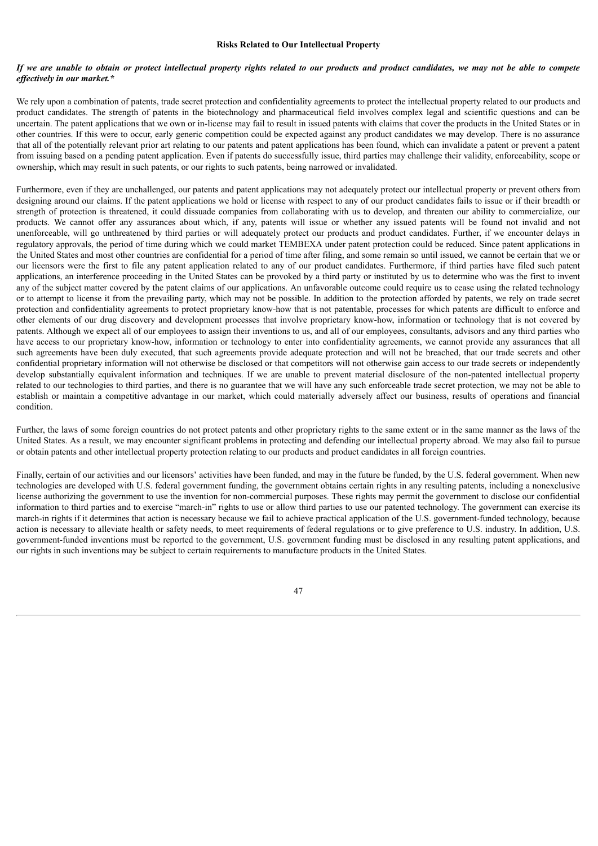#### **Risks Related to Our Intellectual Property**

#### If we are unable to obtain or protect intellectual property rights related to our products and product candidates, we may not be able to compete *ef ectively in our market.\**

We rely upon a combination of patents, trade secret protection and confidentiality agreements to protect the intellectual property related to our products and product candidates. The strength of patents in the biotechnology and pharmaceutical field involves complex legal and scientific questions and can be uncertain. The patent applications that we own or in-license may fail to result in issued patents with claims that cover the products in the United States or in other countries. If this were to occur, early generic competition could be expected against any product candidates we may develop. There is no assurance that all of the potentially relevant prior art relating to our patents and patent applications has been found, which can invalidate a patent or prevent a patent from issuing based on a pending patent application. Even if patents do successfully issue, third parties may challenge their validity, enforceability, scope or ownership, which may result in such patents, or our rights to such patents, being narrowed or invalidated.

Furthermore, even if they are unchallenged, our patents and patent applications may not adequately protect our intellectual property or prevent others from designing around our claims. If the patent applications we hold or license with respect to any of our product candidates fails to issue or if their breadth or strength of protection is threatened, it could dissuade companies from collaborating with us to develop, and threaten our ability to commercialize, our products. We cannot offer any assurances about which, if any, patents will issue or whether any issued patents will be found not invalid and not unenforceable, will go unthreatened by third parties or will adequately protect our products and product candidates. Further, if we encounter delays in regulatory approvals, the period of time during which we could market TEMBEXA under patent protection could be reduced. Since patent applications in the United States and most other countries are confidential for a period of time after filing, and some remain so until issued, we cannot be certain that we or our licensors were the first to file any patent application related to any of our product candidates. Furthermore, if third parties have filed such patent applications, an interference proceeding in the United States can be provoked by a third party or instituted by us to determine who was the first to invent any of the subject matter covered by the patent claims of our applications. An unfavorable outcome could require us to cease using the related technology or to attempt to license it from the prevailing party, which may not be possible. In addition to the protection afforded by patents, we rely on trade secret protection and confidentiality agreements to protect proprietary know-how that is not patentable, processes for which patents are difficult to enforce and other elements of our drug discovery and development processes that involve proprietary know-how, information or technology that is not covered by patents. Although we expect all of our employees to assign their inventions to us, and all of our employees, consultants, advisors and any third parties who have access to our proprietary know-how, information or technology to enter into confidentiality agreements, we cannot provide any assurances that all such agreements have been duly executed, that such agreements provide adequate protection and will not be breached, that our trade secrets and other confidential proprietary information will not otherwise be disclosed or that competitors will not otherwise gain access to our trade secrets or independently develop substantially equivalent information and techniques. If we are unable to prevent material disclosure of the non-patented intellectual property related to our technologies to third parties, and there is no guarantee that we will have any such enforceable trade secret protection, we may not be able to establish or maintain a competitive advantage in our market, which could materially adversely affect our business, results of operations and financial condition.

Further, the laws of some foreign countries do not protect patents and other proprietary rights to the same extent or in the same manner as the laws of the United States. As a result, we may encounter significant problems in protecting and defending our intellectual property abroad. We may also fail to pursue or obtain patents and other intellectual property protection relating to our products and product candidates in all foreign countries.

Finally, certain of our activities and our licensors' activities have been funded, and may in the future be funded, by the U.S. federal government. When new technologies are developed with U.S. federal government funding, the government obtains certain rights in any resulting patents, including a nonexclusive license authorizing the government to use the invention for non-commercial purposes. These rights may permit the government to disclose our confidential information to third parties and to exercise "march-in" rights to use or allow third parties to use our patented technology. The government can exercise its march-in rights if it determines that action is necessary because we fail to achieve practical application of the U.S. government-funded technology, because action is necessary to alleviate health or safety needs, to meet requirements of federal regulations or to give preference to U.S. industry. In addition, U.S. government-funded inventions must be reported to the government, U.S. government funding must be disclosed in any resulting patent applications, and our rights in such inventions may be subject to certain requirements to manufacture products in the United States.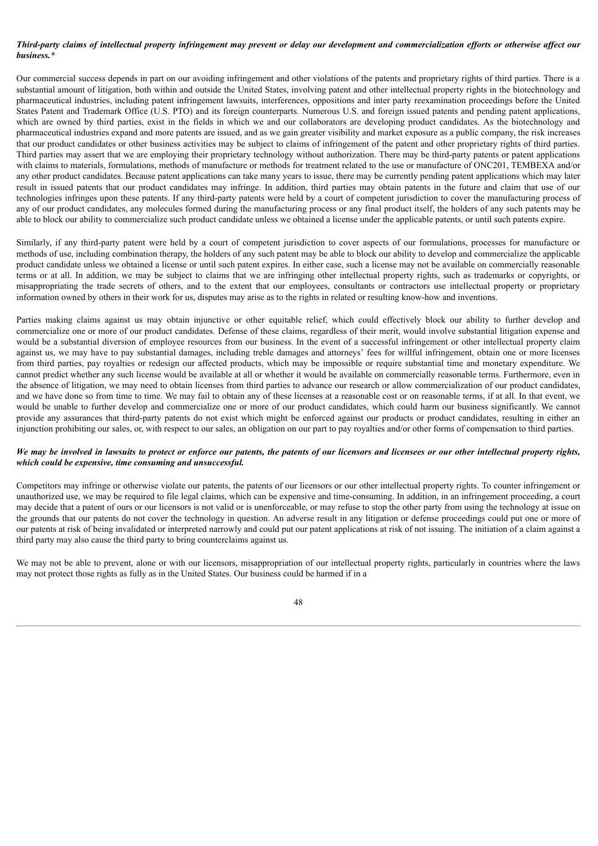## Third-party claims of intellectual property infringement may prevent or delay our development and commercialization efforts or otherwise affect our *business.\**

Our commercial success depends in part on our avoiding infringement and other violations of the patents and proprietary rights of third parties. There is a substantial amount of litigation, both within and outside the United States, involving patent and other intellectual property rights in the biotechnology and pharmaceutical industries, including patent infringement lawsuits, interferences, oppositions and inter party reexamination proceedings before the United States Patent and Trademark Office (U.S. PTO) and its foreign counterparts. Numerous U.S. and foreign issued patents and pending patent applications, which are owned by third parties, exist in the fields in which we and our collaborators are developing product candidates. As the biotechnology and pharmaceutical industries expand and more patents are issued, and as we gain greater visibility and market exposure as a public company, the risk increases that our product candidates or other business activities may be subject to claims of infringement of the patent and other proprietary rights of third parties. Third parties may assert that we are employing their proprietary technology without authorization. There may be third-party patents or patent applications with claims to materials, formulations, methods of manufacture or methods for treatment related to the use or manufacture of ONC201, TEMBEXA and/or any other product candidates. Because patent applications can take many years to issue, there may be currently pending patent applications which may later result in issued patents that our product candidates may infringe. In addition, third parties may obtain patents in the future and claim that use of our technologies infringes upon these patents. If any third-party patents were held by a court of competent jurisdiction to cover the manufacturing process of any of our product candidates, any molecules formed during the manufacturing process or any final product itself, the holders of any such patents may be able to block our ability to commercialize such product candidate unless we obtained a license under the applicable patents, or until such patents expire.

Similarly, if any third-party patent were held by a court of competent jurisdiction to cover aspects of our formulations, processes for manufacture or methods of use, including combination therapy, the holders of any such patent may be able to block our ability to develop and commercialize the applicable product candidate unless we obtained a license or until such patent expires. In either case, such a license may not be available on commercially reasonable terms or at all. In addition, we may be subject to claims that we are infringing other intellectual property rights, such as trademarks or copyrights, or misappropriating the trade secrets of others, and to the extent that our employees, consultants or contractors use intellectual property or proprietary information owned by others in their work for us, disputes may arise as to the rights in related or resulting know-how and inventions.

Parties making claims against us may obtain injunctive or other equitable relief, which could effectively block our ability to further develop and commercialize one or more of our product candidates. Defense of these claims, regardless of their merit, would involve substantial litigation expense and would be a substantial diversion of employee resources from our business. In the event of a successful infringement or other intellectual property claim against us, we may have to pay substantial damages, including treble damages and attorneys' fees for willful infringement, obtain one or more licenses from third parties, pay royalties or redesign our affected products, which may be impossible or require substantial time and monetary expenditure. We cannot predict whether any such license would be available at all or whether it would be available on commercially reasonable terms. Furthermore, even in the absence of litigation, we may need to obtain licenses from third parties to advance our research or allow commercialization of our product candidates, and we have done so from time to time. We may fail to obtain any of these licenses at a reasonable cost or on reasonable terms, if at all. In that event, we would be unable to further develop and commercialize one or more of our product candidates, which could harm our business significantly. We cannot provide any assurances that third-party patents do not exist which might be enforced against our products or product candidates, resulting in either an injunction prohibiting our sales, or, with respect to our sales, an obligation on our part to pay royalties and/or other forms of compensation to third parties.

## We may be involved in lawsuits to protect or enforce our patents, the patents of our licensors and licensees or our other intellectual property rights, *which could be expensive, time consuming and unsuccessful.*

Competitors may infringe or otherwise violate our patents, the patents of our licensors or our other intellectual property rights. To counter infringement or unauthorized use, we may be required to file legal claims, which can be expensive and time-consuming. In addition, in an infringement proceeding, a court may decide that a patent of ours or our licensors is not valid or is unenforceable, or may refuse to stop the other party from using the technology at issue on the grounds that our patents do not cover the technology in question. An adverse result in any litigation or defense proceedings could put one or more of our patents at risk of being invalidated or interpreted narrowly and could put our patent applications at risk of not issuing. The initiation of a claim against a third party may also cause the third party to bring counterclaims against us.

We may not be able to prevent, alone or with our licensors, misappropriation of our intellectual property rights, particularly in countries where the laws may not protect those rights as fully as in the United States. Our business could be harmed if in a

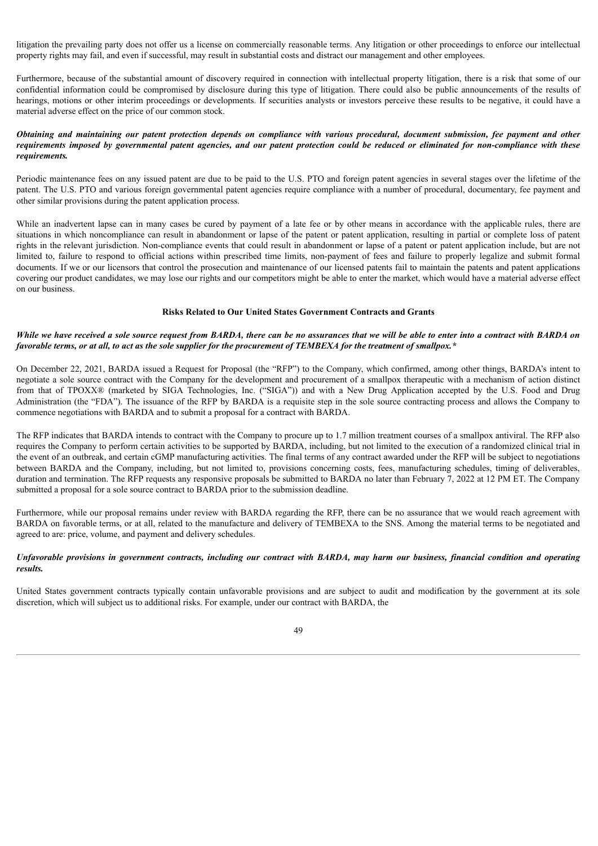litigation the prevailing party does not offer us a license on commercially reasonable terms. Any litigation or other proceedings to enforce our intellectual property rights may fail, and even if successful, may result in substantial costs and distract our management and other employees.

Furthermore, because of the substantial amount of discovery required in connection with intellectual property litigation, there is a risk that some of our confidential information could be compromised by disclosure during this type of litigation. There could also be public announcements of the results of hearings, motions or other interim proceedings or developments. If securities analysts or investors perceive these results to be negative, it could have a material adverse effect on the price of our common stock.

## Obtaining and maintaining our patent protection depends on compliance with various procedural, document submission, fee payment and other requirements imposed by governmental patent agencies, and our patent protection could be reduced or eliminated for non-compliance with these *requirements.*

Periodic maintenance fees on any issued patent are due to be paid to the U.S. PTO and foreign patent agencies in several stages over the lifetime of the patent. The U.S. PTO and various foreign governmental patent agencies require compliance with a number of procedural, documentary, fee payment and other similar provisions during the patent application process.

While an inadvertent lapse can in many cases be cured by payment of a late fee or by other means in accordance with the applicable rules, there are situations in which noncompliance can result in abandonment or lapse of the patent or patent application, resulting in partial or complete loss of patent rights in the relevant jurisdiction. Non-compliance events that could result in abandonment or lapse of a patent or patent application include, but are not limited to, failure to respond to official actions within prescribed time limits, non-payment of fees and failure to properly legalize and submit formal documents. If we or our licensors that control the prosecution and maintenance of our licensed patents fail to maintain the patents and patent applications covering our product candidates, we may lose our rights and our competitors might be able to enter the market, which would have a material adverse effect on our business.

## **Risks Related to Our United States Government Contracts and Grants**

## While we have received a sole source request from BARDA, there can be no assurances that we will be able to enter into a contract with BARDA on favorable terms, or at all, to act as the sole supplier for the procurement of TEMBEXA for the treatment of smallpox.\*

On December 22, 2021, BARDA issued a Request for Proposal (the "RFP") to the Company, which confirmed, among other things, BARDA's intent to negotiate a sole source contract with the Company for the development and procurement of a smallpox therapeutic with a mechanism of action distinct from that of TPOXX® (marketed by SIGA Technologies, Inc. ("SIGA")) and with a New Drug Application accepted by the U.S. Food and Drug Administration (the "FDA"). The issuance of the RFP by BARDA is a requisite step in the sole source contracting process and allows the Company to commence negotiations with BARDA and to submit a proposal for a contract with BARDA.

The RFP indicates that BARDA intends to contract with the Company to procure up to 1.7 million treatment courses of a smallpox antiviral. The RFP also requires the Company to perform certain activities to be supported by BARDA, including, but not limited to the execution of a randomized clinical trial in the event of an outbreak, and certain cGMP manufacturing activities. The final terms of any contract awarded under the RFP will be subject to negotiations between BARDA and the Company, including, but not limited to, provisions concerning costs, fees, manufacturing schedules, timing of deliverables, duration and termination. The RFP requests any responsive proposals be submitted to BARDA no later than February 7, 2022 at 12 PM ET. The Company submitted a proposal for a sole source contract to BARDA prior to the submission deadline.

Furthermore, while our proposal remains under review with BARDA regarding the RFP, there can be no assurance that we would reach agreement with BARDA on favorable terms, or at all, related to the manufacture and delivery of TEMBEXA to the SNS. Among the material terms to be negotiated and agreed to are: price, volume, and payment and delivery schedules.

## Unfavorable provisions in government contracts, including our contract with BARDA, may harm our business, financial condition and operating *results.*

United States government contracts typically contain unfavorable provisions and are subject to audit and modification by the government at its sole discretion, which will subject us to additional risks. For example, under our contract with BARDA, the

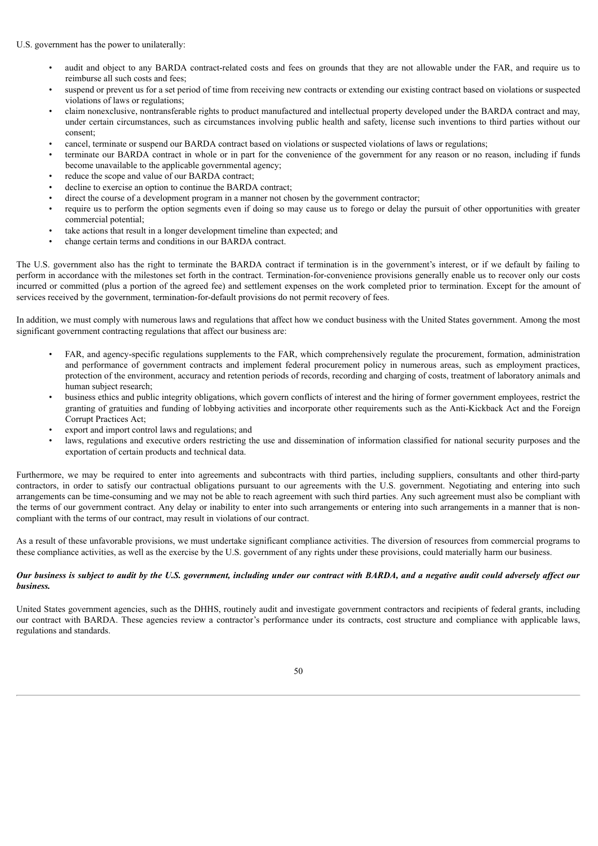U.S. government has the power to unilaterally:

- audit and object to any BARDA contract-related costs and fees on grounds that they are not allowable under the FAR, and require us to reimburse all such costs and fees;
- suspend or prevent us for a set period of time from receiving new contracts or extending our existing contract based on violations or suspected violations of laws or regulations;
- claim nonexclusive, nontransferable rights to product manufactured and intellectual property developed under the BARDA contract and may, under certain circumstances, such as circumstances involving public health and safety, license such inventions to third parties without our consent;
- cancel, terminate or suspend our BARDA contract based on violations or suspected violations of laws or regulations;
- terminate our BARDA contract in whole or in part for the convenience of the government for any reason or no reason, including if funds become unavailable to the applicable governmental agency;
- reduce the scope and value of our BARDA contract;
- decline to exercise an option to continue the BARDA contract;
- direct the course of a development program in a manner not chosen by the government contractor;
- require us to perform the option segments even if doing so may cause us to forego or delay the pursuit of other opportunities with greater commercial potential;
- take actions that result in a longer development timeline than expected; and
- change certain terms and conditions in our BARDA contract.

The U.S. government also has the right to terminate the BARDA contract if termination is in the government's interest, or if we default by failing to perform in accordance with the milestones set forth in the contract. Termination-for-convenience provisions generally enable us to recover only our costs incurred or committed (plus a portion of the agreed fee) and settlement expenses on the work completed prior to termination. Except for the amount of services received by the government, termination-for-default provisions do not permit recovery of fees.

In addition, we must comply with numerous laws and regulations that affect how we conduct business with the United States government. Among the most significant government contracting regulations that affect our business are:

- FAR, and agency-specific regulations supplements to the FAR, which comprehensively regulate the procurement, formation, administration and performance of government contracts and implement federal procurement policy in numerous areas, such as employment practices, protection of the environment, accuracy and retention periods of records, recording and charging of costs, treatment of laboratory animals and human subject research;
- business ethics and public integrity obligations, which govern conflicts of interest and the hiring of former government employees, restrict the granting of gratuities and funding of lobbying activities and incorporate other requirements such as the Anti-Kickback Act and the Foreign Corrupt Practices Act;
- export and import control laws and regulations; and
- laws, regulations and executive orders restricting the use and dissemination of information classified for national security purposes and the exportation of certain products and technical data.

Furthermore, we may be required to enter into agreements and subcontracts with third parties, including suppliers, consultants and other third-party contractors, in order to satisfy our contractual obligations pursuant to our agreements with the U.S. government. Negotiating and entering into such arrangements can be time-consuming and we may not be able to reach agreement with such third parties. Any such agreement must also be compliant with the terms of our government contract. Any delay or inability to enter into such arrangements or entering into such arrangements in a manner that is noncompliant with the terms of our contract, may result in violations of our contract.

As a result of these unfavorable provisions, we must undertake significant compliance activities. The diversion of resources from commercial programs to these compliance activities, as well as the exercise by the U.S. government of any rights under these provisions, could materially harm our business.

## Our business is subject to audit by the U.S. government, including under our contract with BARDA, and a negative audit could adversely affect our *business.*

United States government agencies, such as the DHHS, routinely audit and investigate government contractors and recipients of federal grants, including our contract with BARDA. These agencies review a contractor's performance under its contracts, cost structure and compliance with applicable laws, regulations and standards.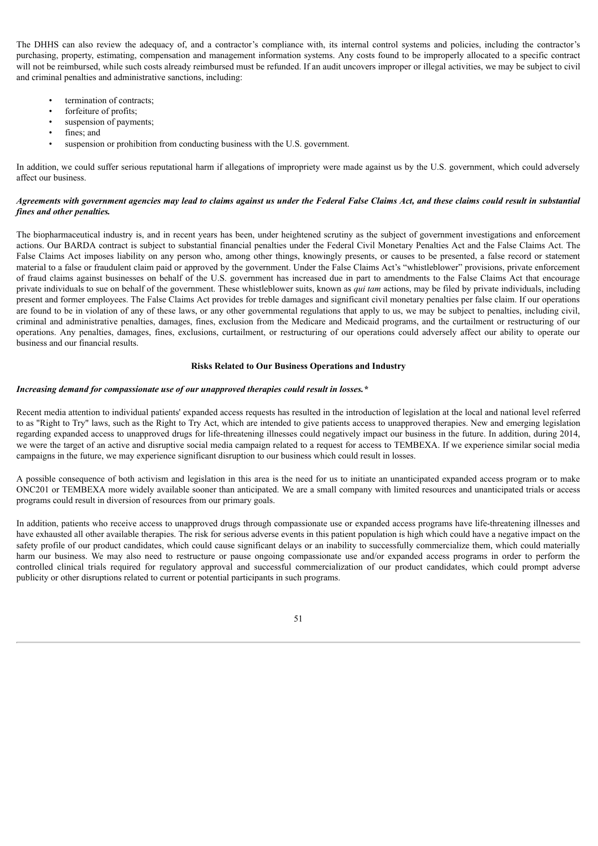The DHHS can also review the adequacy of, and a contractor's compliance with, its internal control systems and policies, including the contractor's purchasing, property, estimating, compensation and management information systems. Any costs found to be improperly allocated to a specific contract will not be reimbursed, while such costs already reimbursed must be refunded. If an audit uncovers improper or illegal activities, we may be subject to civil and criminal penalties and administrative sanctions, including:

- termination of contracts;
- forfeiture of profits;
- suspension of payments;
- fines; and
- suspension or prohibition from conducting business with the U.S. government.

In addition, we could suffer serious reputational harm if allegations of impropriety were made against us by the U.S. government, which could adversely affect our business.

## Agreements with government agencies may lead to claims against us under the Federal False Claims Act, and these claims could result in substantial *fines and other penalties.*

The biopharmaceutical industry is, and in recent years has been, under heightened scrutiny as the subject of government investigations and enforcement actions. Our BARDA contract is subject to substantial financial penalties under the Federal Civil Monetary Penalties Act and the False Claims Act. The False Claims Act imposes liability on any person who, among other things, knowingly presents, or causes to be presented, a false record or statement material to a false or fraudulent claim paid or approved by the government. Under the False Claims Act's "whistleblower" provisions, private enforcement of fraud claims against businesses on behalf of the U.S. government has increased due in part to amendments to the False Claims Act that encourage private individuals to sue on behalf of the government. These whistleblower suits, known as *qui tam* actions, may be filed by private individuals, including present and former employees. The False Claims Act provides for treble damages and significant civil monetary penalties per false claim. If our operations are found to be in violation of any of these laws, or any other governmental regulations that apply to us, we may be subject to penalties, including civil, criminal and administrative penalties, damages, fines, exclusion from the Medicare and Medicaid programs, and the curtailment or restructuring of our operations. Any penalties, damages, fines, exclusions, curtailment, or restructuring of our operations could adversely affect our ability to operate our business and our financial results.

### **Risks Related to Our Business Operations and Industry**

## *Increasing demand for compassionate use of our unapproved therapies could result in losses.\**

Recent media attention to individual patients' expanded access requests has resulted in the introduction of legislation at the local and national level referred to as "Right to Try" laws, such as the Right to Try Act, which are intended to give patients access to unapproved therapies. New and emerging legislation regarding expanded access to unapproved drugs for life-threatening illnesses could negatively impact our business in the future. In addition, during 2014, we were the target of an active and disruptive social media campaign related to a request for access to TEMBEXA. If we experience similar social media campaigns in the future, we may experience significant disruption to our business which could result in losses.

A possible consequence of both activism and legislation in this area is the need for us to initiate an unanticipated expanded access program or to make ONC201 or TEMBEXA more widely available sooner than anticipated. We are a small company with limited resources and unanticipated trials or access programs could result in diversion of resources from our primary goals.

In addition, patients who receive access to unapproved drugs through compassionate use or expanded access programs have life-threatening illnesses and have exhausted all other available therapies. The risk for serious adverse events in this patient population is high which could have a negative impact on the safety profile of our product candidates, which could cause significant delays or an inability to successfully commercialize them, which could materially harm our business. We may also need to restructure or pause ongoing compassionate use and/or expanded access programs in order to perform the controlled clinical trials required for regulatory approval and successful commercialization of our product candidates, which could prompt adverse publicity or other disruptions related to current or potential participants in such programs.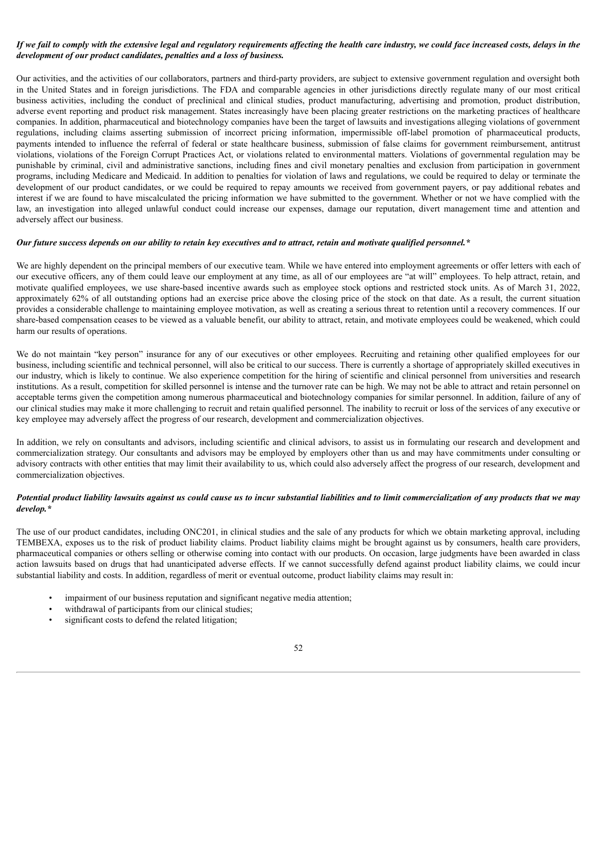## If we fail to comply with the extensive legal and regulatory requirements affecting the health care industry, we could face increased costs, delays in the *development of our product candidates, penalties and a loss of business.*

Our activities, and the activities of our collaborators, partners and third-party providers, are subject to extensive government regulation and oversight both in the United States and in foreign jurisdictions. The FDA and comparable agencies in other jurisdictions directly regulate many of our most critical business activities, including the conduct of preclinical and clinical studies, product manufacturing, advertising and promotion, product distribution, adverse event reporting and product risk management. States increasingly have been placing greater restrictions on the marketing practices of healthcare companies. In addition, pharmaceutical and biotechnology companies have been the target of lawsuits and investigations alleging violations of government regulations, including claims asserting submission of incorrect pricing information, impermissible off-label promotion of pharmaceutical products, payments intended to influence the referral of federal or state healthcare business, submission of false claims for government reimbursement, antitrust violations, violations of the Foreign Corrupt Practices Act, or violations related to environmental matters. Violations of governmental regulation may be punishable by criminal, civil and administrative sanctions, including fines and civil monetary penalties and exclusion from participation in government programs, including Medicare and Medicaid. In addition to penalties for violation of laws and regulations, we could be required to delay or terminate the development of our product candidates, or we could be required to repay amounts we received from government payers, or pay additional rebates and interest if we are found to have miscalculated the pricing information we have submitted to the government. Whether or not we have complied with the law, an investigation into alleged unlawful conduct could increase our expenses, damage our reputation, divert management time and attention and adversely affect our business.

## Our future success depends on our ability to retain key executives and to attract, retain and motivate qualified personnel.\*

We are highly dependent on the principal members of our executive team. While we have entered into employment agreements or offer letters with each of our executive officers, any of them could leave our employment at any time, as all of our employees are "at will" employees. To help attract, retain, and motivate qualified employees, we use share-based incentive awards such as employee stock options and restricted stock units. As of March 31, 2022, approximately 62% of all outstanding options had an exercise price above the closing price of the stock on that date. As a result, the current situation provides a considerable challenge to maintaining employee motivation, as well as creating a serious threat to retention until a recovery commences. If our share-based compensation ceases to be viewed as a valuable benefit, our ability to attract, retain, and motivate employees could be weakened, which could harm our results of operations.

We do not maintain "key person" insurance for any of our executives or other employees. Recruiting and retaining other qualified employees for our business, including scientific and technical personnel, will also be critical to our success. There is currently a shortage of appropriately skilled executives in our industry, which is likely to continue. We also experience competition for the hiring of scientific and clinical personnel from universities and research institutions. As a result, competition for skilled personnel is intense and the turnover rate can be high. We may not be able to attract and retain personnel on acceptable terms given the competition among numerous pharmaceutical and biotechnology companies for similar personnel. In addition, failure of any of our clinical studies may make it more challenging to recruit and retain qualified personnel. The inability to recruit or loss of the services of any executive or key employee may adversely affect the progress of our research, development and commercialization objectives.

In addition, we rely on consultants and advisors, including scientific and clinical advisors, to assist us in formulating our research and development and commercialization strategy. Our consultants and advisors may be employed by employers other than us and may have commitments under consulting or advisory contracts with other entities that may limit their availability to us, which could also adversely affect the progress of our research, development and commercialization objectives.

## Potential product liability lawsuits against us could cause us to incur substantial liabilities and to limit commercialization of any products that we may *develop.\**

The use of our product candidates, including ONC201, in clinical studies and the sale of any products for which we obtain marketing approval, including TEMBEXA, exposes us to the risk of product liability claims. Product liability claims might be brought against us by consumers, health care providers, pharmaceutical companies or others selling or otherwise coming into contact with our products. On occasion, large judgments have been awarded in class action lawsuits based on drugs that had unanticipated adverse effects. If we cannot successfully defend against product liability claims, we could incur substantial liability and costs. In addition, regardless of merit or eventual outcome, product liability claims may result in:

- impairment of our business reputation and significant negative media attention;
- withdrawal of participants from our clinical studies;
- significant costs to defend the related litigation;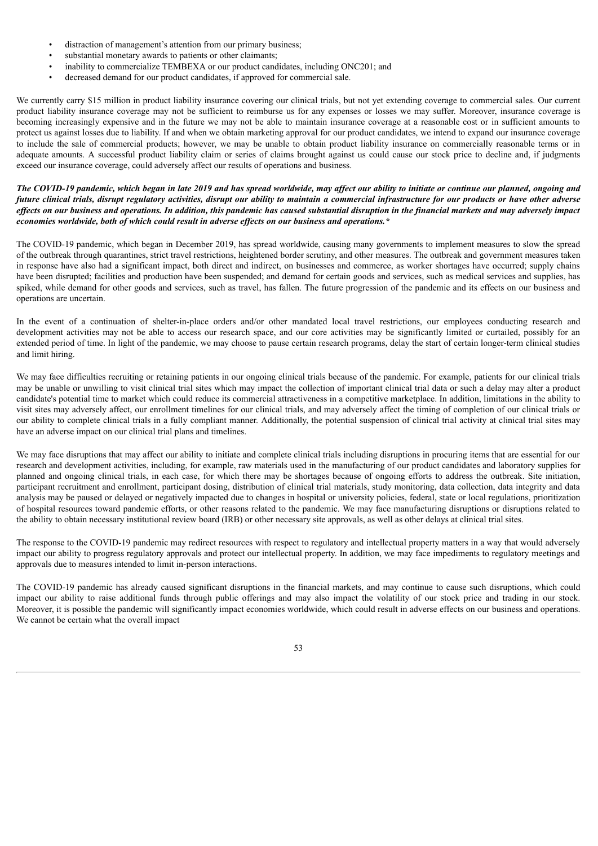- distraction of management's attention from our primary business;
- substantial monetary awards to patients or other claimants;
- inability to commercialize TEMBEXA or our product candidates, including ONC201; and
- decreased demand for our product candidates, if approved for commercial sale.

We currently carry \$15 million in product liability insurance covering our clinical trials, but not yet extending coverage to commercial sales. Our current product liability insurance coverage may not be sufficient to reimburse us for any expenses or losses we may suffer. Moreover, insurance coverage is becoming increasingly expensive and in the future we may not be able to maintain insurance coverage at a reasonable cost or in sufficient amounts to protect us against losses due to liability. If and when we obtain marketing approval for our product candidates, we intend to expand our insurance coverage to include the sale of commercial products; however, we may be unable to obtain product liability insurance on commercially reasonable terms or in adequate amounts. A successful product liability claim or series of claims brought against us could cause our stock price to decline and, if judgments exceed our insurance coverage, could adversely affect our results of operations and business.

The COVID-19 pandemic, which began in late 2019 and has spread worldwide, may affect our ability to initiate or continue our planned, ongoing and future clinical trials, disrupt regulatory activities, disrupt our ability to maintain a commercial infrastructure for our products or have other adverse effects on our business and operations. In addition, this pandemic has caused substantial disruption in the financial markets and may adversely impact *economies worldwide, both of which could result in adverse ef ects on our business and operations.\**

The COVID-19 pandemic, which began in December 2019, has spread worldwide, causing many governments to implement measures to slow the spread of the outbreak through quarantines, strict travel restrictions, heightened border scrutiny, and other measures. The outbreak and government measures taken in response have also had a significant impact, both direct and indirect, on businesses and commerce, as worker shortages have occurred; supply chains have been disrupted; facilities and production have been suspended; and demand for certain goods and services, such as medical services and supplies, has spiked, while demand for other goods and services, such as travel, has fallen. The future progression of the pandemic and its effects on our business and operations are uncertain.

In the event of a continuation of shelter-in-place orders and/or other mandated local travel restrictions, our employees conducting research and development activities may not be able to access our research space, and our core activities may be significantly limited or curtailed, possibly for an extended period of time. In light of the pandemic, we may choose to pause certain research programs, delay the start of certain longer-term clinical studies and limit hiring.

We may face difficulties recruiting or retaining patients in our ongoing clinical trials because of the pandemic. For example, patients for our clinical trials may be unable or unwilling to visit clinical trial sites which may impact the collection of important clinical trial data or such a delay may alter a product candidate's potential time to market which could reduce its commercial attractiveness in a competitive marketplace. In addition, limitations in the ability to visit sites may adversely affect, our enrollment timelines for our clinical trials, and may adversely affect the timing of completion of our clinical trials or our ability to complete clinical trials in a fully compliant manner. Additionally, the potential suspension of clinical trial activity at clinical trial sites may have an adverse impact on our clinical trial plans and timelines.

We may face disruptions that may affect our ability to initiate and complete clinical trials including disruptions in procuring items that are essential for our research and development activities, including, for example, raw materials used in the manufacturing of our product candidates and laboratory supplies for planned and ongoing clinical trials, in each case, for which there may be shortages because of ongoing efforts to address the outbreak. Site initiation, participant recruitment and enrollment, participant dosing, distribution of clinical trial materials, study monitoring, data collection, data integrity and data analysis may be paused or delayed or negatively impacted due to changes in hospital or university policies, federal, state or local regulations, prioritization of hospital resources toward pandemic efforts, or other reasons related to the pandemic. We may face manufacturing disruptions or disruptions related to the ability to obtain necessary institutional review board (IRB) or other necessary site approvals, as well as other delays at clinical trial sites.

The response to the COVID-19 pandemic may redirect resources with respect to regulatory and intellectual property matters in a way that would adversely impact our ability to progress regulatory approvals and protect our intellectual property. In addition, we may face impediments to regulatory meetings and approvals due to measures intended to limit in-person interactions.

The COVID-19 pandemic has already caused significant disruptions in the financial markets, and may continue to cause such disruptions, which could impact our ability to raise additional funds through public offerings and may also impact the volatility of our stock price and trading in our stock. Moreover, it is possible the pandemic will significantly impact economies worldwide, which could result in adverse effects on our business and operations. We cannot be certain what the overall impact

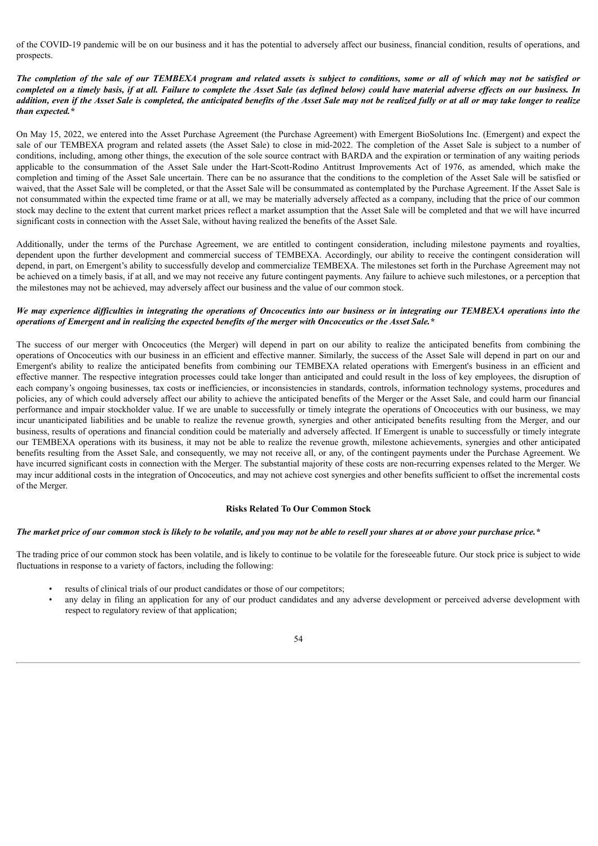of the COVID-19 pandemic will be on our business and it has the potential to adversely affect our business, financial condition, results of operations, and prospects.

## The completion of the sale of our TEMBEXA program and related assets is subject to conditions, some or all of which may not be satisfied or completed on a timely basis, if at all. Failure to complete the Asset Sale (as defined below) could have material adverse effects on our business. In addition, even if the Asset Sale is completed, the anticipated benefits of the Asset Sale may not be realized fully or at all or may take longer to realize *than expected.\**

On May 15, 2022, we entered into the Asset Purchase Agreement (the Purchase Agreement) with Emergent BioSolutions Inc. (Emergent) and expect the sale of our TEMBEXA program and related assets (the Asset Sale) to close in mid-2022. The completion of the Asset Sale is subject to a number of conditions, including, among other things, the execution of the sole source contract with BARDA and the expiration or termination of any waiting periods applicable to the consummation of the Asset Sale under the Hart-Scott-Rodino Antitrust Improvements Act of 1976, as amended, which make the completion and timing of the Asset Sale uncertain. There can be no assurance that the conditions to the completion of the Asset Sale will be satisfied or waived, that the Asset Sale will be completed, or that the Asset Sale will be consummated as contemplated by the Purchase Agreement. If the Asset Sale is not consummated within the expected time frame or at all, we may be materially adversely affected as a company, including that the price of our common stock may decline to the extent that current market prices reflect a market assumption that the Asset Sale will be completed and that we will have incurred significant costs in connection with the Asset Sale, without having realized the benefits of the Asset Sale.

Additionally, under the terms of the Purchase Agreement, we are entitled to contingent consideration, including milestone payments and royalties, dependent upon the further development and commercial success of TEMBEXA. Accordingly, our ability to receive the contingent consideration will depend, in part, on Emergent's ability to successfully develop and commercialize TEMBEXA. The milestones set forth in the Purchase Agreement may not be achieved on a timely basis, if at all, and we may not receive any future contingent payments. Any failure to achieve such milestones, or a perception that the milestones may not be achieved, may adversely affect our business and the value of our common stock.

## We may experience difficulties in integrating the operations of Oncoceutics into our business or in integrating our TEMBEXA operations into the operations of Emergent and in realizing the expected benefits of the merger with Oncoceutics or the Asset Sale.\*

The success of our merger with Oncoceutics (the Merger) will depend in part on our ability to realize the anticipated benefits from combining the operations of Oncoceutics with our business in an efficient and effective manner. Similarly, the success of the Asset Sale will depend in part on our and Emergent's ability to realize the anticipated benefits from combining our TEMBEXA related operations with Emergent's business in an efficient and effective manner. The respective integration processes could take longer than anticipated and could result in the loss of key employees, the disruption of each company's ongoing businesses, tax costs or inefficiencies, or inconsistencies in standards, controls, information technology systems, procedures and policies, any of which could adversely affect our ability to achieve the anticipated benefits of the Merger or the Asset Sale, and could harm our financial performance and impair stockholder value. If we are unable to successfully or timely integrate the operations of Oncoceutics with our business, we may incur unanticipated liabilities and be unable to realize the revenue growth, synergies and other anticipated benefits resulting from the Merger, and our business, results of operations and financial condition could be materially and adversely affected. If Emergent is unable to successfully or timely integrate our TEMBEXA operations with its business, it may not be able to realize the revenue growth, milestone achievements, synergies and other anticipated benefits resulting from the Asset Sale, and consequently, we may not receive all, or any, of the contingent payments under the Purchase Agreement. We have incurred significant costs in connection with the Merger. The substantial majority of these costs are non-recurring expenses related to the Merger. We may incur additional costs in the integration of Oncoceutics, and may not achieve cost synergies and other benefits sufficient to offset the incremental costs of the Merger.

#### **Risks Related To Our Common Stock**

#### The market price of our common stock is likely to be volatile, and you may not be able to resell your shares at or above your purchase price.\*

The trading price of our common stock has been volatile, and is likely to continue to be volatile for the foreseeable future. Our stock price is subject to wide fluctuations in response to a variety of factors, including the following:

- results of clinical trials of our product candidates or those of our competitors;
- any delay in filing an application for any of our product candidates and any adverse development or perceived adverse development with respect to regulatory review of that application;

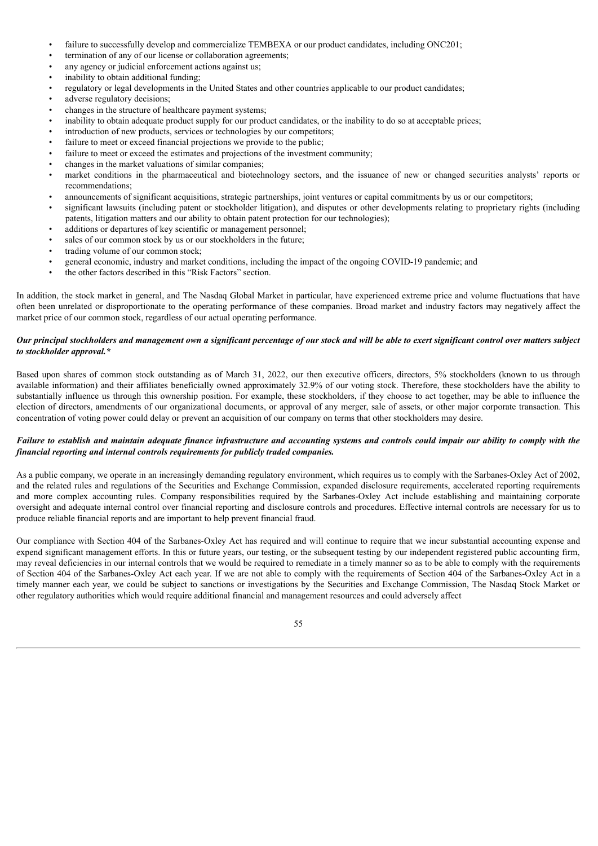- failure to successfully develop and commercialize TEMBEXA or our product candidates, including ONC201;
- termination of any of our license or collaboration agreements;
- any agency or judicial enforcement actions against us;
- inability to obtain additional funding;
- regulatory or legal developments in the United States and other countries applicable to our product candidates;
- adverse regulatory decisions:
- changes in the structure of healthcare payment systems;
- inability to obtain adequate product supply for our product candidates, or the inability to do so at acceptable prices;
- introduction of new products, services or technologies by our competitors;
- failure to meet or exceed financial projections we provide to the public;
- failure to meet or exceed the estimates and projections of the investment community;
- changes in the market valuations of similar companies;
- market conditions in the pharmaceutical and biotechnology sectors, and the issuance of new or changed securities analysts' reports or recommendations;
- announcements of significant acquisitions, strategic partnerships, joint ventures or capital commitments by us or our competitors;
- significant lawsuits (including patent or stockholder litigation), and disputes or other developments relating to proprietary rights (including patents, litigation matters and our ability to obtain patent protection for our technologies);
- additions or departures of key scientific or management personnel;
- sales of our common stock by us or our stockholders in the future;
- trading volume of our common stock;
- general economic, industry and market conditions, including the impact of the ongoing COVID-19 pandemic; and
- the other factors described in this "Risk Factors" section.

In addition, the stock market in general, and The Nasdaq Global Market in particular, have experienced extreme price and volume fluctuations that have often been unrelated or disproportionate to the operating performance of these companies. Broad market and industry factors may negatively affect the market price of our common stock, regardless of our actual operating performance.

## Our principal stockholders and management own a significant percentage of our stock and will be able to exert significant control over matters subject *to stockholder approval.\**

Based upon shares of common stock outstanding as of March 31, 2022, our then executive officers, directors, 5% stockholders (known to us through available information) and their affiliates beneficially owned approximately 32.9% of our voting stock. Therefore, these stockholders have the ability to substantially influence us through this ownership position. For example, these stockholders, if they choose to act together, may be able to influence the election of directors, amendments of our organizational documents, or approval of any merger, sale of assets, or other major corporate transaction. This concentration of voting power could delay or prevent an acquisition of our company on terms that other stockholders may desire.

## Failure to establish and maintain adequate finance infrastructure and accounting systems and controls could impair our ability to comply with the *financial reporting and internal controls requirements for publicly traded companies.*

As a public company, we operate in an increasingly demanding regulatory environment, which requires us to comply with the Sarbanes-Oxley Act of 2002, and the related rules and regulations of the Securities and Exchange Commission, expanded disclosure requirements, accelerated reporting requirements and more complex accounting rules. Company responsibilities required by the Sarbanes-Oxley Act include establishing and maintaining corporate oversight and adequate internal control over financial reporting and disclosure controls and procedures. Effective internal controls are necessary for us to produce reliable financial reports and are important to help prevent financial fraud.

Our compliance with Section 404 of the Sarbanes-Oxley Act has required and will continue to require that we incur substantial accounting expense and expend significant management efforts. In this or future years, our testing, or the subsequent testing by our independent registered public accounting firm, may reveal deficiencies in our internal controls that we would be required to remediate in a timely manner so as to be able to comply with the requirements of Section 404 of the Sarbanes-Oxley Act each year. If we are not able to comply with the requirements of Section 404 of the Sarbanes-Oxley Act in a timely manner each year, we could be subject to sanctions or investigations by the Securities and Exchange Commission, The Nasdaq Stock Market or other regulatory authorities which would require additional financial and management resources and could adversely affect

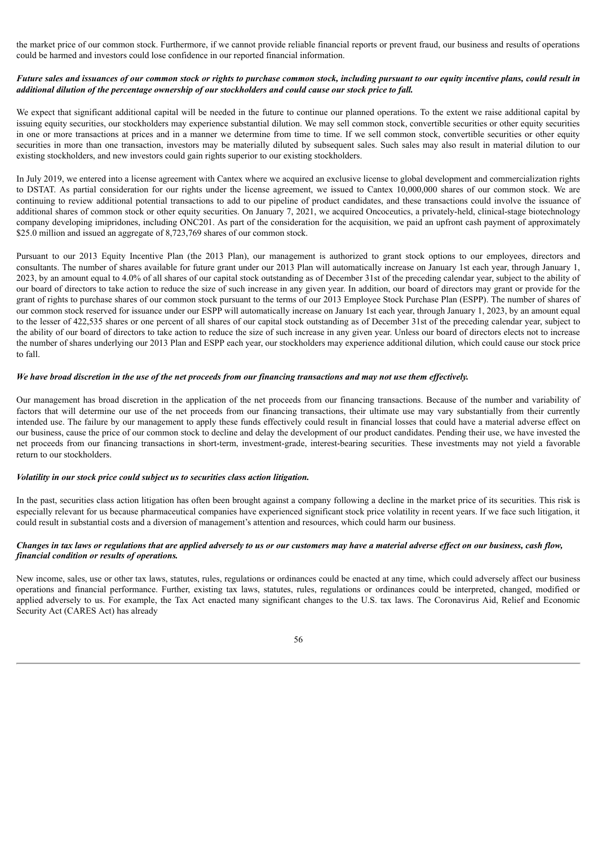the market price of our common stock. Furthermore, if we cannot provide reliable financial reports or prevent fraud, our business and results of operations could be harmed and investors could lose confidence in our reported financial information.

## Future sales and issuances of our common stock or rights to purchase common stock, including pursuant to our equity incentive plans, could result in additional dilution of the percentage ownership of our stockholders and could cause our stock price to fall.

We expect that significant additional capital will be needed in the future to continue our planned operations. To the extent we raise additional capital by issuing equity securities, our stockholders may experience substantial dilution. We may sell common stock, convertible securities or other equity securities in one or more transactions at prices and in a manner we determine from time to time. If we sell common stock, convertible securities or other equity securities in more than one transaction, investors may be materially diluted by subsequent sales. Such sales may also result in material dilution to our existing stockholders, and new investors could gain rights superior to our existing stockholders.

In July 2019, we entered into a license agreement with Cantex where we acquired an exclusive license to global development and commercialization rights to DSTAT. As partial consideration for our rights under the license agreement, we issued to Cantex 10,000,000 shares of our common stock. We are continuing to review additional potential transactions to add to our pipeline of product candidates, and these transactions could involve the issuance of additional shares of common stock or other equity securities. On January 7, 2021, we acquired Oncoceutics, a privately-held, clinical-stage biotechnology company developing imipridones, including ONC201. As part of the consideration for the acquisition, we paid an upfront cash payment of approximately \$25.0 million and issued an aggregate of 8,723,769 shares of our common stock.

Pursuant to our 2013 Equity Incentive Plan (the 2013 Plan), our management is authorized to grant stock options to our employees, directors and consultants. The number of shares available for future grant under our 2013 Plan will automatically increase on January 1st each year, through January 1, 2023, by an amount equal to 4.0% of all shares of our capital stock outstanding as of December 31st of the preceding calendar year, subject to the ability of our board of directors to take action to reduce the size of such increase in any given year. In addition, our board of directors may grant or provide for the grant of rights to purchase shares of our common stock pursuant to the terms of our 2013 Employee Stock Purchase Plan (ESPP). The number of shares of our common stock reserved for issuance under our ESPP will automatically increase on January 1st each year, through January 1, 2023, by an amount equal to the lesser of 422,535 shares or one percent of all shares of our capital stock outstanding as of December 31st of the preceding calendar year, subject to the ability of our board of directors to take action to reduce the size of such increase in any given year. Unless our board of directors elects not to increase the number of shares underlying our 2013 Plan and ESPP each year, our stockholders may experience additional dilution, which could cause our stock price to fall.

## We have broad discretion in the use of the net proceeds from our financing transactions and may not use them effectively.

Our management has broad discretion in the application of the net proceeds from our financing transactions. Because of the number and variability of factors that will determine our use of the net proceeds from our financing transactions, their ultimate use may vary substantially from their currently intended use. The failure by our management to apply these funds effectively could result in financial losses that could have a material adverse effect on our business, cause the price of our common stock to decline and delay the development of our product candidates. Pending their use, we have invested the net proceeds from our financing transactions in short-term, investment-grade, interest-bearing securities. These investments may not yield a favorable return to our stockholders.

## *Volatility in our stock price could subject us to securities class action litigation.*

In the past, securities class action litigation has often been brought against a company following a decline in the market price of its securities. This risk is especially relevant for us because pharmaceutical companies have experienced significant stock price volatility in recent years. If we face such litigation, it could result in substantial costs and a diversion of management's attention and resources, which could harm our business.

## Changes in tax laws or regulations that are applied adversely to us or our customers may have a material adverse effect on our business, cash flow, *financial condition or results of operations.*

New income, sales, use or other tax laws, statutes, rules, regulations or ordinances could be enacted at any time, which could adversely affect our business operations and financial performance. Further, existing tax laws, statutes, rules, regulations or ordinances could be interpreted, changed, modified or applied adversely to us. For example, the Tax Act enacted many significant changes to the U.S. tax laws. The Coronavirus Aid, Relief and Economic Security Act (CARES Act) has already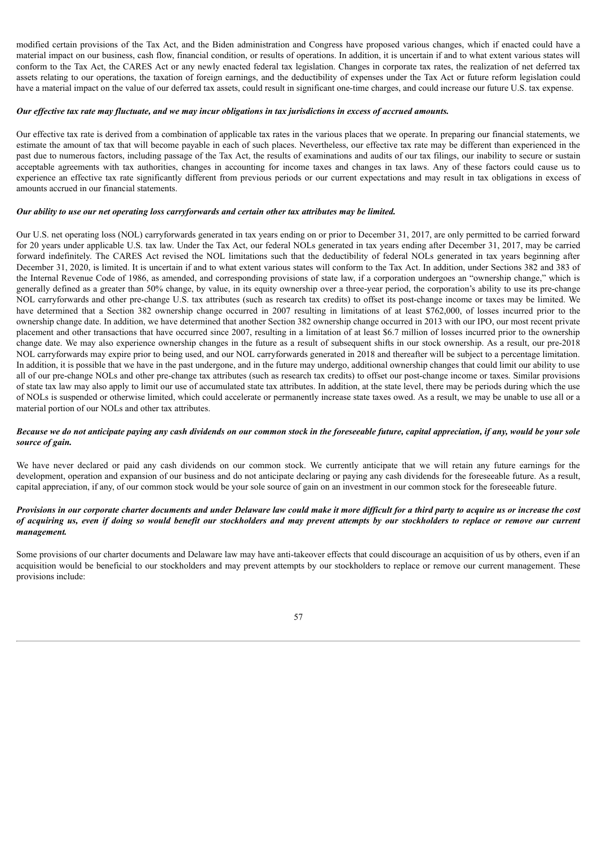modified certain provisions of the Tax Act, and the Biden administration and Congress have proposed various changes, which if enacted could have a material impact on our business, cash flow, financial condition, or results of operations. In addition, it is uncertain if and to what extent various states will conform to the Tax Act, the CARES Act or any newly enacted federal tax legislation. Changes in corporate tax rates, the realization of net deferred tax assets relating to our operations, the taxation of foreign earnings, and the deductibility of expenses under the Tax Act or future reform legislation could have a material impact on the value of our deferred tax assets, could result in significant one-time charges, and could increase our future U.S. tax expense.

### Our effective tax rate may fluctuate, and we may incur obligations in tax jurisdictions in excess of accrued amounts.

Our effective tax rate is derived from a combination of applicable tax rates in the various places that we operate. In preparing our financial statements, we estimate the amount of tax that will become payable in each of such places. Nevertheless, our effective tax rate may be different than experienced in the past due to numerous factors, including passage of the Tax Act, the results of examinations and audits of our tax filings, our inability to secure or sustain acceptable agreements with tax authorities, changes in accounting for income taxes and changes in tax laws. Any of these factors could cause us to experience an effective tax rate significantly different from previous periods or our current expectations and may result in tax obligations in excess of amounts accrued in our financial statements.

### *Our ability to use our net operating loss carryforwards and certain other tax attributes may be limited.*

Our U.S. net operating loss (NOL) carryforwards generated in tax years ending on or prior to December 31, 2017, are only permitted to be carried forward for 20 years under applicable U.S. tax law. Under the Tax Act, our federal NOLs generated in tax years ending after December 31, 2017, may be carried forward indefinitely. The CARES Act revised the NOL limitations such that the deductibility of federal NOLs generated in tax years beginning after December 31, 2020, is limited. It is uncertain if and to what extent various states will conform to the Tax Act. In addition, under Sections 382 and 383 of the Internal Revenue Code of 1986, as amended, and corresponding provisions of state law, if a corporation undergoes an "ownership change," which is generally defined as a greater than 50% change, by value, in its equity ownership over a three-year period, the corporation's ability to use its pre-change NOL carryforwards and other pre-change U.S. tax attributes (such as research tax credits) to offset its post-change income or taxes may be limited. We have determined that a Section 382 ownership change occurred in 2007 resulting in limitations of at least \$762,000, of losses incurred prior to the ownership change date. In addition, we have determined that another Section 382 ownership change occurred in 2013 with our IPO, our most recent private placement and other transactions that have occurred since 2007, resulting in a limitation of at least \$6.7 million of losses incurred prior to the ownership change date. We may also experience ownership changes in the future as a result of subsequent shifts in our stock ownership. As a result, our pre-2018 NOL carryforwards may expire prior to being used, and our NOL carryforwards generated in 2018 and thereafter will be subject to a percentage limitation. In addition, it is possible that we have in the past undergone, and in the future may undergo, additional ownership changes that could limit our ability to use all of our pre-change NOLs and other pre-change tax attributes (such as research tax credits) to offset our post-change income or taxes. Similar provisions of state tax law may also apply to limit our use of accumulated state tax attributes. In addition, at the state level, there may be periods during which the use of NOLs is suspended or otherwise limited, which could accelerate or permanently increase state taxes owed. As a result, we may be unable to use all or a material portion of our NOLs and other tax attributes.

### Because we do not anticipate paying any cash dividends on our common stock in the foreseeable future, capital appreciation, if any, would be your sole *source of gain.*

We have never declared or paid any cash dividends on our common stock. We currently anticipate that we will retain any future earnings for the development, operation and expansion of our business and do not anticipate declaring or paying any cash dividends for the foreseeable future. As a result, capital appreciation, if any, of our common stock would be your sole source of gain on an investment in our common stock for the foreseeable future.

## Provisions in our corporate charter documents and under Delaware law could make it more difficult for a third party to acquire us or increase the cost of acquiring us, even if doing so would benefit our stockholders and may prevent attempts by our stockholders to replace or remove our current *management.*

Some provisions of our charter documents and Delaware law may have anti-takeover effects that could discourage an acquisition of us by others, even if an acquisition would be beneficial to our stockholders and may prevent attempts by our stockholders to replace or remove our current management. These provisions include:

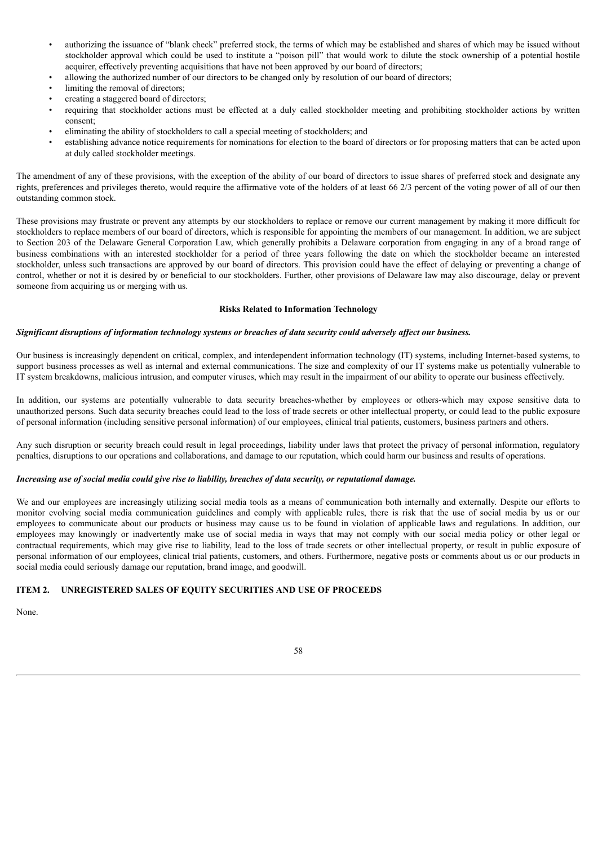- authorizing the issuance of "blank check" preferred stock, the terms of which may be established and shares of which may be issued without stockholder approval which could be used to institute a "poison pill" that would work to dilute the stock ownership of a potential hostile acquirer, effectively preventing acquisitions that have not been approved by our board of directors;
- allowing the authorized number of our directors to be changed only by resolution of our board of directors;
- limiting the removal of directors:
- creating a staggered board of directors;
- requiring that stockholder actions must be effected at a duly called stockholder meeting and prohibiting stockholder actions by written consent;
- eliminating the ability of stockholders to call a special meeting of stockholders; and
- establishing advance notice requirements for nominations for election to the board of directors or for proposing matters that can be acted upon at duly called stockholder meetings.

The amendment of any of these provisions, with the exception of the ability of our board of directors to issue shares of preferred stock and designate any rights, preferences and privileges thereto, would require the affirmative vote of the holders of at least 66 2/3 percent of the voting power of all of our then outstanding common stock.

These provisions may frustrate or prevent any attempts by our stockholders to replace or remove our current management by making it more difficult for stockholders to replace members of our board of directors, which is responsible for appointing the members of our management. In addition, we are subject to Section 203 of the Delaware General Corporation Law, which generally prohibits a Delaware corporation from engaging in any of a broad range of business combinations with an interested stockholder for a period of three years following the date on which the stockholder became an interested stockholder, unless such transactions are approved by our board of directors. This provision could have the effect of delaying or preventing a change of control, whether or not it is desired by or beneficial to our stockholders. Further, other provisions of Delaware law may also discourage, delay or prevent someone from acquiring us or merging with us.

### **Risks Related to Information Technology**

### Significant disruptions of information technology systems or breaches of data security could adversely affect our business.

Our business is increasingly dependent on critical, complex, and interdependent information technology (IT) systems, including Internet-based systems, to support business processes as well as internal and external communications. The size and complexity of our IT systems make us potentially vulnerable to IT system breakdowns, malicious intrusion, and computer viruses, which may result in the impairment of our ability to operate our business effectively.

In addition, our systems are potentially vulnerable to data security breaches-whether by employees or others-which may expose sensitive data to unauthorized persons. Such data security breaches could lead to the loss of trade secrets or other intellectual property, or could lead to the public exposure of personal information (including sensitive personal information) of our employees, clinical trial patients, customers, business partners and others.

Any such disruption or security breach could result in legal proceedings, liability under laws that protect the privacy of personal information, regulatory penalties, disruptions to our operations and collaborations, and damage to our reputation, which could harm our business and results of operations.

### Increasing use of social media could give rise to liability, breaches of data security, or reputational damage.

We and our employees are increasingly utilizing social media tools as a means of communication both internally and externally. Despite our efforts to monitor evolving social media communication guidelines and comply with applicable rules, there is risk that the use of social media by us or our employees to communicate about our products or business may cause us to be found in violation of applicable laws and regulations. In addition, our employees may knowingly or inadvertently make use of social media in ways that may not comply with our social media policy or other legal or contractual requirements, which may give rise to liability, lead to the loss of trade secrets or other intellectual property, or result in public exposure of personal information of our employees, clinical trial patients, customers, and others. Furthermore, negative posts or comments about us or our products in social media could seriously damage our reputation, brand image, and goodwill.

## <span id="page-58-0"></span>**ITEM 2. UNREGISTERED SALES OF EQUITY SECURITIES AND USE OF PROCEEDS**

<span id="page-58-1"></span>None.

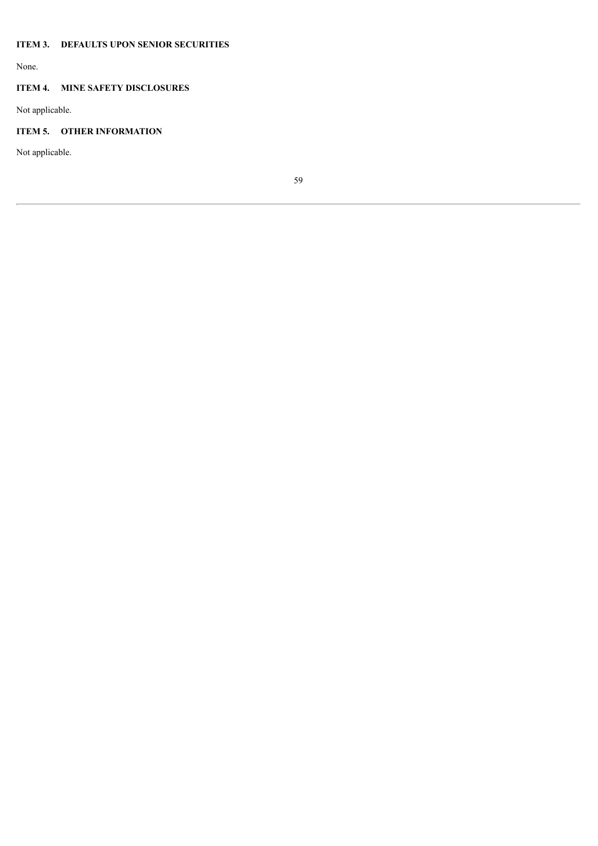# **ITEM 3. DEFAULTS UPON SENIOR SECURITIES**

None.

# <span id="page-59-0"></span>**ITEM 4. MINE SAFETY DISCLOSURES**

Not applicable.

# <span id="page-59-1"></span>**ITEM 5. OTHER INFORMATION**

<span id="page-59-2"></span>Not applicable.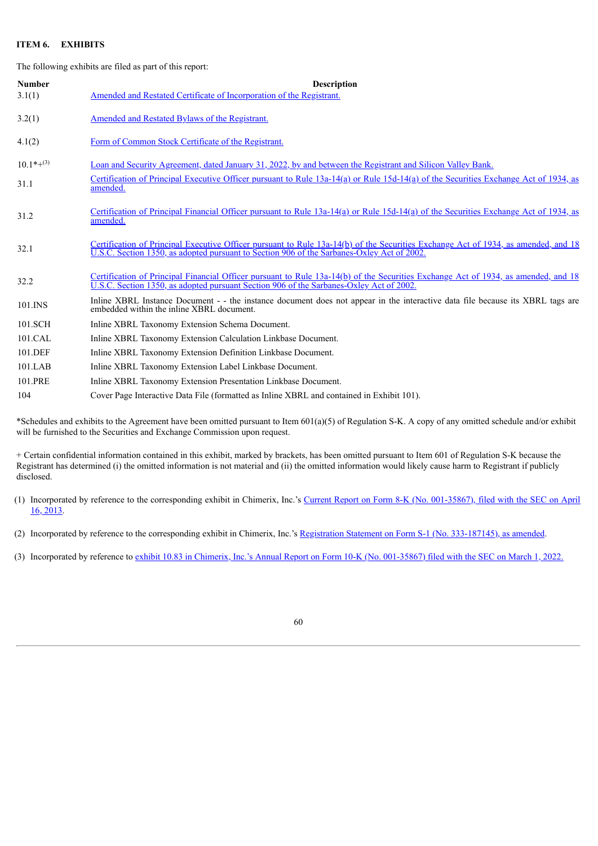## **ITEM 6. EXHIBITS**

The following exhibits are filed as part of this report:

| <b>Number</b><br>3.1(1) | <b>Description</b><br>Amended and Restated Certificate of Incorporation of the Registrant.                                                                                                                                       |
|-------------------------|----------------------------------------------------------------------------------------------------------------------------------------------------------------------------------------------------------------------------------|
| 3.2(1)                  | Amended and Restated Bylaws of the Registrant.                                                                                                                                                                                   |
| 4.1(2)                  | Form of Common Stock Certificate of the Registrant.                                                                                                                                                                              |
| $10.1^{*+ (3)}$         | Loan and Security Agreement, dated January 31, 2022, by and between the Registrant and Silicon Valley Bank.                                                                                                                      |
| 31.1                    | Certification of Principal Executive Officer pursuant to Rule 13a-14(a) or Rule 15d-14(a) of the Securities Exchange Act of 1934, as<br>amended.                                                                                 |
| 31.2                    | Certification of Principal Financial Officer pursuant to Rule 13a-14(a) or Rule 15d-14(a) of the Securities Exchange Act of 1934, as<br>amended.                                                                                 |
| 32.1                    | Certification of Principal Executive Officer pursuant to Rule 13a-14(b) of the Securities Exchange Act of 1934, as amended, and 18<br>U.S.C. Section 1350, as adopted pursuant to Section 906 of the Sarbanes-Oxley Act of 2002. |
| 32.2                    | Certification of Principal Financial Officer pursuant to Rule 13a-14(b) of the Securities Exchange Act of 1934, as amended, and 18 U.S.C. Section 1350, as adopted pursuant Section 906 of the Sarbanes-Oxley Act of 2002.       |
| $101$ . INS             | Inline XBRL Instance Document - - the instance document does not appear in the interactive data file because its XBRL tags are<br>embedded within the inline XBRL document.                                                      |
| 101.SCH                 | Inline XBRL Taxonomy Extension Schema Document.                                                                                                                                                                                  |
| 101.CAL                 | Inline XBRL Taxonomy Extension Calculation Linkbase Document.                                                                                                                                                                    |
| 101.DEF                 | Inline XBRL Taxonomy Extension Definition Linkbase Document.                                                                                                                                                                     |
| 101.LAB                 | Inline XBRL Taxonomy Extension Label Linkbase Document.                                                                                                                                                                          |
| 101.PRE                 | Inline XBRL Taxonomy Extension Presentation Linkbase Document.                                                                                                                                                                   |
| 104                     | Cover Page Interactive Data File (formatted as Inline XBRL and contained in Exhibit 101).                                                                                                                                        |

\*Schedules and exhibits to the Agreement have been omitted pursuant to Item 601(a)(5) of Regulation S-K. A copy of any omitted schedule and/or exhibit will be furnished to the Securities and Exchange Commission upon request.

+ Certain confidential information contained in this exhibit, marked by brackets, has been omitted pursuant to Item 601 of Regulation S-K because the Registrant has determined (i) the omitted information is not material and (ii) the omitted information would likely cause harm to Registrant if publicly disclosed.

- (1) Incorporated by reference to the [corresponding](http://www.sec.gov/Archives/edgar/data/1117480/000114420413022142/v340476_8k.htm) exhibit in Chimerix, Inc.'s Current Report on Form 8-K (No. 001-35867), filed with the SEC on April 16, 2013.
- (2) Incorporated by reference to the corresponding exhibit in Chimerix, Inc.'s Registration Statement on Form S-1 (No. [333-187145\),](http://www.sec.gov/Archives/edgar/data/1117480/000114420413014056/v333444_s1.htm) as amended.
- <span id="page-60-0"></span>(3) Incorporated by reference to [exhibit](http://www.sec.gov/Archives/edgar/data/0001117480/000111748022000008/a20211231cmrxex1083-loanan.htm) [10.83](http://www.sec.gov/Archives/edgar/data/0001117480/000111748022000008/a20211231cmrxex1083-loanan.htm) in [Chimerix,](http://www.sec.gov/Archives/edgar/data/0001117480/000111748022000008/a20211231cmrxex1083-loanan.htm) Inc.'s [Annual](http://www.sec.gov/Archives/edgar/data/0001117480/000111748022000008/a20211231cmrxex1083-loanan.htm) [Report](http://www.sec.gov/Archives/edgar/data/0001117480/000111748022000008/a20211231cmrxex1083-loanan.htm) on Form 10-K (No. [001-35867\)](http://www.sec.gov/Archives/edgar/data/0001117480/000111748022000008/a20211231cmrxex1083-loanan.htm) filed with the SEC on [March](http://www.sec.gov/Archives/edgar/data/0001117480/000111748022000008/a20211231cmrxex1083-loanan.htm) 1, 2022.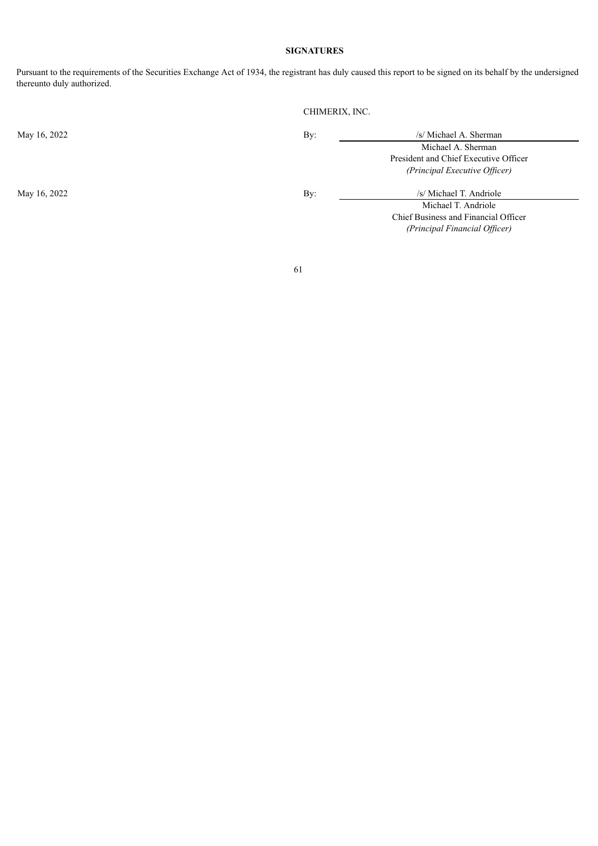# **SIGNATURES**

Pursuant to the requirements of the Securities Exchange Act of 1934, the registrant has duly caused this report to be signed on its behalf by the undersigned thereunto duly authorized.

|              | CHIMERIX, INC. |                                       |
|--------------|----------------|---------------------------------------|
| May 16, 2022 | By:            | /s/ Michael A. Sherman                |
|              |                | Michael A. Sherman                    |
|              |                | President and Chief Executive Officer |
|              |                | (Principal Executive Officer)         |
| May 16, 2022 | By:            | /s/ Michael T. Andriole               |
|              |                | Michael T. Andriole                   |
|              |                | Chief Business and Financial Officer  |
|              |                | (Principal Financial Officer)         |
|              |                |                                       |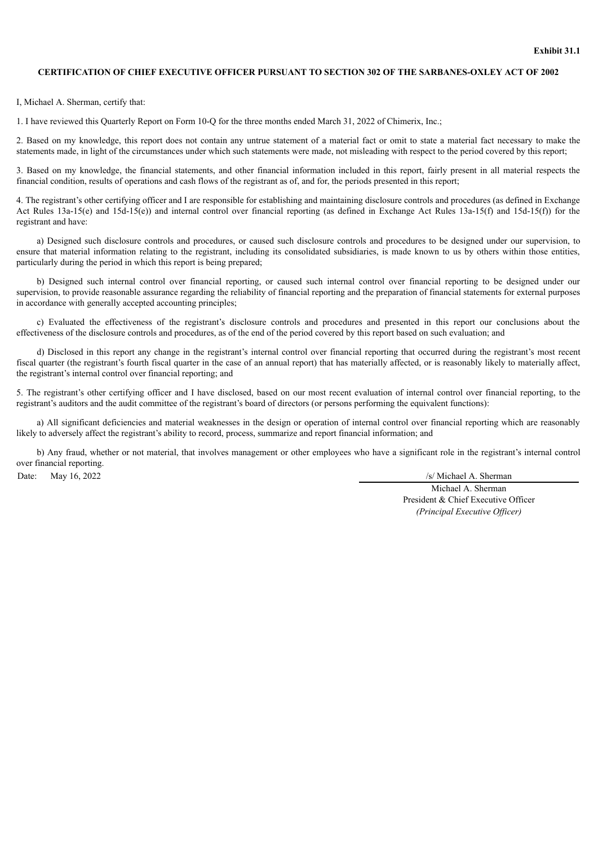## <span id="page-62-0"></span>**CERTIFICATION OF CHIEF EXECUTIVE OFFICER PURSUANT TO SECTION 302 OF THE SARBANES-OXLEY ACT OF 2002**

I, Michael A. Sherman, certify that:

1. I have reviewed this Quarterly Report on Form 10-Q for the three months ended March 31, 2022 of Chimerix, Inc.;

2. Based on my knowledge, this report does not contain any untrue statement of a material fact or omit to state a material fact necessary to make the statements made, in light of the circumstances under which such statements were made, not misleading with respect to the period covered by this report;

3. Based on my knowledge, the financial statements, and other financial information included in this report, fairly present in all material respects the financial condition, results of operations and cash flows of the registrant as of, and for, the periods presented in this report;

4. The registrant's other certifying officer and I are responsible for establishing and maintaining disclosure controls and procedures (as defined in Exchange Act Rules 13a-15(e) and 15d-15(e)) and internal control over financial reporting (as defined in Exchange Act Rules 13a-15(f) and 15d-15(f)) for the registrant and have:

a) Designed such disclosure controls and procedures, or caused such disclosure controls and procedures to be designed under our supervision, to ensure that material information relating to the registrant, including its consolidated subsidiaries, is made known to us by others within those entities, particularly during the period in which this report is being prepared;

b) Designed such internal control over financial reporting, or caused such internal control over financial reporting to be designed under our supervision, to provide reasonable assurance regarding the reliability of financial reporting and the preparation of financial statements for external purposes in accordance with generally accepted accounting principles;

c) Evaluated the effectiveness of the registrant's disclosure controls and procedures and presented in this report our conclusions about the effectiveness of the disclosure controls and procedures, as of the end of the period covered by this report based on such evaluation; and

d) Disclosed in this report any change in the registrant's internal control over financial reporting that occurred during the registrant's most recent fiscal quarter (the registrant's fourth fiscal quarter in the case of an annual report) that has materially affected, or is reasonably likely to materially affect, the registrant's internal control over financial reporting; and

5. The registrant's other certifying officer and I have disclosed, based on our most recent evaluation of internal control over financial reporting, to the registrant's auditors and the audit committee of the registrant's board of directors (or persons performing the equivalent functions):

a) All significant deficiencies and material weaknesses in the design or operation of internal control over financial reporting which are reasonably likely to adversely affect the registrant's ability to record, process, summarize and report financial information; and

b) Any fraud, whether or not material, that involves management or other employees who have a significant role in the registrant's internal control over financial reporting.

Date: May 16, 2022 /s/ Michael A. Sherman

Michael A. Sherman President & Chief Executive Officer *(Principal Executive Of icer)*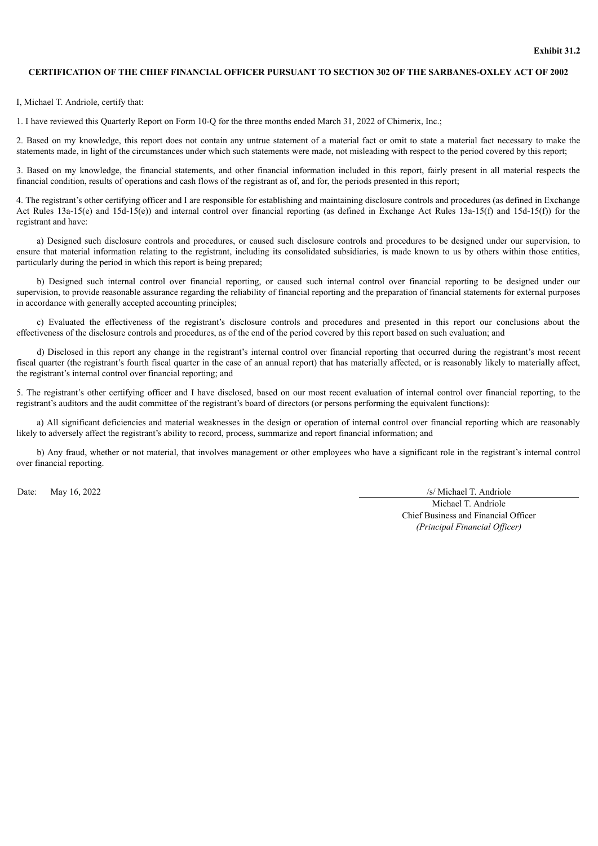## <span id="page-63-0"></span>**CERTIFICATION OF THE CHIEF FINANCIAL OFFICER PURSUANT TO SECTION 302 OF THE SARBANES-OXLEY ACT OF 2002**

I, Michael T. Andriole, certify that:

1. I have reviewed this Quarterly Report on Form 10-Q for the three months ended March 31, 2022 of Chimerix, Inc.;

2. Based on my knowledge, this report does not contain any untrue statement of a material fact or omit to state a material fact necessary to make the statements made, in light of the circumstances under which such statements were made, not misleading with respect to the period covered by this report;

3. Based on my knowledge, the financial statements, and other financial information included in this report, fairly present in all material respects the financial condition, results of operations and cash flows of the registrant as of, and for, the periods presented in this report;

4. The registrant's other certifying officer and I are responsible for establishing and maintaining disclosure controls and procedures (as defined in Exchange Act Rules 13a-15(e) and 15d-15(e)) and internal control over financial reporting (as defined in Exchange Act Rules 13a-15(f) and 15d-15(f)) for the registrant and have:

a) Designed such disclosure controls and procedures, or caused such disclosure controls and procedures to be designed under our supervision, to ensure that material information relating to the registrant, including its consolidated subsidiaries, is made known to us by others within those entities, particularly during the period in which this report is being prepared;

b) Designed such internal control over financial reporting, or caused such internal control over financial reporting to be designed under our supervision, to provide reasonable assurance regarding the reliability of financial reporting and the preparation of financial statements for external purposes in accordance with generally accepted accounting principles;

c) Evaluated the effectiveness of the registrant's disclosure controls and procedures and presented in this report our conclusions about the effectiveness of the disclosure controls and procedures, as of the end of the period covered by this report based on such evaluation; and

d) Disclosed in this report any change in the registrant's internal control over financial reporting that occurred during the registrant's most recent fiscal quarter (the registrant's fourth fiscal quarter in the case of an annual report) that has materially affected, or is reasonably likely to materially affect, the registrant's internal control over financial reporting; and

5. The registrant's other certifying officer and I have disclosed, based on our most recent evaluation of internal control over financial reporting, to the registrant's auditors and the audit committee of the registrant's board of directors (or persons performing the equivalent functions):

a) All significant deficiencies and material weaknesses in the design or operation of internal control over financial reporting which are reasonably likely to adversely affect the registrant's ability to record, process, summarize and report financial information; and

b) Any fraud, whether or not material, that involves management or other employees who have a significant role in the registrant's internal control over financial reporting.

Date: May 16, 2022 /s/ Michael T. Andriole

Michael T. Andriole Chief Business and Financial Officer *(Principal Financial Of icer)*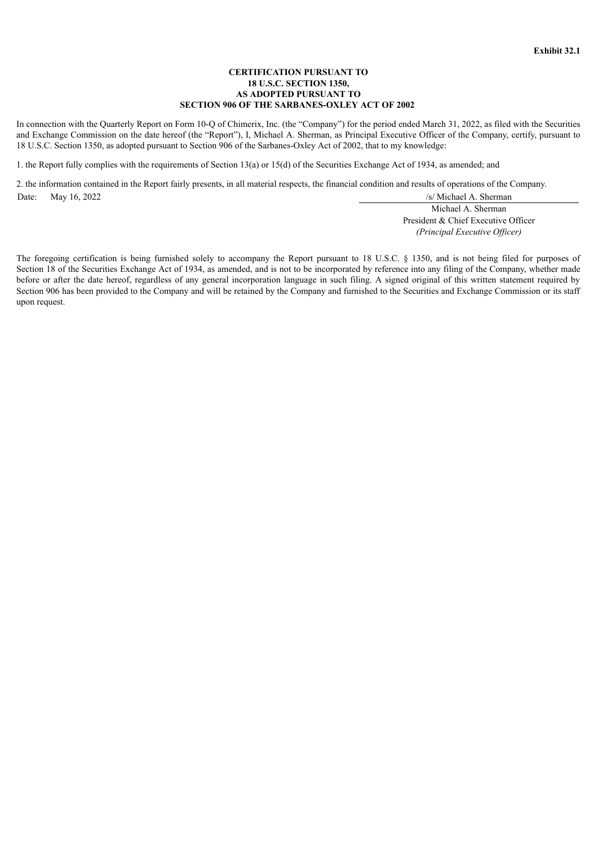## **CERTIFICATION PURSUANT TO 18 U.S.C. SECTION 1350, AS ADOPTED PURSUANT TO SECTION 906 OF THE SARBANES-OXLEY ACT OF 2002**

<span id="page-64-0"></span>In connection with the Quarterly Report on Form 10-Q of Chimerix, Inc. (the "Company") for the period ended March 31, 2022, as filed with the Securities and Exchange Commission on the date hereof (the "Report"), I, Michael A. Sherman, as Principal Executive Officer of the Company, certify, pursuant to 18 U.S.C. Section 1350, as adopted pursuant to Section 906 of the Sarbanes-Oxley Act of 2002, that to my knowledge:

1. the Report fully complies with the requirements of Section 13(a) or 15(d) of the Securities Exchange Act of 1934, as amended; and

2. the information contained in the Report fairly presents, in all material respects, the financial condition and results of operations of the Company. Date: May 16, 2022 /s/ Michael A. Sherman

Michael A. Sherman President & Chief Executive Officer *(Principal Executive Of icer)*

The foregoing certification is being furnished solely to accompany the Report pursuant to 18 U.S.C. § 1350, and is not being filed for purposes of Section 18 of the Securities Exchange Act of 1934, as amended, and is not to be incorporated by reference into any filing of the Company, whether made before or after the date hereof, regardless of any general incorporation language in such filing. A signed original of this written statement required by Section 906 has been provided to the Company and will be retained by the Company and furnished to the Securities and Exchange Commission or its staff upon request.